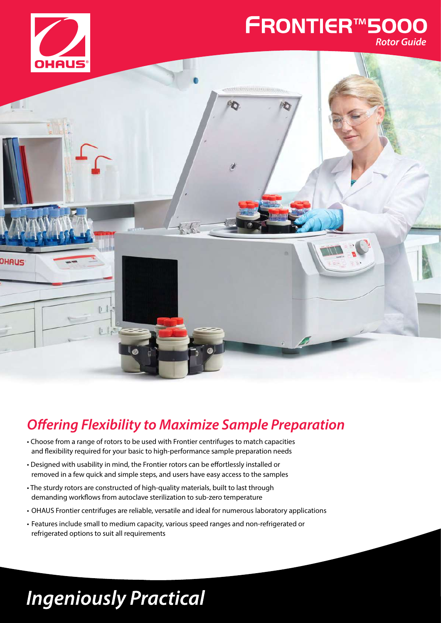

# **FRONTIER™5000**

*Rotor Guide*



## *Offering Flexibility to Maximize Sample Preparation*

- Choose from a range of rotors to be used with Frontier centrifuges to match capacities and flexibility required for your basic to high-performance sample preparation needs
- Designed with usability in mind, the Frontier rotors can be effortlessly installed or removed in a few quick and simple steps, and users have easy access to the samples
- The sturdy rotors are constructed of high-quality materials, built to last through demanding workflows from autoclave sterilization to sub-zero temperature
- OHAUS Frontier centrifuges are reliable, versatile and ideal for numerous laboratory applications
- Features include small to medium capacity, various speed ranges and non-refrigerated or refrigerated options to suit all requirements

# **Ingeniously Practical**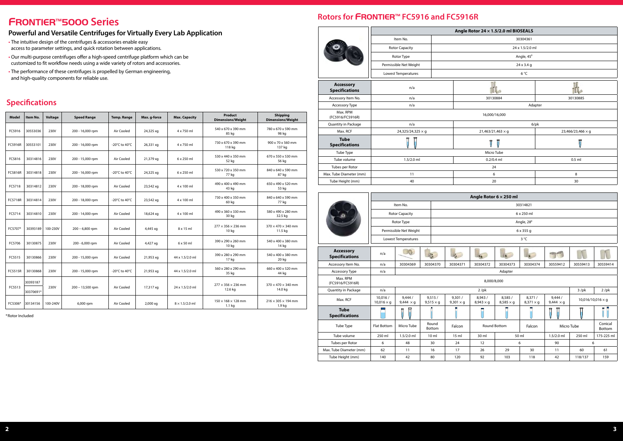#### **Specifications**

\*Rotor Included

| <b>Model</b>   | Item No.  | Voltage  | <b>Speed Range</b> | <b>Temp. Range</b>                  | Max. g-force     | <b>Max. Capacity</b>  | Product<br><b>Dimensions/Weight</b>                 | <b>Shipping</b><br><b>Dimensions/Weight</b> |
|----------------|-----------|----------|--------------------|-------------------------------------|------------------|-----------------------|-----------------------------------------------------|---------------------------------------------|
| FC5916         | 30553036  | 230V     | 200 - 16,000 rpm   | Air Cooled                          | 24,325 xg        | 4 x 750 ml            | 540 x 670 x 390 mm<br>85 kg                         | 780 x 670 x 590 mm<br>98 kg                 |
| <b>FC5916R</b> | 30553101  | 230V     | 200 - 16,000 rpm   | -20 $^{\circ}$ C to 40 $^{\circ}$ C | 26,331 xg        | 4 x 750 ml            | 730 x 670 x 390 mm<br>118 kg                        | 900 x 70 x 560 mm<br>137 kg                 |
| FC5816         | 30314816  | 230V     | 200 - 15,000 rpm   | Air Cooled                          | 21,379 xg        | 6 x 250 ml            | 530 x 440 x 350 mm<br>52 kg                         | 670 x 550 x 530 mm<br>56 kg                 |
| <b>FC5816R</b> | 30314818  | 230V     | 200 - 16,000 rpm   | -20 $\degree$ C to 40 $\degree$ C   | 24,325 xg        | 6 x 250 ml            | 530 x 720 x 350 mm<br>77 kg                         | 840 x 640 x 590 mm<br>87 kg                 |
| FC5718         | 30314812  | 230V     | 200 - 18,000 rpm   | Air Cooled                          | 23,542 xg        | 4 x 100 ml            | 490 x 400 x 490 mm<br>43 kg                         | 650 x 490 x 520 mm<br>53 kg                 |
| <b>FC5718R</b> | 30314814  | 230V     | 200 - 18,000 rpm   | -20°C to 40°C                       | 23,542 xg        | 4 x 100 ml            | 730 x 400 x 350 mm<br>60 kg                         | 840 x 640 x 590 mm<br>77 kg                 |
| FC5714         | 30314810  | 230V     | 200 - 14,000 rpm   | Air Cooled                          | 18,624 xg        | 4 x 100 ml            | 490 x 360 x 330 mm<br>30 kg                         | 580 x 490 x 280 mm<br>32.5 kg               |
| FC5707*        | 30393189  | 100-230V | $200 - 6,800$ rpm  | Air Cooled                          | 4,445 xg         | 8 x 15 ml             | $277 \times 356 \times 236$ mm<br>10 kg             | $370 \times 470 \times 340$ mm<br>11.5 kg   |
| FC5706         | 30130875  | 230V     | 200 - 6,000 rpm    | Air Cooled                          | 4,427 xq         | 6 x 50 ml             | 390 x 290 x 260 mm<br>10 kg                         | 540 x 400 x 380 mm<br>14 kg                 |
| FC5515         | 30130866  | 230V     | 200 - 15,000 rpm   | Air Cooled                          | 21,953 xg        | 44 x 1.5/2.0 ml       | 390 x 280 x 290 mm<br>17 kg                         | 540 x 400 x 380 mm<br>20 kg                 |
| FC5515R        | 30130868  | 230V     | 200 - 15,000 rpm   | -20°C to 40°C                       | 21,953 xq        | 44 x 1.5/2.0 ml       | 560 x 280 x 290 mm<br>35 kg                         | 660 x 400 x 520 mm<br>44 kg                 |
| FC5513         | 30393187  | 230V     |                    | Air Cooled                          | 17,317 xg        |                       | $277 \times 356 \times 236$ mm                      | $370 \times 470 \times 340$ mm              |
|                | 30370691* |          | 200 - 13,500 rpm   |                                     |                  | 24 x 1.5/2.0 ml       | 12.6 kg                                             | 14.0 kg                                     |
| FC5306*        | 30134156  | 100-240V | 6,000 rpm          | Air Cooled                          | $2,000 \times q$ | $8 \times 1.5/2.0$ ml | $150 \times 168 \times 128$ mm<br>1.1 <sub>kg</sub> | $216 \times 305 \times 194$ mm<br>1.9 kg    |

|                                           |                              |                                    |                            |                            | Angle Rotor 6 x 250 ml     |                            |                            |                            |                          |                   |
|-------------------------------------------|------------------------------|------------------------------------|----------------------------|----------------------------|----------------------------|----------------------------|----------------------------|----------------------------|--------------------------|-------------------|
|                                           |                              | Item No.                           |                            | 30314821                   |                            |                            |                            |                            |                          |                   |
|                                           |                              | <b>Rotor Capacity</b>              |                            |                            |                            |                            | 6 x 250 ml                 |                            |                          |                   |
|                                           |                              | Rotor Type                         |                            |                            |                            |                            | Angle, 28°                 |                            |                          |                   |
|                                           |                              | Permissible Net Weight             |                            | 6 x 355 g                  |                            |                            |                            |                            |                          |                   |
|                                           |                              | 3 °C<br><b>Lowest Temperatures</b> |                            |                            |                            |                            |                            |                            |                          |                   |
| <b>Accessory</b><br><b>Specifications</b> | n/a                          | $\mathcal{F}^{\pm}_{\mathcal{F}}$  | 山                          | lΔ.                        |                            |                            |                            | <b>CERACE</b>              |                          |                   |
| Accessory Item No.                        | n/a                          | 30304369                           | 30304370                   | 30304371                   | 30304372                   | 30304373                   | 30304374                   | 30559412                   | 30559413                 | 30559414          |
| <b>Accessory Type</b>                     | n/a                          |                                    |                            |                            |                            | Adapter                    |                            |                            |                          |                   |
| Max. RPM<br>(FC5916/FC5916R)              |                              | 8,000/8,000                        |                            |                            |                            |                            |                            |                            |                          |                   |
| Quantity in Package                       | n/a                          |                                    |                            |                            | $2$ /pk                    |                            |                            |                            | $3$ /pk                  | $2$ /pk           |
| Max. RCF                                  | 10,016/<br>$10,016 \times q$ | 9.444/<br>$9,444 \times g$         | 9,515/<br>$9,515 \times q$ | 9,301/<br>$9,301 \times q$ | 8.943/<br>$8,943 \times q$ | 8.585/<br>$8,585 \times g$ | 8,371/<br>$8,371 \times q$ | 9,444/<br>$9,444 \times q$ | 10,016/10,016 $\times$ q |                   |
| <b>Tube</b><br><b>Specifications</b>      |                              | 규                                  |                            |                            |                            |                            |                            | 규                          |                          |                   |
| Tube Type                                 | Flat Bottom                  | Micro Tube                         | Round<br>Bottom            | Falcon                     |                            | Round Bottom               | Falcon                     |                            | Micro Tube               | Conical<br>Bottom |
| Tube volume                               | 250 ml                       | $1.5/2.0$ ml                       | 10 <sub>m</sub>            | 15 <sub>m</sub>            | 30 ml                      |                            | 50 ml                      | $1.5/2.0$ ml               | 250 ml                   | 175-225 ml        |
| Tubes per Rotor                           | 6                            | 48                                 | 30                         | 24                         | 12                         |                            | 6                          | 90                         | 6                        |                   |
| Max. Tube Diameter (mm)                   | 62                           | 11                                 | 16                         | 17                         | 26                         | 29                         | 30                         | 11                         | 60                       | 61                |
| Tube Height (mm)                          | 140                          | 42                                 | 80                         | 120                        | 92                         | 103                        | 118                        | 42                         | 118/137                  | 159               |

|                                           |                        | Angle Rotor 24 x 1.5/2.0 ml BIOSEALS |                          |  |  |  |  |
|-------------------------------------------|------------------------|--------------------------------------|--------------------------|--|--|--|--|
|                                           | Item No.               | 30304361                             |                          |  |  |  |  |
|                                           | <b>Rotor Capacity</b>  |                                      | 24 x 1.5/2.0 ml          |  |  |  |  |
|                                           | Rotor Type             | Angle, 45°                           |                          |  |  |  |  |
|                                           | Permissible Net Weight | 24 x 3.4 g                           |                          |  |  |  |  |
|                                           | Lowest Temperatures    | $6^{\circ}$ C                        |                          |  |  |  |  |
| <b>Accessory</b><br><b>Specifications</b> | n/a                    | صانا                                 |                          |  |  |  |  |
| Accessory Item No.                        | n/a                    | 30130884                             | 30130885                 |  |  |  |  |
| Accessory Type                            | Adapter<br>n/a         |                                      |                          |  |  |  |  |
| Max. RPM<br>(FC5916/FC5916R)              |                        | 16,000/16,000                        |                          |  |  |  |  |
| Quantity in Package                       | n/a                    | $6$ /pk                              |                          |  |  |  |  |
| Max. RCF                                  | 24,325/24,325 × g      | $21,463/21,463 \times g$             | 23,466/23,466 $\times$ q |  |  |  |  |
| <b>Tube</b><br><b>Specifications</b>      | Ī                      | Ī                                    |                          |  |  |  |  |
| Tube Type                                 |                        | Micro Tube                           |                          |  |  |  |  |
| Tube volume                               | $1.5/2.0$ ml           | $0.2/0.4$ ml                         | $0.5$ ml                 |  |  |  |  |
| Tubes per Rotor                           |                        | 24                                   |                          |  |  |  |  |
| Max. Tube Diameter (mm)                   | 11                     | 6                                    | 8                        |  |  |  |  |
| Tube Height (mm)                          | 40                     | 20                                   | 30                       |  |  |  |  |

### FRONTIER™5000 **Series**

#### **Powerful and Versatile Centrifuges for Virtually Every Lab Application**

- **•** The intuitive design of the centrifuges & accessories enable easy access to parameter settings, and quick rotation between applications.
- **•** Our multi-purpose centrifuges offer a high-speed centrifuge platform which can be customized to fit workflow needs using a wide variety of rotors and accessories.
- **•** The performance of these centrifuges is propelled by German engineering, and high-quality components for reliable use.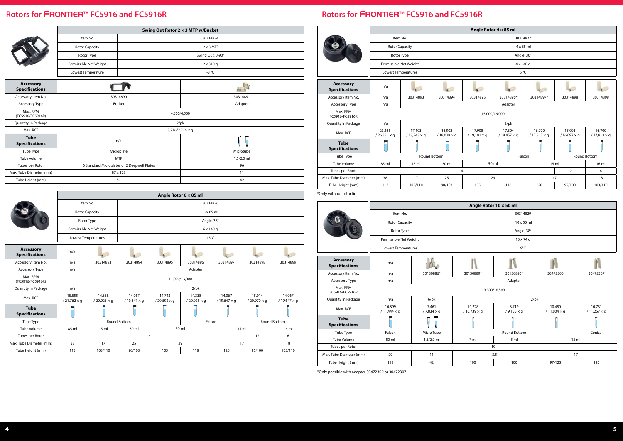|                                           | Swing Out Rotor 2 x 3 MTP w/Bucket |                                             |                              |  |  |  |
|-------------------------------------------|------------------------------------|---------------------------------------------|------------------------------|--|--|--|
|                                           | Item No.                           |                                             | 30314824                     |  |  |  |
|                                           | <b>Rotor Capacity</b>              |                                             | $2 \times 3$ MTP             |  |  |  |
|                                           | Rotor Type                         |                                             | Swing Out, 0-90°             |  |  |  |
|                                           | Permissible Net Weight             |                                             | 2 x 310 g                    |  |  |  |
|                                           | Lowest Temperature                 |                                             | -3 $^{\circ}$ C              |  |  |  |
| <b>Accessory</b><br><b>Specifications</b> |                                    |                                             | <i>illi</i> iii              |  |  |  |
| Accessory Item No.                        |                                    | 30314890                                    | 30314891                     |  |  |  |
| Accessory Type                            |                                    | <b>Bucket</b>                               | Adapter                      |  |  |  |
| Max. RPM<br>(FC5916/FC5916R)              |                                    | 4,500/4,500                                 |                              |  |  |  |
| Quantity in Package                       |                                    | $2$ /pk                                     |                              |  |  |  |
| Max. RCF                                  |                                    | $2,716/2,716 \times g$                      |                              |  |  |  |
| <b>Tube</b><br><b>Specifications</b>      |                                    | n/a                                         | 묘<br>$\overline{\mathbb{I}}$ |  |  |  |
| Tube Type                                 |                                    | Microplate                                  | Microtube                    |  |  |  |
| Tube volume                               |                                    | <b>MTP</b>                                  | $1.5/2.0$ ml                 |  |  |  |
| Tubes per Rotor                           |                                    | 6 Standard Microplates or 2 Deepwell Plates | 96                           |  |  |  |
| Max. Tube Diameter (mm)                   |                                    | 87 x 128                                    | 11                           |  |  |  |
| Tube Height (mm)                          |                                    | 51                                          | 42                           |  |  |  |

|                                           |                              |                              |                              |                              | Angle Rotor $6 \times 85$ ml |                              |                              |                              |  |  |
|-------------------------------------------|------------------------------|------------------------------|------------------------------|------------------------------|------------------------------|------------------------------|------------------------------|------------------------------|--|--|
|                                           | Item No.                     |                              | 30314826                     |                              |                              |                              |                              |                              |  |  |
|                                           | <b>Rotor Capacity</b>        |                              | 6 x 85 ml                    |                              |                              |                              |                              |                              |  |  |
|                                           | Rotor Type                   |                              |                              |                              | Angle, 38°                   |                              |                              |                              |  |  |
|                                           | Permissible Net Weight       |                              |                              |                              | 6 x 140 g                    |                              |                              |                              |  |  |
|                                           | Lowest Temperatures          |                              |                              |                              | $15^{\circ}$ C               |                              |                              |                              |  |  |
| <b>Accessory</b><br><b>Specifications</b> | n/a                          |                              |                              |                              |                              |                              |                              |                              |  |  |
| Accessory Item No.                        | n/a                          | 30314893                     | 30314894                     | 30314895                     | 30314896                     | 30314897                     | 30314898                     | 30314899                     |  |  |
| Accessory Type                            | n/a                          |                              |                              |                              | Adapter                      |                              |                              |                              |  |  |
| Max. RPM<br>(FC5916/FC5916R)              |                              |                              |                              | 11,000/13,000                |                              |                              |                              |                              |  |  |
| Quantity in Package                       | n/a                          |                              |                              |                              | $2$ /pk                      |                              |                              |                              |  |  |
| Max. RCF                                  | 15,555<br>$/21,762 \times g$ | 14,338<br>$/20,025 \times g$ | 14,067<br>$/19,647 \times g$ | 14,743<br>$/20,592 \times q$ | 14,338<br>$/20,025 \times q$ | 14,067<br>$/19,647 \times g$ | 15,014<br>$/20,970 \times q$ | 14,067<br>$/19,647 \times g$ |  |  |
| <b>Tube</b><br><b>Specifications</b>      |                              |                              |                              |                              |                              |                              |                              |                              |  |  |
| Tube Type                                 |                              |                              | Round Bottom                 |                              | Falcon                       |                              | <b>Round Bottom</b>          |                              |  |  |
| Tube volume                               | 85 ml                        | 15 ml                        | 30 ml                        | 50 ml                        |                              |                              | 15 ml                        | 16 ml                        |  |  |
| Tubes per Rotor                           |                              |                              |                              | 6                            |                              |                              | 12                           | 6                            |  |  |
| Max. Tube Diameter (mm)                   | 38                           | 17                           | 25                           | 29                           |                              |                              | 17                           | 18                           |  |  |
| Tube Height (mm)                          | 113                          | 103/110                      | 90/103                       | 105                          | 118                          | 120                          | 95/100                       | 103/110                      |  |  |

|                                           |                              |                              |                              |                              | Angle Rotor $4 \times 85$ ml |                              |                              |                              |  |
|-------------------------------------------|------------------------------|------------------------------|------------------------------|------------------------------|------------------------------|------------------------------|------------------------------|------------------------------|--|
|                                           | Item No.                     |                              | 30314827                     |                              |                              |                              |                              |                              |  |
|                                           | <b>Rotor Capacity</b>        |                              | $4 \times 85$ ml             |                              |                              |                              |                              |                              |  |
|                                           | Rotor Type                   |                              |                              |                              | Angle, 30°                   |                              |                              |                              |  |
|                                           | Permissible Net Weight       |                              |                              |                              | 4 x 140 g                    |                              |                              |                              |  |
|                                           | Lowest Temperatures          |                              |                              |                              | $5^{\circ}$ C                |                              |                              |                              |  |
| <b>Accessory</b><br><b>Specifications</b> | n/a                          |                              |                              |                              |                              |                              |                              |                              |  |
| Accessory Item No.                        | n/a                          | 30314893                     | 30314894                     | 30314895                     | 30314896*                    | 30314897*                    | 30314898                     | 30314899                     |  |
| <b>Accessory Type</b>                     | n/a                          |                              |                              |                              | Adapter                      |                              |                              |                              |  |
| Max. RPM<br>(FC5916/FC5916R)              |                              |                              |                              |                              | 15,000/16,000                |                              |                              |                              |  |
| <b>Quantity in Package</b>                | n/a                          |                              |                              |                              | $2$ /pk                      |                              |                              |                              |  |
| Max, RCF                                  | 23,685<br>$/26,331 \times q$ | 17,103<br>$/18,243 \times g$ | 16,902<br>$/18,028 \times q$ | 17,908<br>$/19,101 \times q$ | 17,304<br>$/18,457 \times g$ | 16,700<br>$/17,813 \times q$ | 15,091<br>$/16,097 \times q$ | 16,700<br>$/17,813 \times q$ |  |
| <b>Tube</b><br><b>Specifications</b>      |                              |                              |                              |                              |                              |                              |                              |                              |  |
| Tube Type                                 |                              |                              | <b>Round Bottom</b>          |                              |                              | Falcon                       |                              | Round Bottom                 |  |
| Tube volume                               | 85 ml                        | 15 <sub>m</sub>              | 30 <sub>ml</sub>             |                              | 50 ml                        |                              | 15 <sub>m</sub>              | $16 \text{ ml}$              |  |
| Tubes per Rotor                           |                              |                              |                              | 4                            |                              |                              | 12                           | 6                            |  |
| Max. Tube Diameter (mm)                   | 38                           | 17                           | 25                           |                              | 29                           |                              | 17                           | 18                           |  |
| Tube Height (mm)                          | 113                          | 103/110                      | 90/103                       | 105                          | 118                          | 120                          | 95/100                       | 103/110                      |  |

|                                           | Angle Rotor $10 \times 50$ ml |                            |                              |                             |                              |                              |  |  |
|-------------------------------------------|-------------------------------|----------------------------|------------------------------|-----------------------------|------------------------------|------------------------------|--|--|
|                                           | Item No.                      |                            | 30314829                     |                             |                              |                              |  |  |
|                                           | <b>Rotor Capacity</b>         |                            |                              | 10 x 50 ml                  |                              |                              |  |  |
|                                           | Rotor Type                    |                            |                              | Angle, 38°                  |                              |                              |  |  |
|                                           | Permissible Net Weight        |                            |                              | $10 \times 74$ q            |                              |                              |  |  |
|                                           | <b>Lowest Temperatures</b>    |                            |                              | 9°C                         |                              |                              |  |  |
| <b>Accessory</b><br><b>Specifications</b> | n/a                           |                            |                              |                             |                              |                              |  |  |
| Accessory Item No.                        | n/a                           | 30130886*                  | 30130889*                    | 30130890*                   | 30472300                     | 30472307                     |  |  |
| Accessory Type                            | n/a                           | Adapter                    |                              |                             |                              |                              |  |  |
| Max. RPM<br>(FC5916/FC5916R)              |                               |                            | 10,000/10,500                |                             |                              |                              |  |  |
| <b>Quantity in Package</b>                | n/a                           | $6$ /p $k$                 |                              | $2$ /pk                     |                              |                              |  |  |
| Max. RCF                                  | 10,899<br>$/11,444 \times g$  | 7,461<br>$/7,834 \times g$ | 10,228<br>$/10,739 \times q$ | 8,719<br>$/ 9,155 \times q$ | 10,480<br>$/11,004 \times q$ | 10,731<br>$/11,267 \times q$ |  |  |
| <b>Tube</b><br><b>Specifications</b>      |                               | π                          |                              |                             |                              |                              |  |  |
| Tube Type                                 | Falcon                        | Micro Tube                 |                              | <b>Round Bottom</b>         |                              | Conical                      |  |  |
| <b>Tube Volume</b>                        | 50 ml                         | $1.5/2.0$ ml               | 7 <sub>m</sub>               | 5 <sub>m</sub>              |                              | 15 <sub>m</sub>              |  |  |
| Tubes per Rotor                           |                               |                            | 10                           |                             |                              |                              |  |  |
| Max. Tube Diameter (mm)                   | 29                            | 11                         |                              | 13.5                        |                              | 17                           |  |  |
| Tube Height (mm)                          | 118                           | 42                         | 100                          | 100                         | 97-123                       | 120                          |  |  |

\*Only possible with adapter 30472300 or 30472307

### **Rotors for** FRONTIER™ **FC5916 and FC5916R**

\*Only without rotor lid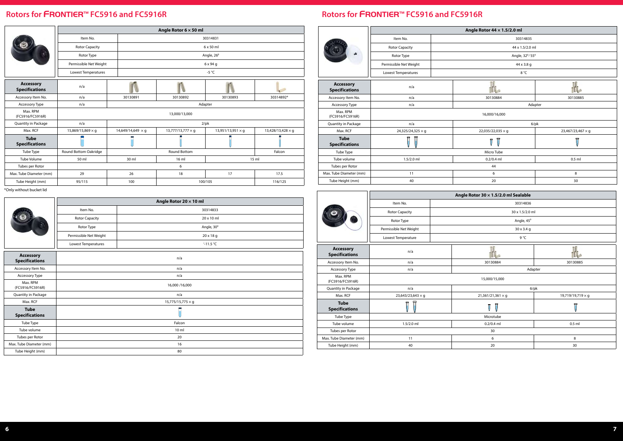\*Only without bucket lid

|                                           | Angle Rotor $6 \times 50$ ml |                                             |                          |                          |                          |  |  |  |
|-------------------------------------------|------------------------------|---------------------------------------------|--------------------------|--------------------------|--------------------------|--|--|--|
|                                           | Item No.                     |                                             | 30314831                 |                          |                          |  |  |  |
|                                           | Rotor Capacity               |                                             | 6 x 50 ml                |                          |                          |  |  |  |
|                                           | Rotor Type                   |                                             |                          | Angle, 26°               |                          |  |  |  |
|                                           | Permissible Net Weight       |                                             |                          | 6 x 94 g                 |                          |  |  |  |
|                                           | Lowest Temperatures          |                                             |                          | -5 $^{\circ}$ C          |                          |  |  |  |
| <b>Accessory</b><br><b>Specifications</b> | n/a                          |                                             |                          |                          |                          |  |  |  |
| Accessory Item No.                        | n/a                          | 30130891                                    | 30130892                 | 30130893                 | 30314892*                |  |  |  |
| <b>Accessory Type</b>                     | n/a                          |                                             |                          | Adapter                  |                          |  |  |  |
| Max. RPM<br>(FC5916/FC5916R)              |                              |                                             | 13,000/13,000            |                          |                          |  |  |  |
| Quantity in Package                       | n/a                          |                                             |                          | $2$ /pk                  |                          |  |  |  |
| Max. RCF                                  | 15,869/15,869 $\times$ q     | 14,649/14,649 $\times$ q                    | $13,777/13,777 \times q$ | 13,951/13,951 $\times$ q | 13,428/13,428 $\times$ q |  |  |  |
| <b>Tube</b><br><b>Specifications</b>      |                              |                                             |                          |                          |                          |  |  |  |
| Tube Type                                 | Round Bottom Oakridge        |                                             | <b>Round Bottom</b>      |                          | Falcon                   |  |  |  |
| Tube Volume                               | 50 ml                        | 30 ml<br>16 <sub>m</sub><br>15 <sub>m</sub> |                          |                          |                          |  |  |  |
| Tubes per Rotor                           |                              |                                             | 6                        |                          |                          |  |  |  |
| Max. Tube Diameter (mm)                   | 29                           | 26                                          | 18                       | 17                       | 17.5                     |  |  |  |
| Tube Height (mm)                          | 95/115                       | 100                                         |                          | 100/105                  | 116/125                  |  |  |  |

|                                      |                        | Angle Rotor 20 x 10 ml   |  |  |
|--------------------------------------|------------------------|--------------------------|--|--|
|                                      | Item No.               | 30314833                 |  |  |
|                                      | <b>Rotor Capacity</b>  | 20 x 10 ml               |  |  |
|                                      | Rotor Type             | Angle, 30°               |  |  |
|                                      | Permissible Net Weight | 20 x 18 g                |  |  |
|                                      | Lowest Temperatures    | $-11.5$ °C               |  |  |
| Accessory<br><b>Specifications</b>   |                        | n/a                      |  |  |
| Accessory Item No.                   | n/a                    |                          |  |  |
| Accessory Type                       | n/a                    |                          |  |  |
| Max. RPM<br>(FC5916/FC5916R)         |                        | 16,000 / 16,000          |  |  |
| Quantity in Package                  |                        | n/a                      |  |  |
| Max. RCF                             |                        | $15,775/15,775 \times g$ |  |  |
| <b>Tube</b><br><b>Specifications</b> |                        |                          |  |  |
| Tube Type                            |                        | Falcon                   |  |  |
| Tube volume                          | 10 <sub>m</sub>        |                          |  |  |
| Tubes per Rotor                      |                        | 20                       |  |  |
| Max. Tube Diameter (mm)              |                        | 16                       |  |  |
| Tube Height (mm)                     |                        | 80                       |  |  |

#### **Rotors for** FRONTIER™ **FC5916 and FC5916R**

|                                           |                        | Angle Rotor 44 x 1.5/2.0 ml          |                         |  |  |  |  |
|-------------------------------------------|------------------------|--------------------------------------|-------------------------|--|--|--|--|
|                                           | Item No.               | 30314835                             |                         |  |  |  |  |
|                                           | <b>Rotor Capacity</b>  |                                      | 44 x 1.5/2.0 ml         |  |  |  |  |
|                                           | Rotor Type             |                                      | Angle, 32°/55°          |  |  |  |  |
|                                           | Permissible Net Weight | 44 x 3.8 g                           |                         |  |  |  |  |
|                                           | Lowest Temperatures    | 8°C                                  |                         |  |  |  |  |
|                                           |                        |                                      | m                       |  |  |  |  |
| <b>Accessory</b><br><b>Specifications</b> | n/a                    |                                      | ΠL,                     |  |  |  |  |
| Accessory Item No.                        | n/a                    | 30130884                             | 30130885                |  |  |  |  |
| Accessory Type                            | n/a                    | Adapter                              |                         |  |  |  |  |
| Max. RPM<br>(FC5916/FC5916R)              |                        | 16,000/16,000                        |                         |  |  |  |  |
| Quantity in Package                       | n/a                    | $6$ /pk                              |                         |  |  |  |  |
| Max. RCF                                  | 24,325/24,325 × g      | 22,035/22,035 × g                    | 23,467/23,467 × g       |  |  |  |  |
| <b>Tube</b><br><b>Specifications</b>      |                        | $\overline{\mathsf{U}}$<br>Ţ         | $\overline{\mathbb{U}}$ |  |  |  |  |
| Tube Type                                 |                        | Micro Tube                           |                         |  |  |  |  |
| Tube volume                               | $1.5/2.0$ ml           | $0.2/0.4$ ml                         | $0.5$ ml                |  |  |  |  |
| Tubes per Rotor                           |                        | 44                                   |                         |  |  |  |  |
| Max. Tube Diameter (mm)                   | 11                     | 6                                    | 8                       |  |  |  |  |
| Tube Height (mm)                          | 40                     | 20                                   | 30                      |  |  |  |  |
|                                           |                        |                                      |                         |  |  |  |  |
|                                           |                        |                                      |                         |  |  |  |  |
|                                           |                        | Angle Rotor 30 x 1.5/2.0 ml Sealable |                         |  |  |  |  |
|                                           | Item No.               | 30314836                             |                         |  |  |  |  |
|                                           | <b>Rotor Capacity</b>  | 30 x 1.5/2.0 ml                      |                         |  |  |  |  |
|                                           | Rotor Type             | Angle, 45°                           |                         |  |  |  |  |
|                                           | Permissible Net Weight | 30 x 3.4 g                           |                         |  |  |  |  |
|                                           | Lowest Temperature     | 9 °C                                 |                         |  |  |  |  |
|                                           |                        |                                      |                         |  |  |  |  |
| <b>Accessory</b><br><b>Specifications</b> | n/a                    |                                      |                         |  |  |  |  |
| Accessory Item No.                        | n/a                    | 30130884                             | 30130885                |  |  |  |  |
| Accessory Type                            | n/a                    | Adapter                              |                         |  |  |  |  |
| Max. RPM<br>(FC5916/FC5916R)              |                        | 15,000/15,000                        |                         |  |  |  |  |
| Quantity in Package                       | n/a                    | $6$ /pk                              |                         |  |  |  |  |
| Max. RCF                                  | 23,643/23,643 × g      | $21,361/21,361 \times g$             | 19,719/19,719 × g       |  |  |  |  |
| <b>Tube</b><br><b>Specifications</b>      |                        | $\bar{\rm U}$<br>Ţ                   | $\overline{\mathsf{V}}$ |  |  |  |  |
| Tube Type                                 |                        | Microtube                            |                         |  |  |  |  |
| Tube volume                               | 1.5/2.0 ml             | $0.2/0.4$ ml                         | $0.5$ ml                |  |  |  |  |
| Tubes per Rotor                           |                        | 30                                   |                         |  |  |  |  |
| Max. Tube Diameter (mm)                   | 11                     | 6                                    | 8                       |  |  |  |  |

|                                           | Angle Rotor $44 \times 1.5/2.0$ ml |                                      |                         |  |  |  |  |
|-------------------------------------------|------------------------------------|--------------------------------------|-------------------------|--|--|--|--|
|                                           | Item No.                           | 30314835                             |                         |  |  |  |  |
|                                           | <b>Rotor Capacity</b>              |                                      | 44 x 1.5/2.0 ml         |  |  |  |  |
|                                           | Rotor Type                         |                                      | Angle, 32°/55°          |  |  |  |  |
|                                           | Permissible Net Weight             | 44 x 3.8 g                           |                         |  |  |  |  |
|                                           | Lowest Temperatures                | 8°C                                  |                         |  |  |  |  |
|                                           |                                    |                                      | Tſ                      |  |  |  |  |
| <b>Accessory</b><br><b>Specifications</b> | n/a                                |                                      | ill.                    |  |  |  |  |
| Accessory Item No.                        | n/a                                | 30130884                             | 30130885                |  |  |  |  |
| Accessory Type                            | n/a                                | Adapter                              |                         |  |  |  |  |
| Max. RPM<br>(FC5916/FC5916R)              |                                    | 16,000/16,000                        |                         |  |  |  |  |
| Quantity in Package                       | n/a                                | $6$ /pk                              |                         |  |  |  |  |
| Max. RCF                                  | 24,325/24,325 × g                  | 22,035/22,035 × g                    | 23,467/23,467 × g       |  |  |  |  |
| <b>Tube</b><br><b>Specifications</b>      | Ţ                                  | Ū<br>Ī                               | $\overline{\mathsf{U}}$ |  |  |  |  |
| Tube Type                                 |                                    | Micro Tube                           |                         |  |  |  |  |
| Tube volume                               | $1.5/2.0$ ml                       | $0.2/0.4$ ml                         | $0.5$ ml                |  |  |  |  |
| Tubes per Rotor                           |                                    | 44                                   |                         |  |  |  |  |
| Max. Tube Diameter (mm)                   | 11                                 | 6                                    | 8                       |  |  |  |  |
| Tube Height (mm)                          | 40                                 | 20                                   | 30                      |  |  |  |  |
|                                           |                                    |                                      |                         |  |  |  |  |
|                                           |                                    |                                      |                         |  |  |  |  |
|                                           |                                    | Angle Rotor 30 x 1.5/2.0 ml Sealable |                         |  |  |  |  |
|                                           | Item No.                           | 30314836                             |                         |  |  |  |  |
|                                           | <b>Rotor Capacity</b>              | 30 x 1.5/2.0 ml                      |                         |  |  |  |  |
|                                           | Rotor Type                         | Angle, 45°                           |                         |  |  |  |  |
|                                           | Permissible Net Weight             | 30 x 3.4 g                           |                         |  |  |  |  |
|                                           | Lowest Temperature                 | 9 °C                                 |                         |  |  |  |  |
|                                           |                                    |                                      |                         |  |  |  |  |
| <b>Accessory</b><br><b>Specifications</b> | n/a                                |                                      |                         |  |  |  |  |
| Accessory Item No.                        | n/a                                | 30130884                             | 30130885                |  |  |  |  |
| Accessory Type                            | n/a                                | Adapter                              |                         |  |  |  |  |
| Max. RPM<br>(FC5916/FC5916R)              |                                    | 15,000/15,000                        |                         |  |  |  |  |
| Quantity in Package                       | n/a                                | $6$ /pk                              |                         |  |  |  |  |
| Max. RCF                                  | 23,643/23,643 × g                  | $21,361/21,361 \times q$             | 19,719/19,719 × g       |  |  |  |  |
| <b>Tube</b><br><b>Specifications</b>      |                                    | Ţ                                    | $\overline{\mathsf{U}}$ |  |  |  |  |
| Tube Type                                 |                                    | Microtube                            |                         |  |  |  |  |
| Tube volume                               | 1.5/2.0 ml                         | $0.2/0.4$ ml                         | $0.5$ ml                |  |  |  |  |
| Tubes per Rotor                           |                                    | $30\,$                               |                         |  |  |  |  |
| Max. Tube Diameter (mm)                   | 11                                 | 6                                    | 8                       |  |  |  |  |

### **Rotors for** FRONTIER™ **FC5916 and FC5916R**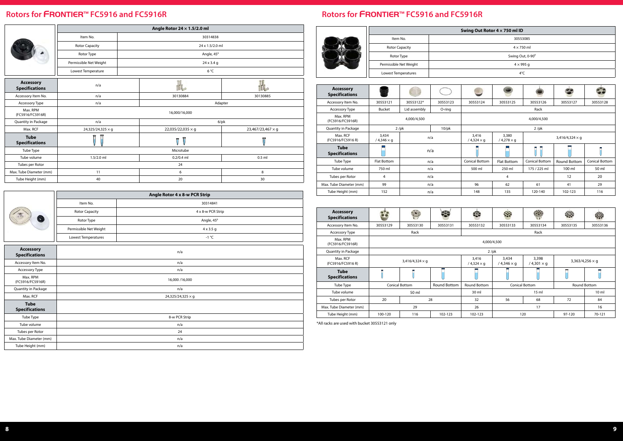|                                           | Angle Rotor 24 x 1.5/2.0 ml |                   |                   |  |  |  |  |
|-------------------------------------------|-----------------------------|-------------------|-------------------|--|--|--|--|
|                                           | Item No.                    | 30314838          |                   |  |  |  |  |
|                                           | <b>Rotor Capacity</b>       | 24 x 1.5/2.0 ml   |                   |  |  |  |  |
|                                           | Rotor Type                  | Angle, 45°        |                   |  |  |  |  |
|                                           | Permissible Net Weight      | 24 x 3.4 g        |                   |  |  |  |  |
|                                           | Lowest Temperature          | 6 °C              |                   |  |  |  |  |
| <b>Accessory</b><br><b>Specifications</b> | n/a                         |                   |                   |  |  |  |  |
| Accessory Item No.                        | n/a                         | 30130884          | 30130885          |  |  |  |  |
| Accessory Type                            | n/a                         | Adapter           |                   |  |  |  |  |
| Max. RPM<br>(FC5916/FC5916R)              |                             | 16,000/16,000     |                   |  |  |  |  |
| Quantity in Package                       | n/a                         |                   | $6$ /pk           |  |  |  |  |
| Max. RCF                                  | 24,325/24,325 × g           | 22,035/22,035 × g | 23,467/23,467 × g |  |  |  |  |
| <b>Tube</b><br><b>Specifications</b>      | ਜ                           | $\overline{\Pi}$  | ᇦ                 |  |  |  |  |
| Tube Type                                 |                             | Microtube         |                   |  |  |  |  |
| Tube volume                               | $1.5/2.0$ ml                | $0.2/0.4$ ml      | $0.5$ ml          |  |  |  |  |
| Tubes per Rotor                           |                             | 24                |                   |  |  |  |  |
| Max. Tube Diameter (mm)                   | 11                          | 6                 | 8                 |  |  |  |  |
| Tube Height (mm)                          | 40                          | 20                | 30                |  |  |  |  |

|                                      |                                            | Angle Rotor 4 x 8-w PCR Strip |  |  |  |  |  |
|--------------------------------------|--------------------------------------------|-------------------------------|--|--|--|--|--|
|                                      | Item No.                                   | 30314841                      |  |  |  |  |  |
|                                      | <b>Rotor Capacity</b><br>4 x 8-w PCR Strip |                               |  |  |  |  |  |
| Q                                    | Rotor Type                                 | Angle, 45°                    |  |  |  |  |  |
|                                      | Permissible Net Weight                     | $4 \times 3.5$ g              |  |  |  |  |  |
|                                      | Lowest Temperatures                        | $-1$ °C                       |  |  |  |  |  |
| Accessory<br><b>Specifications</b>   |                                            | n/a                           |  |  |  |  |  |
| Accessory Item No.                   |                                            | n/a                           |  |  |  |  |  |
| Accessory Type                       |                                            | n/a                           |  |  |  |  |  |
| Max. RPM<br>(FC5916/FC5916R)         |                                            | 16,000 / 16,000               |  |  |  |  |  |
| Quantity in Package                  |                                            | n/a                           |  |  |  |  |  |
| Max. RCF                             |                                            | 24,325/24,325 × g             |  |  |  |  |  |
| <b>Tube</b><br><b>Specifications</b> |                                            |                               |  |  |  |  |  |
| Tube Type                            |                                            | 8-w PCR Strip                 |  |  |  |  |  |
| Tube volume                          |                                            | n/a                           |  |  |  |  |  |
| Tubes per Rotor                      |                                            | 24                            |  |  |  |  |  |
| Max. Tube Diameter (mm)              |                                            | n/a                           |  |  |  |  |  |
| Tube Height (mm)                     |                                            | n/a                           |  |  |  |  |  |

| Item No.               |  |
|------------------------|--|
| <b>Rotor Capacity</b>  |  |
| Rotor Type             |  |
| Permissible Net Weight |  |
| Lowest Temperatures    |  |
|                        |  |

| <b>Accessory</b><br><b>Specifications</b> | $\bullet\bullet$       | i S                   | e            | 69                         | $\mathcal{E}_{\mathcal{D}}$ | $\frac{1}{2}$              |                        | ₩               |
|-------------------------------------------|------------------------|-----------------------|--------------|----------------------------|-----------------------------|----------------------------|------------------------|-----------------|
| Accessory Item No.                        | 30553129               | 30553130              | 30553131     | 30553132                   | 30553133                    | 30553134                   | 30553135               | 30553136        |
| <b>Accessory Type</b>                     |                        | Rack                  |              |                            |                             | Rack                       |                        |                 |
| Max. RPM<br>(FC5916/FC5916R)              |                        |                       |              | 4,000/4,500                |                             |                            |                        |                 |
| Quantity in Package                       |                        |                       |              | $2$ /pk                    |                             |                            |                        |                 |
| Max. RCF<br>(FC5916/FC5916 R)             | $3,416/4,324 \times q$ |                       |              | 3,416<br>$/4,324 \times g$ | 3,434<br>$/4,346 \times q$  | 3,398<br>$/4,301 \times q$ | 3,363/4,256 $\times$ q |                 |
| <b>Tube</b><br><b>Specifications</b>      |                        |                       |              |                            |                             |                            |                        |                 |
| Tube Type                                 |                        | <b>Conical Bottom</b> | Round Bottom | Round Bottom               |                             | <b>Conical Bottom</b>      | Round Bottom           |                 |
| Tube volume                               |                        | 50 ml                 |              | 30 ml                      |                             | 15 <sub>m</sub>            |                        | 10 <sub>m</sub> |
| Tubes per Rotor                           | 20                     |                       | 28           | 32                         | 56<br>68                    |                            | 72                     | 84              |
| Max. Tube Diameter (mm)                   | 29                     |                       | 26           | 17                         |                             |                            | 16                     |                 |
| Tube Height (mm)                          | 100-120                | 116                   | 102-123      | 102-123                    |                             | 120                        | 97-120                 | 70-121          |

| <b>Accessory</b><br><b>Specifications</b> |                            |              |             |                            |                            |                        |              |                       |
|-------------------------------------------|----------------------------|--------------|-------------|----------------------------|----------------------------|------------------------|--------------|-----------------------|
| Accessory Item No.                        | 30553121                   | 30553122*    | 30553123    | 30553124                   | 30553125                   | 30553126               | 30553127     | 30553128              |
| <b>Accessory Type</b>                     | <b>Bucket</b>              | Lid assembly | $O$ -ring   |                            |                            | Rack                   |              |                       |
| Max. RPM<br>(FC5916/FC5916R)              |                            | 4,000/4,500  |             | 4,000/4,500                |                            |                        |              |                       |
| Quantity in Package                       |                            | $2$ /pk      | $10$ /p $k$ |                            |                            | $2$ /pk                |              |                       |
| Max. RCF<br>(FC5916/FC5916 R)             | 3,434<br>$/4,346 \times q$ | n/a          |             | 3,416<br>$/4,324 \times g$ | 3,380<br>$/4,278 \times g$ | $3,416/4,324 \times q$ |              |                       |
| <b>Tube</b><br><b>Specifications</b>      |                            | n/a          |             |                            |                            |                        |              |                       |
| Tube Type                                 | Flat Bottom                | n/a          |             | Conical Bottom             | <b>Flat Bottom</b>         | <b>Conical Bottom</b>  | Round Bottom | <b>Conical Bottom</b> |
| Tube volume                               | 750 ml                     | n/a          |             | 500 ml                     | 250 ml                     | 175 / 225 ml           | 100 ml       | 50 ml                 |
| Tubes per Rotor                           | 4                          | n/a          |             |                            | $\overline{4}$             |                        | 12           | 20                    |
| Max. Tube Diameter (mm)                   | 99                         | n/a          |             | 96                         | 62                         | 61                     | 41           | 29                    |
| Tube Height (mm)                          | 152                        | n/a          |             | 148                        | 135                        | 120-140                | 102-123      | 116                   |

|                        |                       |             |                   | Swing Out Rotor 4 x 750 ml ID |          |          |          |  |  |  |
|------------------------|-----------------------|-------------|-------------------|-------------------------------|----------|----------|----------|--|--|--|
|                        | Item No.<br>30553085  |             |                   |                               |          |          |          |  |  |  |
|                        | <b>Rotor Capacity</b> |             | $4 \times 750$ ml |                               |          |          |          |  |  |  |
|                        | Rotor Type            |             |                   | Swing Out, 0-90°              |          |          |          |  |  |  |
| Permissible Net Weight |                       |             |                   | $4 \times 995$ g              |          |          |          |  |  |  |
|                        | Lowest Temperatures   |             | 4°C               |                               |          |          |          |  |  |  |
|                        |                       |             |                   |                               |          |          |          |  |  |  |
|                        |                       |             |                   |                               |          |          |          |  |  |  |
| 553121                 | 30553122*             | 30553123    | 30553124          | 30553125                      | 30553126 | 30553127 | 30553128 |  |  |  |
| ucket                  | Lid assembly          | O-ring      | Rack              |                               |          |          |          |  |  |  |
|                        | 4,000/4,500           | 4,000/4,500 |                   |                               |          |          |          |  |  |  |

\*All racks are used with bucket 30553121 only

#### **Rotors for** FRONTIER™ **FC5916 and FC5916R Rotors for** FRONTIER™ **FC5916 and FC5916R**

| Rotors for FRONTIER™ FC5916 and FC59 |  |
|--------------------------------------|--|
|--------------------------------------|--|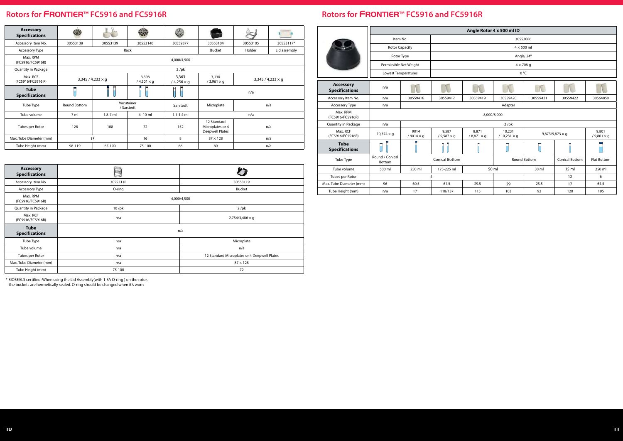| <b>Accessory</b><br><b>Specifications</b> | 秂        |                                              |  |  |
|-------------------------------------------|----------|----------------------------------------------|--|--|
| Accessory Item No.                        | 30553118 | 30553119                                     |  |  |
| Accessory Type                            | O-ring   | <b>Bucket</b>                                |  |  |
| Max. RPM<br>(FC5916/FC5916R)              |          | 4,000/4,500                                  |  |  |
| Quantity in Package                       | $10$ /pk | $2$ /pk                                      |  |  |
| Max. RCF<br>(FC5916/FC5916R)              | n/a      | $2,754/3,486 \times g$                       |  |  |
| <b>Tube</b><br><b>Specifications</b>      |          | n/a                                          |  |  |
| Tube Type                                 | n/a      | Microplate                                   |  |  |
| Tube volume                               | n/a      | n/a                                          |  |  |
| Tubes per Rotor                           | n/a      | 12 Standard Microplates or 4 Deepwell Plates |  |  |
| Max. Tube Diameter (mm)                   | n/a      | $87 \times 128$                              |  |  |
| Tube Height (mm)                          | 75-100   | 72                                           |  |  |
|                                           |          |                                              |  |  |

\* BIOSEALS certified: When using the Lid Assembly(with 1 EA O-ring ) on the rotor, the buckets are hermetically sealed. O-ring should be changed when it's worn

| <b>Accessory</b><br><b>Specifications</b> |                          |              |                            |                            |                                                                  |          |              |
|-------------------------------------------|--------------------------|--------------|----------------------------|----------------------------|------------------------------------------------------------------|----------|--------------|
| Accessory Item No.                        | 30553138                 | 30553139     | 30553140                   | 30559377                   | 30553104                                                         | 30553105 | 30553117*    |
| <b>Accessory Type</b>                     |                          |              | Rack                       |                            | <b>Bucket</b>                                                    | Holder   | Lid assembly |
| Max. RPM<br>(FC5916/FC5916R)              |                          |              |                            | 4,000/4,500                |                                                                  |          |              |
| Quantity in Package                       |                          |              |                            | $2$ /pk                    |                                                                  |          |              |
| Max. RCF<br>(FC5916/FC5916 R)             | 3,345 / 4,233 $\times$ q |              | 3,398<br>$/4,301 \times q$ | 3,363<br>$/4,256 \times g$ | 3,130<br>$3,345 / 4,233 \times g$<br>$/3,961 \times g$           |          |              |
| <b>Tube</b><br><b>Specifications</b>      |                          |              |                            | 〓                          | n/a                                                              |          |              |
| Tube Type                                 | <b>Round Bottom</b>      |              | Vacutainer<br>/ Sarstedt   | Sarstedt                   | Microplate                                                       |          | n/a          |
| Tube volume                               | 7 ml                     | $1.8 - 7$ ml | 4-10 ml                    | $1.1 - 1.4$ ml             |                                                                  | n/a      |              |
| Tubes per Rotor                           | 128                      | 108          | 72                         | 152                        | 12 Standard<br>Microplates or 4<br>n/a<br><b>Deepwell Plates</b> |          |              |
| Max. Tube Diameter (mm)                   |                          | 13           | 16                         | 8                          | $87 \times 128$<br>n/a                                           |          |              |
| Tube Height (mm)                          | 98-119                   | 65-100       | 75-100                     | 66                         | 80                                                               |          | n/a          |

| Rotors for FRONTIER™ FC5916 and FC591 |  |  |  |  |
|---------------------------------------|--|--|--|--|
|                                       |  |  |  |  |

|                                           |                           |                           |                            |                               | Angle Rotor 4 x 500 ml ID    |                     |                        |                             |
|-------------------------------------------|---------------------------|---------------------------|----------------------------|-------------------------------|------------------------------|---------------------|------------------------|-----------------------------|
|                                           | Item No.                  |                           |                            |                               | 30553086                     |                     |                        |                             |
|                                           | <b>Rotor Capacity</b>     |                           |                            |                               | $4 \times 500$ ml            |                     |                        |                             |
|                                           | Rotor Type                |                           |                            |                               |                              | Angle, 24°          |                        |                             |
|                                           | Permissible Net Weight    |                           |                            |                               |                              | $4 \times 708$ q    |                        |                             |
|                                           | Lowest Temperatures       |                           |                            |                               |                              | 0 °C                |                        |                             |
| <b>Accessory</b><br><b>Specifications</b> | n/a                       |                           |                            |                               |                              | $\sqrt{2}$          |                        |                             |
| Accessory Item No.                        | n/a                       | 30559416                  | 30559417                   | 30559419                      | 30559420                     | 30559421            | 30559422               | 30564850                    |
| Accessory Type                            | n/a                       |                           |                            |                               | Adapter                      |                     |                        |                             |
| Max. RPM<br>(FC5916/FC5916R)              |                           |                           |                            |                               | 8,000/8,000                  |                     |                        |                             |
| Quantity in Package                       | n/a                       |                           |                            |                               | $2$ /pk                      |                     |                        |                             |
| Max. RCF<br>(FC5916/FC5916R)              | $10,374 \times q$         | 9014<br>$/9014 \times q$  | 9,587<br>$/9,587 \times q$ | 8.871<br>$/$ 8,871 $\times$ q | 10,231<br>$/10,231 \times q$ |                     | $9,873/9,873 \times q$ | 9,801<br>$/ 9,801 \times g$ |
| <b>Tube</b><br><b>Specifications</b>      |                           |                           |                            |                               |                              |                     |                        |                             |
| Tube Type                                 | Round / Conical<br>Bottom |                           | <b>Conical Bottom</b>      |                               |                              | <b>Round Bottom</b> | <b>Conical Bottom</b>  | <b>Flat Bottom</b>          |
| Tube volume                               | 500 ml                    | 250 ml                    | 175-225 ml                 |                               | 50 ml                        | 30 ml               | 15 <sub>m</sub>        | 250 ml                      |
| Tubes per Rotor                           |                           | $\overline{4}$<br>12<br>6 |                            |                               |                              |                     |                        |                             |
| Max. Tube Diameter (mm)                   | 96                        | 60.5                      | 61.5                       | 29.5                          | 29                           | 25.5                | 17                     | 61.5                        |
| Tube Height (mm)                          | n/a                       | 171                       | 118/137                    | 115                           | 103                          | 92                  | 120                    | 195                         |

#### **Rotors for** FRONTIER™ **FC5916 and FC5916R Rotors for** FRONTIER™ **FC5916 and FC5916R**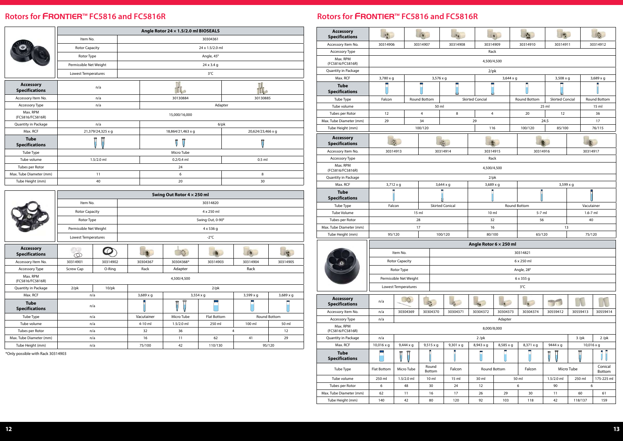|                                           |                        | Angle Rotor 24 x 1.5/2.0 ml BIOSEALS |                   |  |  |
|-------------------------------------------|------------------------|--------------------------------------|-------------------|--|--|
|                                           | Item No.               | 30304361                             |                   |  |  |
|                                           | <b>Rotor Capacity</b>  | 24 x 1.5/2.0 ml                      |                   |  |  |
|                                           | Rotor Type             | Angle, 45°                           |                   |  |  |
|                                           | Permissible Net Weight | 24 x 3.4 g                           |                   |  |  |
|                                           | Lowest Temperatures    | 3°C                                  |                   |  |  |
| <b>Accessory</b><br><b>Specifications</b> | n/a                    | صانا                                 |                   |  |  |
| Accessory Item No.                        | n/a                    | 30130884                             | 30130885          |  |  |
| Accessory Type                            | n/a<br>Adapter         |                                      |                   |  |  |
| Max. RPM<br>(FC5816/FC5816R)              |                        | 15,000/16,000                        |                   |  |  |
| Quantity in Package                       | n/a                    |                                      | $6$ /pk           |  |  |
| Max. RCF                                  | 21,379/24,325 x g      | 18,864/21,463 x g                    | 20,624/23,466 x g |  |  |
| <b>Tube</b><br><b>Specifications</b>      | 曱                      | Ī<br>$\overline{U}$                  | 亓                 |  |  |
| Tube Type                                 |                        | Micro Tube                           |                   |  |  |
| Tube volume                               | $1.5/2.0$ ml           | $0.2/0.4$ ml                         | $0.5$ ml          |  |  |
| Tubes per Rotor                           |                        | 24                                   |                   |  |  |
| Max. Tube Diameter (mm)                   | 11                     | 6                                    | 8                 |  |  |
| Tube Height (mm)                          | 40                     | 20                                   | 30                |  |  |

\*Only possible with Rack 30314903

|                                           |                        |          |                  | Swing Out Rotor 4 x 250 ml |                  |                  |                  |  |
|-------------------------------------------|------------------------|----------|------------------|----------------------------|------------------|------------------|------------------|--|
|                                           | Item No.               |          | 30314820         |                            |                  |                  |                  |  |
|                                           | <b>Rotor Capacity</b>  |          |                  |                            | 4 x 250 ml       |                  |                  |  |
|                                           | Rotor Type             |          |                  |                            | Swing Out, 0-90° |                  |                  |  |
|                                           | Permissible Net Weight |          |                  |                            | $4 \times 536$ q |                  |                  |  |
| $-2$ °C<br>Lowest Temperatures            |                        |          |                  |                            |                  |                  |                  |  |
| <b>Accessory</b><br><b>Specifications</b> | $\mathbb{O}$           |          |                  | $\mathbb{C}_{\mathbb{C}}$  |                  |                  |                  |  |
| Accessory Item No.                        | 30314901               | 30314902 | 30304367         | 30304368*                  | 30314903         | 30314904         | 30314905         |  |
| <b>Accessory Type</b>                     | Screw Cap              | O-Ring   | Rack             | Adapter                    |                  | Rack             |                  |  |
| Max. RPM<br>(FC5816/FC5816R)              |                        |          |                  | 4,500/4,500                |                  |                  |                  |  |
| Quantity in Package                       | $2$ /pk                | $10$ /pk |                  |                            | $2$ /pk          |                  |                  |  |
| Max. RCF                                  | n/a                    |          | $3,689 \times g$ |                            | $3,554 \times g$ | $3,599 \times g$ | $3,689 \times g$ |  |
| <b>Tube</b><br><b>Specifications</b>      | n/a                    |          |                  | Π                          |                  |                  |                  |  |
| Tube Type                                 | n/a                    |          | Vacutainer       | Micro Tube                 | Flat Bottom      |                  | Round Bottom     |  |
| Tube volume                               | n/a                    |          | $4-10$ ml        | $1.5/2.0$ ml               | 250 ml           | 100 ml           | 50 ml            |  |
| Tubes per Rotor                           | n/a                    |          | 32               | 36                         |                  | 4                | 12               |  |
| Max. Tube Diameter (mm)                   | n/a                    |          | 16               | 11                         | 62               | 41               | 29               |  |
| Tube Height (mm)                          | n/a                    |          | 75/100           | 42                         | 110/130          |                  | 95/120           |  |

### **Rotors for** FRONTIER™ **FC5816 and FC5816R**

| <b>Accessory</b><br><b>Specifications</b> |                                  |                        |                     |                  |                        |                  |                     |                        |            |                     |
|-------------------------------------------|----------------------------------|------------------------|---------------------|------------------|------------------------|------------------|---------------------|------------------------|------------|---------------------|
| Accessory Item No.                        | 30314906                         |                        | 30314907            | 30314908         | 30314909               |                  | 30314910            | 30314911               |            | 30314912            |
| Accessory Type                            |                                  |                        |                     |                  | Rack                   |                  |                     |                        |            |                     |
| Max. RPM<br>(FC5816/FC5816R)              |                                  |                        |                     |                  | 4,500/4,500            |                  |                     |                        |            |                     |
| Quantity in Package                       |                                  |                        |                     |                  | $2$ /pk                |                  |                     |                        |            |                     |
| Max. RCF                                  | $3,780 \times g$                 |                        | $3,576 \times g$    |                  |                        | 3,644 x g        |                     | $3,508 \times g$       |            | 3,689 x g           |
| <b>Tube</b>                               |                                  |                        |                     |                  |                        |                  |                     |                        |            |                     |
| <b>Specifications</b>                     |                                  |                        |                     |                  |                        |                  |                     |                        |            |                     |
| Tube Type                                 | Falcon                           |                        | <b>Round Bottom</b> |                  | <b>Skirted Concial</b> |                  | <b>Round Bottom</b> | <b>Skirted Concial</b> |            | <b>Round Bottom</b> |
| Tube volume                               |                                  |                        | 50 ml               |                  |                        |                  |                     | 25 ml                  |            | 15 <sub>m</sub>     |
| Tubes per Rotor                           | 12                               |                        | 4                   | 8                | $\overline{4}$         |                  | 20                  | 12                     |            | 36                  |
| Max. Tube Diameter (mm)                   | 29                               |                        | 34                  |                  | 29                     |                  |                     | 24.5                   |            | 17                  |
| Tube Height (mm)                          |                                  |                        | 100/120             |                  | 116                    |                  | 100/120             | 85/100                 |            | 76/115              |
| <b>Accessory</b><br><b>Specifications</b> |                                  |                        |                     |                  |                        |                  |                     |                        |            |                     |
| Accessory Item No.                        |                                  | 30314913               |                     | 30314914         | 30314915               |                  | 30314916            |                        | 30314917   |                     |
| Accessory Type                            |                                  |                        |                     |                  | Rack                   |                  |                     |                        |            |                     |
| Max. RPM<br>(FC5816/FC5816R)              |                                  |                        |                     |                  | 4,500/4,500            |                  |                     |                        |            |                     |
| Quantity in Package                       |                                  | $2$ /pk                |                     |                  |                        |                  |                     |                        |            |                     |
| Max. RCF                                  |                                  | 3,712 x g              |                     | $3,644 \times g$ | 3,689 x g              |                  |                     | 3,599 x g              |            |                     |
| <b>Tube</b><br><b>Specifications</b>      |                                  |                        |                     |                  |                        |                  |                     |                        |            |                     |
| Tube Type                                 | <b>Skirted Conical</b><br>Falcon |                        |                     |                  |                        |                  | Round Bottom        |                        | Vacutainer |                     |
| Tube Volume                               | 15 <sub>m</sub>                  |                        |                     | 10 <sub>m</sub>  |                        | 5-7 ml           |                     | $1.6 - 7$ ml           |            |                     |
| Tubes per Rotor                           | 28                               |                        |                     | 32               |                        | 56               |                     | 40                     |            |                     |
| Max. Tube Diameter (mm)                   | 17                               |                        |                     |                  | 16                     |                  |                     | 13                     |            |                     |
| Tube Height (mm)                          |                                  | 95/120                 |                     | 100/120          | 80/100                 |                  | 65/120              |                        | 75/120     |                     |
|                                           |                                  |                        |                     |                  | Angle Rotor 6 x 250 ml |                  |                     |                        |            |                     |
|                                           |                                  | Item No.               |                     |                  |                        |                  | 30314821            |                        |            |                     |
|                                           |                                  |                        |                     |                  |                        |                  |                     |                        |            |                     |
|                                           |                                  | <b>Rotor Capacity</b>  |                     |                  |                        |                  | 6 x 250 ml          |                        |            |                     |
|                                           |                                  | Rotor Type             |                     |                  |                        |                  | Angle, 28°          |                        |            |                     |
|                                           |                                  | Permissible Net Weight |                     |                  |                        |                  | $6 \times 355$ q    |                        |            |                     |
|                                           |                                  | Lowest Temperatures    |                     |                  |                        |                  | 3°C                 |                        |            |                     |
| <b>Accessory</b><br><b>Specifications</b> | n/a                              | $\mathcal{V}^{\ast}$   |                     |                  |                        | 1a               |                     | GER OF                 |            |                     |
| Accessory Item No.                        | n/a                              | 30304369               | 30304370            | 30304371         | 30304372               | 30304373         | 30304374            | 30559412               | 30559413   | 30559414            |
| Accessory Type                            | n/a                              |                        |                     |                  |                        | Adapter          |                     |                        |            |                     |
| Max. RPM                                  |                                  |                        |                     |                  |                        |                  |                     |                        |            |                     |
| (FC5816/FC5816R)                          |                                  | 8,000/8,000            |                     |                  |                        |                  |                     |                        |            |                     |
| Quantity in Package                       | $3$ /pk<br>n/a<br>$2$ /pk        |                        |                     |                  |                        | $2$ /pk          |                     |                        |            |                     |
| Max. RCF                                  | 10,016 x g                       | 9,444 x g              | 9,515 x g           | 9,301 x g        | 8,943 x g              | $8,585 \times g$ | 8,371 x g           | 9444 x g               | 10,016 x g |                     |
| <b>Tube</b><br><b>Specifications</b>      |                                  | Π                      |                     |                  |                        |                  |                     |                        |            |                     |
| Tube Type                                 | Flat Bottom                      | Micro Tube             | Round<br>Bottom     | Falcon           |                        | Round Bottom     | Falcon              |                        | Micro Tube | Conical<br>Bottom   |
| Tube volume                               | 250 ml                           | $1.5/2.0$ ml           | 10 <sub>m</sub>     | 15 ml            | 30 ml                  |                  | 50 ml               | $1.5/2.0$ ml           | 250 ml     | 175-225 ml          |
| Tubes per Rotor                           | 6                                | 48                     | 30                  | 24               | 12                     |                  | 6                   | 90                     | 6          |                     |
| Max. Tube Diameter (mm)                   | 62                               | 11                     | 16                  | 17               | 26                     | 29               | 30                  | 11                     | 60         | 61                  |
| Tube Height (mm)                          | 140                              | 42                     | 80                  | 120              | 92                     | 103              | 118                 | 42                     | 118/137    | 159                 |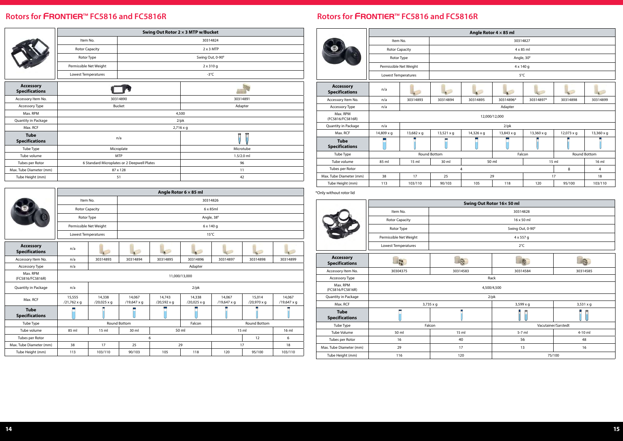|                                           | Angle Rotor 6 x 85 ml        |                       |                                   |                       |                       |                       |                       |                       |  |
|-------------------------------------------|------------------------------|-----------------------|-----------------------------------|-----------------------|-----------------------|-----------------------|-----------------------|-----------------------|--|
|                                           | Item No.                     |                       | 30314826                          |                       |                       |                       |                       |                       |  |
|                                           | <b>Rotor Capacity</b>        |                       |                                   |                       | 6 x 85ml              |                       |                       |                       |  |
|                                           | Rotor Type                   |                       |                                   |                       | Angle, 38°            |                       |                       |                       |  |
|                                           | Permissible Net Weight       |                       |                                   |                       | 6 x 140 g             |                       |                       |                       |  |
|                                           |                              | Lowest Temperatures   |                                   |                       |                       | $15^{\circ}$ C        |                       |                       |  |
| <b>Accessory</b><br><b>Specifications</b> | n/a                          |                       |                                   |                       |                       |                       |                       |                       |  |
| Accessory Item No.                        | n/a                          | 30314893              | 30314894                          | 30314895              | 30314896              | 30314897              | 30314898              | 30314899              |  |
| Accessory Type                            | n/a                          |                       | Adapter                           |                       |                       |                       |                       |                       |  |
| Max. RPM<br>(FC5816/FC5816R)              |                              | 11,000/13,000         |                                   |                       |                       |                       |                       |                       |  |
| Quantity in Package                       | n/a                          |                       |                                   |                       | $2$ /pk               |                       |                       |                       |  |
| Max. RCF                                  | 15,555<br>$/21,762 \times g$ | 14,338<br>/20,025 x g | 14,067<br>/19,647 x q             | 14,743<br>/20,592 x g | 14,338<br>/20,025 x g | 14,067<br>/19,647 x q | 15,014<br>/20,970 x g | 14,067<br>/19,647 x g |  |
| <b>Tube</b><br><b>Specifications</b>      |                              |                       |                                   |                       |                       |                       |                       |                       |  |
| Tube Type                                 |                              |                       | Round Bottom                      |                       | Falcon                |                       | Round Bottom          |                       |  |
| Tube volume                               | 85 ml                        | 15 <sub>m</sub>       | 50 ml<br>30 ml<br>15 <sub>m</sub> |                       |                       |                       |                       | 16 ml                 |  |
| Tubes per Rotor                           |                              |                       |                                   | 6                     |                       |                       | 12                    | 6                     |  |
| Max. Tube Diameter (mm)                   | 38                           | 17                    | 25                                |                       | 29                    |                       | 17                    | 18                    |  |
| Tube Height (mm)                          | 113                          | 103/110               | 90/103                            | 105                   | 118                   | 120                   | 95/100                | 103/110               |  |

|                                           | Swing Out Rotor 2 x 3 MTP w/Bucket          |            |                     |  |  |
|-------------------------------------------|---------------------------------------------|------------|---------------------|--|--|
|                                           | Item No.                                    |            | 30314824            |  |  |
|                                           | <b>Rotor Capacity</b>                       |            | $2 \times 3$ MTP    |  |  |
|                                           | Rotor Type                                  |            | Swing Out, 0-90°    |  |  |
|                                           | Permissible Net Weight                      |            | 2 x 310 g           |  |  |
|                                           | Lowest Temperatures                         |            | $-3^{\circ}C$       |  |  |
| <b>Accessory</b><br><b>Specifications</b> |                                             |            | <i><b>AHANA</b></i> |  |  |
| Accessory Item No.                        | 30314890                                    |            | 30314891            |  |  |
| Accessory Type                            | <b>Bucket</b>                               |            | Adapter             |  |  |
| Max. RPM                                  |                                             | 4,500      |                     |  |  |
| Quantity in Package                       |                                             |            | $2$ /pk             |  |  |
| Max. RCF                                  |                                             | 2,716 x g  |                     |  |  |
| <b>Tube</b><br><b>Specifications</b>      |                                             | n/a        |                     |  |  |
| Tube Type                                 |                                             | Microplate | Microtube           |  |  |
| Tube volume                               | <b>MTP</b>                                  |            | $1.5/2.0$ ml        |  |  |
| Tubes per Rotor                           | 6 Standard Microplates or 2 Deepwell Plates |            | 96                  |  |  |
| Max. Tube Diameter (mm)                   |                                             | 87 x 128   | 11                  |  |  |
| Tube Height (mm)                          |                                             | 51         | 42                  |  |  |

| Rotors for FRONTIER™ FC5816 and FC5816R |  |
|-----------------------------------------|--|
|-----------------------------------------|--|

|                                           | Angle Rotor 4 × 85 ml  |                   |                                    |            |                   |                   |                   |                   |
|-------------------------------------------|------------------------|-------------------|------------------------------------|------------|-------------------|-------------------|-------------------|-------------------|
|                                           | Item No.               |                   | 30314827                           |            |                   |                   |                   |                   |
|                                           | <b>Rotor Capacity</b>  |                   |                                    |            |                   | $4 \times 85$ ml  |                   |                   |
|                                           | Rotor Type             |                   |                                    |            | Angle, 30°        |                   |                   |                   |
|                                           | Permissible Net Weight |                   |                                    |            | 4 x 140 g         |                   |                   |                   |
|                                           | Lowest Temperatures    |                   |                                    | 5°C        |                   |                   |                   |                   |
| <b>Accessory</b><br><b>Specifications</b> | n/a                    |                   |                                    |            |                   |                   |                   |                   |
| Accessory Item No.                        | n/a                    | 30314893          | 30314894                           | 30314895   | 30314896*         | 30314897*         | 30314898          | 30314899          |
| <b>Accessory Type</b>                     | n/a                    | Adapter           |                                    |            |                   |                   |                   |                   |
| Max. RPM<br>(FC5816/FC5816R)              |                        | 12,000/12,000     |                                    |            |                   |                   |                   |                   |
| <b>Quantity in Package</b>                | n/a                    |                   |                                    |            | $2$ /pk           |                   |                   |                   |
| Max. RCF                                  | 14,809 x q             | $13,682 \times q$ | $13,521 \times q$                  | 14,326 x q | $13,843 \times q$ | $13,360 \times q$ | $12,073 \times q$ | $13,360 \times q$ |
| <b>Tube</b><br><b>Specifications</b>      |                        |                   |                                    |            |                   |                   |                   |                   |
| Tube Type                                 |                        |                   | <b>Round Bottom</b>                |            |                   | Falcon            |                   | Round Bottom      |
| Tube volume                               | 85 ml                  | 15 <sub>m</sub>   | 50 ml<br>30 ml<br>15 <sub>ml</sub> |            |                   |                   |                   | 16 ml             |
| Tubes per Rotor                           |                        |                   |                                    | 4          |                   |                   | 8                 | $\overline{4}$    |
| Max. Tube Diameter (mm)                   | 38                     | 17                | 25                                 |            | 29                |                   | 17                | 18                |
| Tube Height (mm)                          | 113                    | 103/110           | 90/103                             | 105        | 118               | 120               | 95/100            | 103/110           |

|                                           | Swing Out Rotor 16x 50 ml |                  |                  |                     |  |  |  |
|-------------------------------------------|---------------------------|------------------|------------------|---------------------|--|--|--|
|                                           | Item No.                  |                  | 30314828         |                     |  |  |  |
|                                           | <b>Rotor Capacity</b>     |                  | 16 x 50 ml       |                     |  |  |  |
|                                           | Rotor Type                |                  | Swing Out, 0-90° |                     |  |  |  |
|                                           | Permissible Net Weight    |                  | $4 \times 557$ q |                     |  |  |  |
|                                           | Lowest Temperatures       |                  | $2^{\circ}$ C    |                     |  |  |  |
| <b>Accessory</b><br><b>Specifications</b> |                           | $\mathbb{R}^3$   |                  |                     |  |  |  |
| Accessory Item No.                        | 30304375                  | 30314583         | 30314584         | 30314585            |  |  |  |
| Accessory Type                            | Rack                      |                  |                  |                     |  |  |  |
| Max. RPM<br>(FC5816/FC5816R)              | 4,500/4,500               |                  |                  |                     |  |  |  |
| Quantity in Package                       |                           |                  | $2$ /pk          |                     |  |  |  |
| Max. RCF                                  |                           | $3,735 \times g$ | $3,599 \times g$ | $3,531 \times g$    |  |  |  |
| <b>Tube</b><br><b>Specifications</b>      |                           |                  |                  |                     |  |  |  |
| Tube Type                                 |                           | Falcon           |                  | Vacutainer/Sarstedt |  |  |  |
| <b>Tube Volume</b>                        | 50 ml                     | 15 <sub>m</sub>  | $5-7$ ml         | $4-10$ ml           |  |  |  |
| Tubes per Rotor                           | 16                        | 40               | 56               | 48                  |  |  |  |
| Max. Tube Diameter (mm)                   | 29                        | 17               | 13               | 16                  |  |  |  |
| Tube Height (mm)                          | 116                       | 120              | 75/100           |                     |  |  |  |

#### \*Only without rotor lid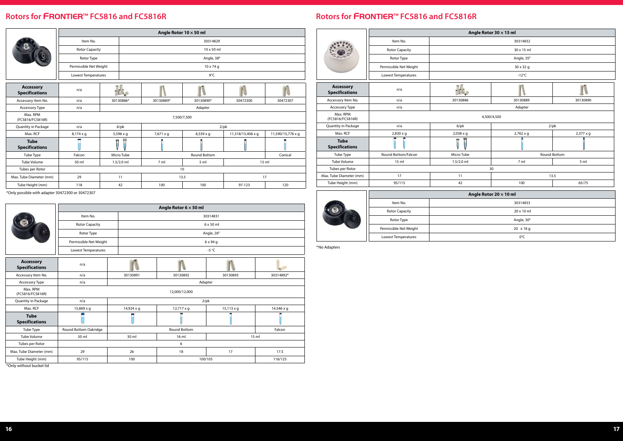\*Only possible with adapter 30472300 or 30472307

\*Only without bucket lid

|                                           | Angle Rotor 10 × 50 ml |                  |                |                   |                   |                   |  |  |
|-------------------------------------------|------------------------|------------------|----------------|-------------------|-------------------|-------------------|--|--|
|                                           | Item No.               |                  | 30314829       |                   |                   |                   |  |  |
|                                           | <b>Rotor Capacity</b>  |                  |                | $10 \times 50$ ml |                   |                   |  |  |
|                                           | Rotor Type             |                  |                | Angle, 38°        |                   |                   |  |  |
|                                           | Permissible Net Weight |                  |                | $10 \times 74$ q  |                   |                   |  |  |
|                                           | Lowest Temperatures    |                  |                | 9°C               |                   |                   |  |  |
| <b>Accessory</b><br><b>Specifications</b> | n/a                    | ما               |                |                   |                   |                   |  |  |
| Accessory Item No.                        | n/a                    | 30130886*        | 30130889*      | 30130890*         | 30472300          | 30472307          |  |  |
| <b>Accessory Type</b>                     | n/a                    | Adapter          |                |                   |                   |                   |  |  |
| Max. RPM<br>(FC5816/FC5816R)              |                        | 7,500/7,500      |                |                   |                   |                   |  |  |
| Quantity in Package                       | n/a                    | 6/pk             |                |                   | $2$ /pk           |                   |  |  |
| Max. RCF                                  | $8,174 \times q$       | $5,596 \times g$ | 7,671 x g      | 6,539 x g         | 11,318/15,406 x g | 11,590/15,776 x q |  |  |
| <b>Tube</b><br><b>Specifications</b>      |                        | Π<br>뉴           |                |                   |                   |                   |  |  |
| Tube Type                                 | Falcon                 | Micro Tube       |                | Round Bottom      |                   | Conical           |  |  |
| <b>Tube Volume</b>                        | 50 ml                  | $1.5/2.0$ ml     | 7 <sub>m</sub> | 5 <sub>m</sub>    |                   | 15 <sub>m</sub>   |  |  |
| Tubes per Rotor                           |                        |                  |                | 10                |                   |                   |  |  |
| Max. Tube Diameter (mm)                   | 29                     | 11               |                | 13.5              |                   | 17                |  |  |
| Tube Height (mm)                          | 118                    | 42               | 100            | 100               | 97-123            | 120               |  |  |

|                                           | Angle Rotor $6 \times 50$ ml |                                             |                     |                   |            |  |  |
|-------------------------------------------|------------------------------|---------------------------------------------|---------------------|-------------------|------------|--|--|
|                                           | Item No.                     |                                             | 30314831            |                   |            |  |  |
|                                           | <b>Rotor Capacity</b>        |                                             |                     | 6 x 50 ml         |            |  |  |
|                                           | Rotor Type                   |                                             |                     | Angle, 26°        |            |  |  |
|                                           | Permissible Net Weight       |                                             |                     | 6 x 94 g          |            |  |  |
|                                           | <b>Lowest Temperatures</b>   |                                             |                     | -5 $^{\circ}$ C   |            |  |  |
| <b>Accessory</b><br><b>Specifications</b> | n/a                          |                                             |                     |                   |            |  |  |
| Accessory Item No.                        | n/a                          | 30130891                                    | 30130892            | 30130893          | 30314892*  |  |  |
| Accessory Type                            | n/a                          | Adapter                                     |                     |                   |            |  |  |
| Max. RPM<br>(FC5816/FC5816R)              |                              | 12,000/12,000                               |                     |                   |            |  |  |
| Quantity in Package                       | n/a                          |                                             | $2$ /pk             |                   |            |  |  |
| Max. RCF                                  | 15,869 x g                   | 14,924 x g                                  | $12,717 \times g$   | $15,113 \times g$ | 14,546 x g |  |  |
| <b>Tube</b><br><b>Specifications</b>      |                              |                                             |                     |                   |            |  |  |
| Tube Type                                 | Round Bottom Oakridge        |                                             | <b>Round Bottom</b> |                   | Falcon     |  |  |
| <b>Tube Volume</b>                        | 50 ml                        | 15 <sub>m</sub><br>30 ml<br>16 <sub>m</sub> |                     |                   |            |  |  |
| Tubes per Rotor                           |                              |                                             | 6                   |                   |            |  |  |
| Max. Tube Diameter (mm)                   | 29                           | 26                                          | 18                  | 17                | 17.5       |  |  |
| Tube Height (mm)                          | 95/115                       | 100                                         | 100/105             |                   | 116/125    |  |  |
| *Only without bucket lid                  |                              |                                             |                     |                   |            |  |  |

# **Rotors for** FRONTIER™ **FC5816 and FC5816R**

|                                      | Angle Rotor 30 x 15 ml              |              |                     |                |  |  |  |  |
|--------------------------------------|-------------------------------------|--------------|---------------------|----------------|--|--|--|--|
|                                      | Item No.                            |              | 30314832            |                |  |  |  |  |
|                                      | 30 x 15 ml<br><b>Rotor Capacity</b> |              |                     |                |  |  |  |  |
|                                      | Rotor Type                          | Angle, 35°   |                     |                |  |  |  |  |
|                                      | Permissible Net Weight              |              | 30 x 32 g           |                |  |  |  |  |
|                                      | Lowest Temperatures                 |              | $-12^{\circ}$ C     |                |  |  |  |  |
| Accessory<br><b>Specifications</b>   | n/a                                 | H.           |                     |                |  |  |  |  |
| Accessory Item No.                   | n/a                                 | 30130886     | 30130889            | 30130890       |  |  |  |  |
| Accessory Type                       | n/a                                 | Adapter      |                     |                |  |  |  |  |
| Max. RPM<br>(FC5816/FC5816R)         | 4,500/4,500                         |              |                     |                |  |  |  |  |
| Quantity in Package                  | n/a<br>$6$ /p $k$<br>$2$ /pk        |              |                     |                |  |  |  |  |
| Max. RCF                             | 2,830 x g                           | 2,038 x g    | 2,762 x g           | 2,377 x g      |  |  |  |  |
| <b>Tube</b><br><b>Specifications</b> |                                     |              |                     |                |  |  |  |  |
| Tube Type                            | Round Bottom/Falcon                 | Micro Tube   | <b>Round Bottom</b> |                |  |  |  |  |
| <b>Tube Volume</b>                   | 15 <sub>m</sub>                     | $1.5/2.0$ ml | 7 ml                | 5 <sub>m</sub> |  |  |  |  |
| Tubes per Rotor                      |                                     |              | 30                  |                |  |  |  |  |
| Max. Tube Diameter (mm)              | 17                                  | 11           | 13.5                |                |  |  |  |  |
| Tube Height (mm)                     | 95/115                              | 42           | 100                 | 65/75          |  |  |  |  |
|                                      | Angle Rotor 20 × 10 ml              |              |                     |                |  |  |  |  |
|                                      | Item No.                            |              | 30314833            |                |  |  |  |  |
|                                      | <b>Rotor Capacity</b>               |              | 20 x 10 ml          |                |  |  |  |  |
|                                      | Rotor Type                          |              | Angle, 30°          |                |  |  |  |  |
|                                      | Permissible Net Weight              |              | 20 x 18 g           |                |  |  |  |  |
|                                      | Lowest Temperatures                 | 0°C          |                     |                |  |  |  |  |

|                                           | Angle Rotor 30 x 15 ml              |                               |                |                  |  |  |  |  |
|-------------------------------------------|-------------------------------------|-------------------------------|----------------|------------------|--|--|--|--|
|                                           | Item No.                            | 30314832                      |                |                  |  |  |  |  |
|                                           | <b>Rotor Capacity</b><br>30 x 15 ml |                               |                |                  |  |  |  |  |
|                                           | Rotor Type                          |                               | Angle, 35°     |                  |  |  |  |  |
|                                           | Permissible Net Weight              |                               | 30 x 32 g      |                  |  |  |  |  |
|                                           | Lowest Temperatures                 |                               | $-12^{\circ}C$ |                  |  |  |  |  |
| <b>Accessory</b><br><b>Specifications</b> | n/a                                 | <b>LL</b>                     |                |                  |  |  |  |  |
| Accessory Item No.                        | n/a                                 | 30130886                      | 30130889       | 30130890         |  |  |  |  |
| Accessory Type                            | n/a                                 | Adapter                       |                |                  |  |  |  |  |
| Max. RPM<br>(FC5816/FC5816R)              | 4,500/4,500                         |                               |                |                  |  |  |  |  |
| Quantity in Package                       | n/a                                 | $6$ /pk<br>$2$ /pk            |                |                  |  |  |  |  |
| Max. RCF                                  | 2,830 x g                           | $2,762 \times g$<br>2,038 x g |                | $2,377 \times g$ |  |  |  |  |
| <b>Tube</b><br><b>Specifications</b>      |                                     |                               |                |                  |  |  |  |  |
| Tube Type                                 | Round Bottom/Falcon                 | Micro Tube                    | Round Bottom   |                  |  |  |  |  |
| <b>Tube Volume</b>                        | 15 ml                               | $1.5/2.0$ ml                  | 7 ml           | 5 ml             |  |  |  |  |
| Tubes per Rotor                           |                                     |                               | 30             |                  |  |  |  |  |
| lax. Tube Diameter (mm)                   | 17                                  | 11                            | 13.5           |                  |  |  |  |  |
| Tube Height (mm)                          | 95/115                              | 42                            | 100            | 65/75            |  |  |  |  |
|                                           | Angle Rotor 20 × 10 ml              |                               |                |                  |  |  |  |  |
|                                           | Item No.                            |                               | 30314833       |                  |  |  |  |  |
|                                           | <b>Rotor Capacity</b>               |                               | 20 x 10 ml     |                  |  |  |  |  |
|                                           | Rotor Type                          |                               | Angle, 30°     |                  |  |  |  |  |
|                                           | Permissible Net Weight              |                               | 20 x 18 g      |                  |  |  |  |  |
|                                           | Lowest Temperatures                 |                               | 0°C            |                  |  |  |  |  |

\*No Adapters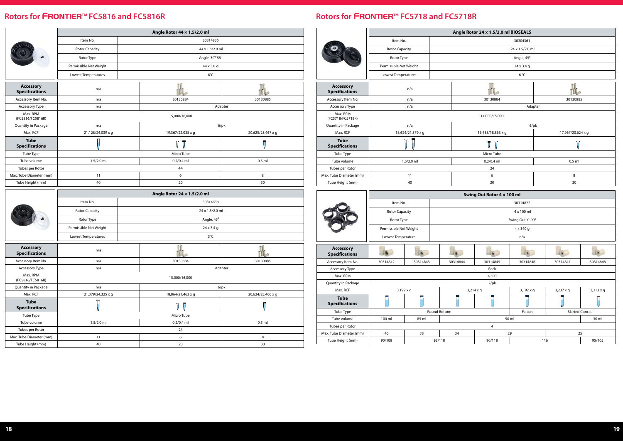|                                           | Angle Rotor 44 x 1.5/2.0 ml |  |                   |                   |  |  |
|-------------------------------------------|-----------------------------|--|-------------------|-------------------|--|--|
|                                           | Item No.                    |  | 30314835          |                   |  |  |
|                                           | <b>Rotor Capacity</b>       |  | 44 x 1.5/2.0 ml   |                   |  |  |
|                                           | Rotor Type                  |  | Angle, 30% 55°    |                   |  |  |
|                                           | Permissible Net Weight      |  | 44 x 3.8 g        |                   |  |  |
|                                           | Lowest Temperatures         |  | 8°C               |                   |  |  |
| <b>Accessory</b><br><b>Specifications</b> | n/a                         |  |                   |                   |  |  |
| Accessory Item No.                        | n/a                         |  | 30130884          | 30130885          |  |  |
| Accessory Type                            | n/a                         |  | Adapter           |                   |  |  |
| Max. RPM<br>(FC5816/FC5816R)              | 15,000/16,000               |  |                   |                   |  |  |
| Quantity in Package                       | n/a                         |  | $6$ /pk           |                   |  |  |
| Max. RCF                                  | 21,128/24,039 x g           |  | 19,367/22,035 x g | 20,625/23,467 x g |  |  |
| <b>Tube</b><br><b>Specifications</b>      |                             |  |                   | ĪĪ                |  |  |
| Tube Type                                 |                             |  | Micro Tube        |                   |  |  |
| Tube volume                               | $1.5/2.0$ ml                |  | $0.2/0.4$ ml      | $0.5$ ml          |  |  |
| Tubes per Rotor                           |                             |  | 44                |                   |  |  |
| Max. Tube Diameter (mm)                   | 11                          |  | 6                 | 8                 |  |  |
| Tube Height (mm)                          | 40                          |  | 20                | 30                |  |  |
|                                           | Angle Rotor 24 x 1.5/2.0 ml |  |                   |                   |  |  |
|                                           | Item No.                    |  | 30314838          |                   |  |  |
|                                           | <b>Rotor Capacity</b>       |  | 24 x 1.5/2.0 ml   |                   |  |  |
|                                           | Rotor Type                  |  | Angle, 45°        |                   |  |  |
|                                           | Downtonible Met Weight      |  | $24.224$          |                   |  |  |

| Permissible Net Weight | 24 x 3.4 g                   |                   |  |  |
|------------------------|------------------------------|-------------------|--|--|
| Lowest Temperatures    | 3°C                          |                   |  |  |
| n/a                    |                              |                   |  |  |
| n/a                    | 30130884                     | 30130885          |  |  |
| Adapter<br>n/a         |                              |                   |  |  |
| 15,000/16,000          |                              |                   |  |  |
| n/a                    |                              | $6$ /pk           |  |  |
| 21,379/24,325 x g      | 18,864/21,463 x g            | 20,624/23,466 x q |  |  |
|                        | 급<br>$\overline{\mathbb{J}}$ |                   |  |  |
|                        | Micro Tube                   |                   |  |  |
| $1.5/2.0$ ml           | $0.2/0.4$ ml                 | $0.5$ ml          |  |  |
| 24                     |                              |                   |  |  |
| 11                     | 6                            | 8                 |  |  |
| 40                     | 20                           | 30                |  |  |
|                        |                              |                   |  |  |

|                                           | Angle Rotor 24 x 1.5/2.0 ml BIOSEALS |                   |                  |                            |                  |                         |                        |  |  |  |  |
|-------------------------------------------|--------------------------------------|-------------------|------------------|----------------------------|------------------|-------------------------|------------------------|--|--|--|--|
|                                           | Item No.                             |                   |                  |                            | 30304361         |                         |                        |  |  |  |  |
|                                           | <b>Rotor Capacity</b>                |                   |                  |                            | 24 x 1.5/2.0 ml  |                         |                        |  |  |  |  |
|                                           | Rotor Type                           |                   |                  |                            | Angle, 45°       |                         |                        |  |  |  |  |
|                                           | Permissible Net Weight               |                   | 24 x 3.4 g       |                            |                  |                         |                        |  |  |  |  |
|                                           | Lowest Temperatures                  |                   |                  | 6 °C                       |                  |                         |                        |  |  |  |  |
|                                           |                                      |                   |                  |                            |                  |                         |                        |  |  |  |  |
| <b>Accessory</b><br><b>Specifications</b> |                                      | n/a               |                  |                            |                  | TÊ                      |                        |  |  |  |  |
| Accessory Item No.                        |                                      | n/a               |                  | 30130884                   |                  | 30130885                |                        |  |  |  |  |
| Accessory Type                            |                                      | n/a               |                  |                            | Adapter          |                         |                        |  |  |  |  |
| Max. RPM<br>(FC5718/FC5718R)              |                                      | 14,000/15,000     |                  |                            |                  |                         |                        |  |  |  |  |
| Quantity in Package                       |                                      | n/a               |                  |                            | $6$ /pk          |                         |                        |  |  |  |  |
| Max. RCF                                  |                                      | 18,624/21,379 x g |                  | 16,433/18,863 x g          |                  | 17,967/20,624 x g       |                        |  |  |  |  |
| <b>Tube</b><br><b>Specifications</b>      |                                      |                   |                  |                            |                  | $\overline{\mathsf{U}}$ |                        |  |  |  |  |
| Tube Type                                 |                                      | Micro Tube        |                  |                            |                  |                         |                        |  |  |  |  |
| Tube volume                               |                                      | $1.5/2.0$ ml      |                  | $0.2/0.4$ ml               |                  | $0.5$ ml                |                        |  |  |  |  |
| Tubes per Rotor                           | 24                                   |                   |                  |                            |                  |                         |                        |  |  |  |  |
| Max. Tube Diameter (mm)                   |                                      | 11                |                  | 6                          |                  | 8                       |                        |  |  |  |  |
| Tube Height (mm)                          |                                      | 40                |                  | 20                         |                  | 30                      |                        |  |  |  |  |
|                                           |                                      |                   |                  | Swing Out Rotor 4 x 100 ml |                  |                         |                        |  |  |  |  |
|                                           | Item No.                             |                   |                  |                            | 30314822         |                         |                        |  |  |  |  |
|                                           | <b>Rotor Capacity</b>                |                   |                  |                            | 4 x 100 ml       |                         |                        |  |  |  |  |
|                                           | Rotor Type                           |                   |                  | Swing Out, 0-90°           |                  |                         |                        |  |  |  |  |
|                                           | Permissible Net Weight               |                   |                  |                            | $4 \times 340$ g |                         |                        |  |  |  |  |
|                                           | Lowest Temperature                   |                   |                  |                            | n/a              |                         |                        |  |  |  |  |
| <b>Accessory</b><br><b>Specifications</b> |                                      |                   |                  |                            |                  |                         |                        |  |  |  |  |
| Accessory Item No.                        | 30314842                             | 30314843          | 30314844         | 30314845                   | 30314846         | 30314847                | 30314848               |  |  |  |  |
| Accessory Type                            |                                      |                   |                  | Rack                       |                  |                         |                        |  |  |  |  |
| Max. RPM                                  |                                      |                   |                  | 4,500                      |                  |                         |                        |  |  |  |  |
| Quantity in Package                       |                                      |                   |                  | $2$ /pk                    |                  |                         |                        |  |  |  |  |
| Max. RCF                                  |                                      | 3,192 x g         | $3,214 \times g$ |                            | 3,192 x g        | 3,237 x g               | 3,213 x g              |  |  |  |  |
| <b>Tube</b><br><b>Specifications</b>      |                                      |                   |                  |                            |                  |                         |                        |  |  |  |  |
| Tube Type                                 |                                      |                   | Round Bottom     |                            | Falcon           |                         | <b>Skirted Concial</b> |  |  |  |  |
| Tube volume                               | 100 ml                               | 85 ml             |                  |                            | 50 ml            |                         | 30 ml                  |  |  |  |  |
| Tubes per Rotor                           |                                      |                   |                  | 4                          |                  |                         |                        |  |  |  |  |
| Max. Tube Diameter (mm)                   | 46                                   | 38                | 34               |                            | 29               |                         | 25                     |  |  |  |  |
| Tube Height (mm)                          |                                      |                   |                  |                            |                  |                         |                        |  |  |  |  |

|                                           |                        | Angle Rotor 24 x 1.5/2.0 ml BIOSEALS |              |                            |                 |                         |                        |  |  |  |  |  |
|-------------------------------------------|------------------------|--------------------------------------|--------------|----------------------------|-----------------|-------------------------|------------------------|--|--|--|--|--|
|                                           | Item No.               |                                      |              |                            | 30304361        |                         |                        |  |  |  |  |  |
|                                           | Rotor Capacity         |                                      |              |                            | 24 x 1.5/2.0 ml |                         |                        |  |  |  |  |  |
|                                           | Rotor Type             |                                      |              | Angle, 45°                 |                 |                         |                        |  |  |  |  |  |
|                                           | Permissible Net Weight |                                      |              | 24 x 3.4 g                 |                 |                         |                        |  |  |  |  |  |
|                                           | Lowest Temperatures    |                                      |              | 6 °C                       |                 |                         |                        |  |  |  |  |  |
|                                           |                        |                                      |              |                            |                 |                         |                        |  |  |  |  |  |
| <b>Accessory</b><br><b>Specifications</b> |                        | n/a                                  |              |                            |                 |                         |                        |  |  |  |  |  |
| Accessory Item No.                        |                        | n/a                                  |              | 30130884                   |                 | 30130885                |                        |  |  |  |  |  |
| Accessory Type                            |                        | n/a                                  |              |                            | Adapter         |                         |                        |  |  |  |  |  |
| Max. RPM<br>(FC5718/FC5718R)              |                        |                                      |              | 14,000/15,000              |                 |                         |                        |  |  |  |  |  |
| Quantity in Package                       | n/a                    |                                      |              |                            | $6$ /pk         |                         |                        |  |  |  |  |  |
| Max. RCF                                  |                        | 18,624/21,379 x g                    |              | 16,433/18,863 x g          |                 | 17,967/20,624 x g       |                        |  |  |  |  |  |
| <b>Tube</b><br><b>Specifications</b>      |                        |                                      |              | Ī                          |                 | $\overline{\mathsf{V}}$ |                        |  |  |  |  |  |
| Tube Type                                 |                        |                                      |              |                            |                 |                         |                        |  |  |  |  |  |
| Tube volume                               | $1.5/2.0$ ml           |                                      |              | $0.2/0.4$ ml               |                 | $0.5$ ml                |                        |  |  |  |  |  |
| Tubes per Rotor                           |                        |                                      |              | 24                         |                 |                         |                        |  |  |  |  |  |
| Max. Tube Diameter (mm)                   | 11                     |                                      |              | 6                          |                 | 8                       |                        |  |  |  |  |  |
| Tube Height (mm)                          |                        | 40                                   |              | 20                         |                 | 30                      |                        |  |  |  |  |  |
|                                           | Item No.               |                                      |              | Swing Out Rotor 4 x 100 ml | 30314822        |                         |                        |  |  |  |  |  |
|                                           | <b>Rotor Capacity</b>  |                                      |              |                            |                 |                         |                        |  |  |  |  |  |
|                                           |                        |                                      |              |                            | 4 x 100 ml      |                         |                        |  |  |  |  |  |
|                                           | Rotor Type             |                                      |              | Swing Out, 0-90°           |                 |                         |                        |  |  |  |  |  |
|                                           | Permissible Net Weight |                                      |              | 4 x 340 g                  |                 |                         |                        |  |  |  |  |  |
|                                           | Lowest Temperature     |                                      |              |                            | n/a             |                         |                        |  |  |  |  |  |
| <b>Accessory</b><br><b>Specifications</b> |                        |                                      |              |                            |                 |                         |                        |  |  |  |  |  |
| Accessory Item No.                        | 30314842               | 30314843                             | 30314844     | 30314845                   | 30314846        | 30314847                | 30314848               |  |  |  |  |  |
| Accessory Type                            |                        |                                      |              | Rack                       |                 |                         |                        |  |  |  |  |  |
| Max. RPM                                  |                        |                                      |              | 4,500                      |                 |                         |                        |  |  |  |  |  |
| Quantity in Package                       |                        |                                      |              | $2$ /pk                    |                 |                         |                        |  |  |  |  |  |
| Max. RCF                                  |                        | 3,192 x g                            |              | 3,214 x g                  | 3,192 x g       | 3,237 x g               | $3,213 \times g$       |  |  |  |  |  |
| <b>Tube</b><br><b>Specifications</b>      |                        |                                      |              |                            |                 |                         |                        |  |  |  |  |  |
| Tube Type                                 |                        |                                      | Round Bottom |                            | Falcon          |                         | <b>Skirted Concial</b> |  |  |  |  |  |
|                                           |                        |                                      |              | 85 ml<br>50 ml<br>30 ml    |                 |                         |                        |  |  |  |  |  |
| Tube volume                               | 100 ml                 |                                      |              |                            |                 |                         |                        |  |  |  |  |  |
| Tubes per Rotor                           |                        |                                      |              | $\overline{4}$             |                 |                         |                        |  |  |  |  |  |
| Max. Tube Diameter (mm)                   | $46\,$                 | 38                                   | 34           |                            | 29              |                         | 25                     |  |  |  |  |  |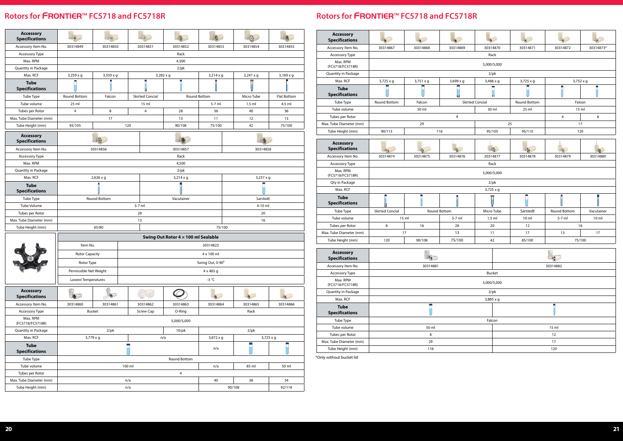| <b>Accessory</b><br><b>Specifications</b> |                                        |           |                        |                                     |                  |            |                  |  |  |
|-------------------------------------------|----------------------------------------|-----------|------------------------|-------------------------------------|------------------|------------|------------------|--|--|
| Accessory Item No.                        | 30314849                               | 30314850  | 30314851               | 30314852                            | 30314853         | 30314854   | 30314855         |  |  |
| Accessory Type                            |                                        |           |                        | Rack                                |                  |            |                  |  |  |
| Max. RPM                                  |                                        |           |                        | 4,500                               |                  |            |                  |  |  |
| Quantity in Package                       |                                        |           |                        | $2$ /pk                             |                  |            |                  |  |  |
| Max. RCF                                  | 3,259 x g                              | 3,350 x g |                        | $3,282 \times g$                    | 3,214 x g        | 2,241 x g  | 3,169 x g        |  |  |
| <b>Tube</b>                               |                                        |           |                        |                                     |                  |            |                  |  |  |
| <b>Specifications</b>                     |                                        |           |                        |                                     |                  |            |                  |  |  |
| Tube Type                                 | Round Bottom                           | Falcon    | <b>Skirted Concial</b> |                                     | Round Bottom     | Micro Tube | Flat Bottom      |  |  |
| Tube volume                               | 25 ml                                  |           | 15 ml                  |                                     | 5-7 ml           | $1.5$ ml   | 4.5 ml           |  |  |
| Tubes per Rotor                           | 4                                      | 8         | $\overline{4}$         | 28                                  | 36               | 40         | 36               |  |  |
| Max. Tube Diameter (mm)                   |                                        | 17        |                        | 13                                  | 11               | 12         | 13               |  |  |
| Tube Height (mm)                          | 95/105                                 |           | 120                    | 90/108                              | 75/100           | 42         | 75/100           |  |  |
| <b>Accessory</b><br><b>Specifications</b> |                                        | <b>A</b>  |                        |                                     |                  |            |                  |  |  |
| Accessory Item No.                        |                                        | 30314856  |                        | 30314857                            |                  | 30314858   |                  |  |  |
| Accessory Type                            |                                        |           |                        | Rack                                |                  |            |                  |  |  |
| Max. RPM                                  |                                        | 4,500     |                        |                                     |                  |            |                  |  |  |
| Quantity in Package                       |                                        | $2$ /pk   |                        |                                     |                  |            |                  |  |  |
| Max. RCF                                  |                                        | 2,626 x g |                        | $3,214 \times g$                    |                  | 3,237 x g  |                  |  |  |
| <b>Tube</b><br><b>Specifications</b>      |                                        |           |                        |                                     |                  |            |                  |  |  |
| Tube Type                                 | Round Bottom<br>Sarstedt<br>Vacutainer |           |                        |                                     |                  |            |                  |  |  |
| Tube Volume                               | 5-7 ml<br>4-10 ml                      |           |                        |                                     |                  |            |                  |  |  |
| Tubes per Rotor                           | 28<br>20                               |           |                        |                                     |                  |            |                  |  |  |
| Max. Tube Diameter (mm)                   |                                        |           | 13                     |                                     |                  | 16         |                  |  |  |
| Tube Height (mm)                          |                                        | 65/80     |                        |                                     | 75/100           |            |                  |  |  |
|                                           |                                        |           |                        | Swing Out Rotor 4 x 100 ml Sealable |                  |            |                  |  |  |
|                                           | Item No.                               |           |                        |                                     | 30314823         |            |                  |  |  |
|                                           | <b>Rotor Capacity</b>                  |           |                        |                                     | 4 x 100 ml       |            |                  |  |  |
|                                           | Rotor Type                             |           |                        |                                     | Swing Out, 0-90° |            |                  |  |  |
|                                           |                                        |           |                        |                                     |                  |            |                  |  |  |
|                                           | Permissible Net Weight                 |           |                        |                                     | 4 x 465 g        |            |                  |  |  |
|                                           | Lowest Temperatures                    |           |                        |                                     | -3 $^{\circ}$ C  |            |                  |  |  |
| <b>Accessory</b><br><b>Specifications</b> |                                        |           |                        |                                     |                  |            |                  |  |  |
| Accessory Item No.                        | 30314860                               | 30314861  | 30314862               | 30314863                            | 30314864         | 30314865   | 30314866         |  |  |
| Accessory Type                            |                                        | Bucket    | Screw Cap              | O-Ring                              |                  | Rack       |                  |  |  |
| Max. RPM<br>(FC5718/FC5718R)              |                                        |           |                        | 5,000/5,000                         |                  |            |                  |  |  |
| Quantity in Package                       |                                        | $2$ /pk   |                        | $10$ /pk                            |                  | $2$ /pk    |                  |  |  |
| Max. RCF                                  | 3,779 x g                              |           |                        | n/a                                 | 3,672 x g        |            | $3,725 \times g$ |  |  |
| <b>Tube</b><br><b>Specifications</b>      |                                        |           |                        |                                     | n/a              |            |                  |  |  |
| Tube Type                                 |                                        |           |                        | Round Bottom                        |                  |            |                  |  |  |
| Tube volume                               |                                        |           | 100 ml                 |                                     | n/a              | 85 ml      | 50 ml            |  |  |
| Tubes per Rotor                           |                                        |           |                        | $\overline{4}$                      |                  |            |                  |  |  |
| Max. Tube Diameter (mm)                   |                                        |           | n/a                    |                                     | 40               | 38         | 34               |  |  |
| Tube Height (mm)                          |                                        |           | n/a                    |                                     |                  | 90/108     | 92/118           |  |  |

### **Rotors for** FRONTIER™ **FC5718 and FC5718R**

\*Only without bucket lid

| <b>Accessory</b><br><b>Specifications</b> |                        |                  |                        |                  |                     |                     |                 |  |  |  |
|-------------------------------------------|------------------------|------------------|------------------------|------------------|---------------------|---------------------|-----------------|--|--|--|
| Accessory Item No.                        | 30314867               | 30314868         | 30314869               | 30314870         | 30314871            | 30314872            | 30314873*       |  |  |  |
| Accessory Type                            |                        |                  |                        | Rack             |                     |                     |                 |  |  |  |
| Max. RPM<br>(FC5718/FC5718R)              |                        |                  |                        | 5,000/5,000      |                     |                     |                 |  |  |  |
| Quantity in Package                       |                        | $2$ /pk          |                        |                  |                     |                     |                 |  |  |  |
| Max. RCF                                  | $3,725 \times g$       | $3,751 \times g$ | 3,725 x g              | 3,752 x g        |                     |                     |                 |  |  |  |
| <b>Tube</b><br><b>Specifications</b>      |                        |                  |                        |                  |                     |                     |                 |  |  |  |
| Tube Type                                 | <b>Round Bottom</b>    | Falcon           | <b>Skirted Concial</b> |                  | <b>Round Bottom</b> | Falcon              |                 |  |  |  |
| Tube volume                               |                        | 50 ml            |                        | 30 ml            | 25 ml               | 15 ml               |                 |  |  |  |
| Tubes per Rotor                           |                        |                  | $\overline{4}$         |                  |                     | $\overline{4}$      | 8               |  |  |  |
| Max. Tube Diameter (mm)                   |                        | 29               |                        |                  |                     | 17                  |                 |  |  |  |
| Tube Height (mm)                          | 90/113                 |                  | 116                    | 95/105           | 95/110              | 120                 |                 |  |  |  |
| <b>Accessory</b><br><b>Specifications</b> |                        |                  |                        |                  |                     |                     |                 |  |  |  |
| Accessory Item No.                        | 30314874               | 30314875         | 30314876               | 30314878         | 30314879            | 30314880            |                 |  |  |  |
| Accessory Type                            | Rack                   |                  |                        |                  |                     |                     |                 |  |  |  |
| Max. RPM<br>(FC5718/FC5718R)              | 5,000/5,000            |                  |                        |                  |                     |                     |                 |  |  |  |
| Qty in Package                            | $2$ /pk                |                  |                        |                  |                     |                     |                 |  |  |  |
| Max. RCF                                  |                        |                  |                        | 3,725 x g        |                     |                     |                 |  |  |  |
| <b>Tube</b><br><b>Specifications</b>      |                        |                  |                        |                  | ▄                   |                     |                 |  |  |  |
| Tube Type                                 | <b>Skirted Concial</b> |                  | Round Bottom           | Micro Tube       | Sarstedt            | <b>Round Bottom</b> | Vacutainer      |  |  |  |
| Tube volume                               | 15 ml                  |                  | 5-7 ml                 | $1.5$ ml         | 10 <sub>m</sub>     | 5-7 ml              | 10 <sub>m</sub> |  |  |  |
| Tubes per Rotor                           | 8                      | 16               | 28                     | 20               | 12                  | 16                  |                 |  |  |  |
| Max. Tube Diameter (mm)                   | 17                     |                  | 13                     | 11               | 17                  | 13                  | 17              |  |  |  |
| Tube Height (mm)                          | 120                    | 90/108           | 75/100                 | 42               | 85/100              | 75/100              |                 |  |  |  |
| <b>Accessory</b><br><b>Specifications</b> |                        |                  |                        |                  |                     |                     |                 |  |  |  |
| Accessory Item No.                        |                        | 30314881         |                        |                  |                     | 30314882            |                 |  |  |  |
| Accessory Type                            |                        |                  |                        | <b>Bucket</b>    |                     |                     |                 |  |  |  |
| Max. RPM<br>(FC5718/FC5718R)              |                        |                  |                        | 5,000/5,000      |                     |                     |                 |  |  |  |
| Quantity in Package                       |                        |                  |                        | $2$ /pk          |                     |                     |                 |  |  |  |
| Max. RCF                                  |                        |                  |                        | $3,885 \times q$ |                     |                     |                 |  |  |  |
| <b>Tube</b><br><b>Specifications</b>      |                        |                  |                        |                  |                     |                     |                 |  |  |  |
| Tube Type                                 |                        |                  |                        | Falcon           |                     |                     |                 |  |  |  |
| Tube volume                               |                        | 50 ml            |                        |                  |                     | 15 ml               |                 |  |  |  |
| Tubes per Rotor                           |                        | 8                |                        |                  |                     | 12                  |                 |  |  |  |
| Max. Tube Diameter (mm)                   |                        | 29               |                        |                  |                     | 17                  |                 |  |  |  |
| Tube Height (mm)                          |                        | 116              |                        |                  |                     | 120                 |                 |  |  |  |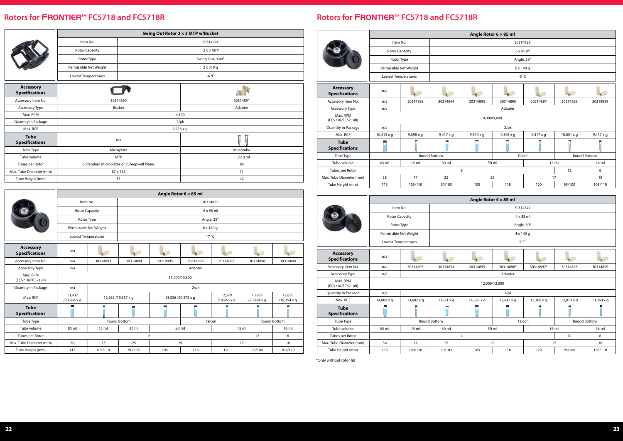|                                           | Swing Out Rotor 2 x 3 MTP w/Bucket          |  |                   |  |  |  |  |  |
|-------------------------------------------|---------------------------------------------|--|-------------------|--|--|--|--|--|
|                                           | Item No.                                    |  | 30314824          |  |  |  |  |  |
|                                           | Rotor Capacity                              |  | $2 \times 3$ MTP  |  |  |  |  |  |
|                                           | Rotor Type                                  |  | Swing Out, 0-90°  |  |  |  |  |  |
|                                           | Permissible Net Weight                      |  | $2 \times 310$ g  |  |  |  |  |  |
|                                           | Lowest Temperatures                         |  | -6 $^{\circ}$ C   |  |  |  |  |  |
| <b>Accessory</b><br><b>Specifications</b> |                                             |  | <u> /////////</u> |  |  |  |  |  |
| Accessory Item No.                        | 30314890                                    |  | 30314891          |  |  |  |  |  |
| Accessory Type                            | Bucket                                      |  | Adapter           |  |  |  |  |  |
| Max. RPM                                  |                                             |  | 4,500             |  |  |  |  |  |
| Quantity in Package                       |                                             |  | $2$ /pk           |  |  |  |  |  |
| Max. RCF                                  |                                             |  | 2,716 x g         |  |  |  |  |  |
| <b>Tube</b><br><b>Specifications</b>      | n/a                                         |  | 뉴<br>异            |  |  |  |  |  |
| Tube Type                                 | Microplate                                  |  | Microtube         |  |  |  |  |  |
| Tube volume                               | <b>MTP</b>                                  |  | $1.5/2.0$ ml      |  |  |  |  |  |
| Tubes per Rotor                           | 6 Standard Microplates or 2 Deepwell Plates |  | 96                |  |  |  |  |  |
| Max. Tube Diameter (mm)                   | 87 x 128                                    |  | 11                |  |  |  |  |  |
| Tube Height (mm)                          | 51                                          |  | 42                |  |  |  |  |  |

|                                           |                        | Angle Rotor $6 \times 85$ ml |                |          |                   |                       |                       |                              |  |  |  |
|-------------------------------------------|------------------------|------------------------------|----------------|----------|-------------------|-----------------------|-----------------------|------------------------------|--|--|--|
|                                           | Item No.               |                              |                | 30314825 |                   |                       |                       |                              |  |  |  |
|                                           | <b>Rotor Capacity</b>  |                              |                |          | 6 x 85 ml         |                       |                       |                              |  |  |  |
|                                           | Rotor Type             |                              |                |          | Angle, 25°        |                       |                       |                              |  |  |  |
|                                           | Permissible Net Weight |                              |                |          | 6 x 140 g         |                       |                       |                              |  |  |  |
|                                           | Lowest Temperatures    |                              | $17^{\circ}$ C |          |                   |                       |                       |                              |  |  |  |
| <b>Accessory</b><br><b>Specifications</b> | n/a                    |                              |                |          |                   |                       |                       |                              |  |  |  |
| Accessory Item No.                        | n/a                    | 30314893                     | 30314894       | 30314895 | 30314896          | 30314897              | 30314898              | 30314899                     |  |  |  |
| <b>Accessory Type</b>                     | n/a                    |                              | Adapter        |          |                   |                       |                       |                              |  |  |  |
| Max. RPM<br>(FC5718/FC5718R)              |                        | 11,000/13,500                |                |          |                   |                       |                       |                              |  |  |  |
| Quantity in Package                       | n/a                    |                              |                |          | $2$ /pk           |                       |                       |                              |  |  |  |
| Max. RCF                                  | 13,932<br>/20,984 x g  | 12,985 /19,557 x q           |                |          | 13,526/20,372 x q | 12,579<br>/18,946 x q | 13,932<br>/20,984 x g | 12,850<br>$/19,354 \times g$ |  |  |  |
| <b>Tube</b><br><b>Specifications</b>      |                        |                              |                |          |                   |                       |                       |                              |  |  |  |
| Tube Type                                 |                        |                              | Round Bottom   |          |                   | Falcon                | <b>Round Bottom</b>   |                              |  |  |  |
| Tube volume                               | 85 ml                  | 15 <sub>m</sub>              | 30 ml          |          | 50 ml             |                       | 15 ml                 | 16 <sub>m</sub>              |  |  |  |
| Tubes per Rotor                           |                        |                              |                | 6        |                   |                       | 12                    | 6                            |  |  |  |
| Max. Tube Diameter (mm)                   | 38                     | 17                           | 25             |          | 29                |                       | 17                    | 18                           |  |  |  |
| Tube Height (mm)                          | 113                    | 103/110                      | 90/103         | 105      | 118               | 120                   | 95/100                | 103/110                      |  |  |  |

## **Rotors for** FRONTIER™ **FC5718 and FC5718R**

\*Only without rotor lid

|                                           | Angle Rotor $4 \times 85$ ml |               |                     |            |                   |                   |                   |                     |  |  |  |
|-------------------------------------------|------------------------------|---------------|---------------------|------------|-------------------|-------------------|-------------------|---------------------|--|--|--|
|                                           | Item No.                     |               |                     |            | 30314827          |                   |                   |                     |  |  |  |
|                                           | <b>Rotor Capacity</b>        |               | $4 \times 85$ ml    |            |                   |                   |                   |                     |  |  |  |
|                                           | Rotor Type                   |               |                     |            | Angle, 30°        |                   |                   |                     |  |  |  |
|                                           | Permissible Net Weight       |               |                     |            | $4 \times 140$ q  |                   |                   |                     |  |  |  |
|                                           | Lowest Temperatures          |               | $5^{\circ}$ C       |            |                   |                   |                   |                     |  |  |  |
| <b>Accessory</b><br><b>Specifications</b> | n/a                          |               |                     |            |                   |                   |                   |                     |  |  |  |
| Accessory Item No.                        | n/a                          | 30314893      | 30314894            | 30314895   | 30314896*         | 30314897*         | 30314898          | 30314899            |  |  |  |
| <b>Accessory Type</b>                     | n/a                          | Adapter       |                     |            |                   |                   |                   |                     |  |  |  |
| Max. RPM<br>(FC5718/FC5718R)              |                              | 12,000/12,000 |                     |            |                   |                   |                   |                     |  |  |  |
| Quantity in Package                       | n/a                          |               |                     |            | $2$ /pk           |                   |                   |                     |  |  |  |
| Max. RCF                                  | 14,809 x q                   | 13,682 x q    | $13521 \times q$    | 14,326 x g | $13,843 \times q$ | $13,360 \times q$ | $12,073 \times q$ | $13,360 \times q$   |  |  |  |
| <b>Tube</b><br><b>Specifications</b>      |                              |               |                     |            |                   |                   |                   |                     |  |  |  |
| Tube Type                                 |                              |               | <b>Round Bottom</b> |            |                   | Falcon            |                   | <b>Round Bottom</b> |  |  |  |
| Tube volume                               | 85 ml                        | 15 ml         | 30 ml               |            | 50 ml             |                   | 15 ml             | 16 <sub>m</sub>     |  |  |  |
| Tubes per Rotor                           |                              |               |                     | 4          |                   |                   | 12                | 6                   |  |  |  |
| Max. Tube Diameter (mm)                   | 38                           | 17            | 25                  |            | 29                |                   | 17                | 18                  |  |  |  |
| Tube Height (mm)                          | 113                          | 103/110       | 90/103              | 105        | 118               | 120               | 95/100            | 103/110             |  |  |  |

|                                           |                       |                        |              |                  | Angle Rotor $6 \times 85$ ml |           |                 |                  |  |  |  |
|-------------------------------------------|-----------------------|------------------------|--------------|------------------|------------------------------|-----------|-----------------|------------------|--|--|--|
|                                           | Item No.              |                        |              | 30314826         |                              |           |                 |                  |  |  |  |
|                                           | <b>Rotor Capacity</b> |                        |              | $6 \times 85$ ml |                              |           |                 |                  |  |  |  |
|                                           | Rotor Type            |                        |              | Angle, 38°       |                              |           |                 |                  |  |  |  |
|                                           |                       | Permissible Net Weight |              |                  | 6 x 140 g                    |           |                 |                  |  |  |  |
|                                           | Lowest Temperatures   |                        |              | -5 $^{\circ}$ C  |                              |           |                 |                  |  |  |  |
| <b>Accessory</b><br><b>Specifications</b> | n/a                   |                        |              |                  |                              |           |                 |                  |  |  |  |
| Accessory Item No.                        | n/a                   | 30314893               | 30314894     | 30314895         | 30314896                     | 30314897  | 30314898        | 30314899         |  |  |  |
| Accessory Type                            | n/a                   |                        |              |                  | Adapter                      |           |                 |                  |  |  |  |
| Max. RPM<br>(FC5718/FC5718R)              | 9,000/9,000           |                        |              |                  |                              |           |                 |                  |  |  |  |
| Quantity in Package                       | n/a                   | $2$ /pk                |              |                  |                              |           |                 |                  |  |  |  |
| Max. RCF                                  | 10,413 x g            | $9,598 \times q$       | 9,417 x g    | $9,870 \times q$ | 9,598 x g                    | 9,417 x g | 10,051 x g      | $9,417 \times q$ |  |  |  |
| <b>Tube</b><br><b>Specifications</b>      |                       |                        |              |                  |                              |           |                 |                  |  |  |  |
| Tube Type                                 |                       |                        | Round Bottom |                  |                              | Falcon    |                 | Round Bottom     |  |  |  |
| Tube volume                               | 85 ml                 | 15 <sub>m</sub>        | 30 ml        |                  | 50 ml                        |           | 15 <sub>m</sub> | 16 <sub>ml</sub> |  |  |  |
| Tubes per Rotor                           |                       |                        |              | 6                |                              |           | 12              | 6                |  |  |  |
| Max. Tube Diameter (mm)                   | 38                    | 17                     | 25           |                  | 29                           |           | 17              | 18               |  |  |  |
| Tube Height (mm)                          | 113                   | 103/110                | 90/103       | 105              | 118                          | 120       | 95/100          | 103/110          |  |  |  |
|                                           |                       |                        |              |                  |                              |           |                 |                  |  |  |  |
|                                           |                       |                        |              |                  | Angle Rotor $4 \times 85$ ml |           |                 |                  |  |  |  |
|                                           | Item No.              |                        |              |                  | 30314827                     |           |                 |                  |  |  |  |
|                                           | <b>Rotor Capacity</b> |                        |              |                  | $4 \times 85$ ml             |           |                 |                  |  |  |  |
|                                           | Rotor Type            |                        |              |                  | Angle, 30°                   |           |                 |                  |  |  |  |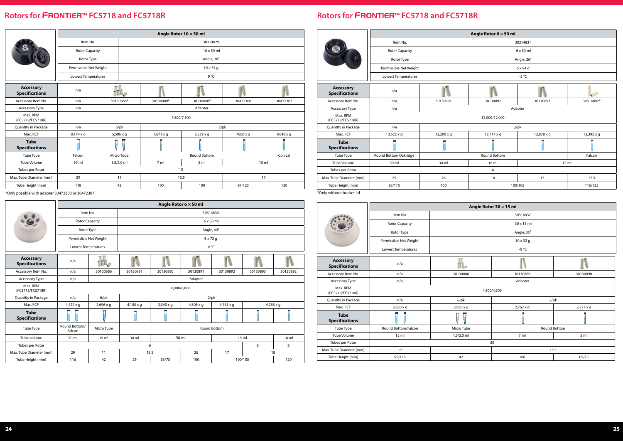\*Only possible with adapter 30472300 or 30472307

|                                           | Angle Rotor $10 \times 50$ ml |                  |             |                     |          |                 |  |  |  |  |
|-------------------------------------------|-------------------------------|------------------|-------------|---------------------|----------|-----------------|--|--|--|--|
|                                           | Item No.                      |                  |             | 30314829            |          |                 |  |  |  |  |
|                                           | <b>Rotor Capacity</b>         |                  |             | 10 x 50 ml          |          |                 |  |  |  |  |
|                                           | Rotor Type                    |                  |             | Angle, 38°          |          |                 |  |  |  |  |
|                                           | Permissible Net Weight        |                  |             | $10 \times 74$ q    |          |                 |  |  |  |  |
|                                           | Lowest Temperatures           |                  | 9 °C        |                     |          |                 |  |  |  |  |
| <b>Accessory</b><br><b>Specifications</b> | n/a                           | <b>CLO</b>       |             |                     |          |                 |  |  |  |  |
| Accessory Item No.                        | n/a                           | 30130886*        | 30130889*   | 30130890*           | 30472300 | 30472307        |  |  |  |  |
| Accessory Type                            | n/a                           | Adapter          |             |                     |          |                 |  |  |  |  |
| Max. RPM<br>(FC5718/FC5718R)              |                               |                  | 7,500/7,500 |                     |          |                 |  |  |  |  |
| <b>Quantity in Package</b>                | n/a                           | $6$ /pk          |             |                     | $2$ /pk  |                 |  |  |  |  |
| Max. RCF                                  | $8,174 \times g$              | $5,596 \times g$ | 7,671 x g   | $6,539 \times g$    | 7860 x q | 8048 x q        |  |  |  |  |
| <b>Tube</b><br><b>Specifications</b>      |                               | 冒                |             |                     |          |                 |  |  |  |  |
| Tube Type                                 | Falcon                        | Micro Tube       |             | <b>Round Bottom</b> |          | Conical         |  |  |  |  |
| <b>Tube Volume</b>                        | 50 ml                         | $1.5/2.0$ ml     | 7 ml        | 5 <sub>m</sub>      |          | 15 <sub>m</sub> |  |  |  |  |
| Tubes per Rotor                           |                               |                  |             | 10                  |          |                 |  |  |  |  |
| Max. Tube Diameter (mm)                   | 29                            | 11               |             | 13.5                |          | 17              |  |  |  |  |
| Tube Height (mm)                          | 118                           | 42               | 100         | 100                 | 97-123   | 120             |  |  |  |  |

|                                           |                            |                        |                  |                  | Angle Rotor $6 \times 50$ ml |              |                 |                  |  |  |
|-------------------------------------------|----------------------------|------------------------|------------------|------------------|------------------------------|--------------|-----------------|------------------|--|--|
|                                           | Item No.                   |                        | 30314830         |                  |                              |              |                 |                  |  |  |
|                                           | <b>Rotor Capacity</b>      |                        |                  | 6 x 50 ml        |                              |              |                 |                  |  |  |
|                                           | Rotor Type                 |                        |                  |                  |                              | Angle, 40°   |                 |                  |  |  |
|                                           |                            | Permissible Net Weight |                  |                  | 6 x 72 g                     |              |                 |                  |  |  |
|                                           | <b>Lowest Temperatures</b> |                        |                  | -8 °C            |                              |              |                 |                  |  |  |
| <b>Accessory</b><br><b>Specifications</b> | n/a                        | Ū.                     |                  |                  |                              |              |                 |                  |  |  |
| Accessory Item No.                        | n/a                        | 30130886               | 30130891         | 30130890         | 30130891                     | 30130892     | 30130893        | 30130892         |  |  |
| Accessory Type                            | n/a                        | Adapter                |                  |                  |                              |              |                 |                  |  |  |
| Max. RPM<br>(FC5718/FC5718R)              |                            | 6,000/6,000            |                  |                  |                              |              |                 |                  |  |  |
| Quantity in Package                       | n/a                        | $6$ /p $k$             |                  |                  |                              | $2$ /pk      |                 |                  |  |  |
| Max. RCF                                  | $4,427 \times q$           | $2,696 \times q$       | $4,105 \times q$ | $3,340 \times q$ | $4,306 \times q$             | 4,145 x g    |                 | $4,266 \times q$ |  |  |
| <b>Tube</b><br><b>Specifications</b>      |                            |                        |                  |                  |                              |              | г               |                  |  |  |
| Tube Type                                 | Round Bottom/<br>Falcon    | Micro Tube             |                  |                  |                              | Round Bottom |                 |                  |  |  |
| Tube volume                               | 50 ml                      | 15 <sub>m</sub>        | 30 ml            | 50 ml            |                              |              | 15 <sub>m</sub> | 16 <sub>m</sub>  |  |  |
| Tubes per Rotor                           |                            |                        |                  | 6                |                              |              | 6               | 6                |  |  |
| Max. Tube Diameter (mm)                   | 29                         | 11                     |                  | 13.5             | 26                           | 17           |                 | 18               |  |  |
| Tube Height (mm)                          | 116                        | 42                     | 26               | 65/75            | 100                          |              | 100/105         | 120              |  |  |

### **Rotors for** FRONTIER™ **FC5718 and FC5718R**

\*Only without bucket lid

|                                           | Angle Rotor $6 \times 50$ ml |                   |                     |                  |            |  |  |  |  |
|-------------------------------------------|------------------------------|-------------------|---------------------|------------------|------------|--|--|--|--|
|                                           | Item No.                     |                   | 30314831            |                  |            |  |  |  |  |
|                                           | <b>Rotor Capacity</b>        |                   |                     | $6 \times 50$ ml |            |  |  |  |  |
|                                           | Rotor Type                   |                   |                     | Angle, 26°       |            |  |  |  |  |
|                                           | Permissible Net Weight       |                   |                     | 6 x 94 g         |            |  |  |  |  |
|                                           | Lowest Temperatures          |                   | -5 $^{\circ}$ C     |                  |            |  |  |  |  |
| <b>Accessory</b><br><b>Specifications</b> | n/a                          |                   |                     |                  |            |  |  |  |  |
| Accessory Item No.                        | n/a                          | 30130891          | 30130892            | 30130893         | 30314892*  |  |  |  |  |
| <b>Accessory Type</b>                     | n/a                          | Adapter           |                     |                  |            |  |  |  |  |
| Max. RPM<br>(FC5718/FC5718R)              | 12,000/12,000                |                   |                     |                  |            |  |  |  |  |
| Quantity in Package                       | n/a                          |                   |                     | $2$ /pk          |            |  |  |  |  |
| Max. RCF                                  | 13,522 x g                   | $13,200 \times g$ | $12,717 \times g$   | 12,878 x g       | 12,395 x g |  |  |  |  |
| <b>Tube</b><br><b>Specifications</b>      |                              |                   |                     |                  |            |  |  |  |  |
| Tube Type                                 | Round Bottom Oakridge        |                   | <b>Round Bottom</b> |                  | Falcon     |  |  |  |  |
| Tube Volume                               | 50 ml                        | 30 ml             | 16 ml               | 15 ml            |            |  |  |  |  |
| Tubes per Rotor                           |                              |                   | 6                   |                  |            |  |  |  |  |
| Max. Tube Diameter (mm)                   | 29                           | 26                | 18                  | 17               | 17.5       |  |  |  |  |
| Tube Height (mm)                          | 95/115                       | 100               | 100/105             |                  | 116/125    |  |  |  |  |

|                                           | Angle Rotor 30 x 15 ml |              |                  |                  |  |  |  |
|-------------------------------------------|------------------------|--------------|------------------|------------------|--|--|--|
|                                           | Item No.<br>30314832   |              |                  |                  |  |  |  |
|                                           | <b>Rotor Capacity</b>  |              | 30 x 15 ml       |                  |  |  |  |
|                                           | Rotor Type             |              | Angle, 35°       |                  |  |  |  |
|                                           | Permissible Net Weight |              | 30 x 32 g        |                  |  |  |  |
|                                           | Lowest Temperatures    |              | -9 $^{\circ}$ C  |                  |  |  |  |
| <b>Accessory</b><br><b>Specifications</b> | n/a                    | $\mathbb{R}$ |                  |                  |  |  |  |
| Accessory Item No.                        | n/a                    | 30130886     | 30130889         | 30130890         |  |  |  |
| Accessory Type                            | n/a                    | Adapter      |                  |                  |  |  |  |
| Max. RPM<br>(FC5718/FC5718R)              |                        |              | 4,500/4,500      |                  |  |  |  |
| Quantity in Package                       | n/a                    | $6$ /pk      |                  | $2$ /pk          |  |  |  |
| Max. RCF                                  | $2,830 \times g$       | 2,038 x g    | $2,762 \times g$ | $2,377 \times g$ |  |  |  |
| <b>Tube</b><br><b>Specifications</b>      |                        | 带<br>급       |                  |                  |  |  |  |
| Tube Type                                 | Round Bottom/Falcon    | Micro Tube   | Round Bottom     |                  |  |  |  |
| <b>Tube Volume</b>                        | 15 ml                  | $1.5/2.0$ ml | 7 ml             | 5 ml             |  |  |  |
| Tubes per Rotor                           |                        |              | 30               |                  |  |  |  |
| Max. Tube Diameter (mm)                   | 17                     | 11           | 13.5             |                  |  |  |  |
| Tube Height (mm)                          | 95/115                 | 42           | 100              | 65/75            |  |  |  |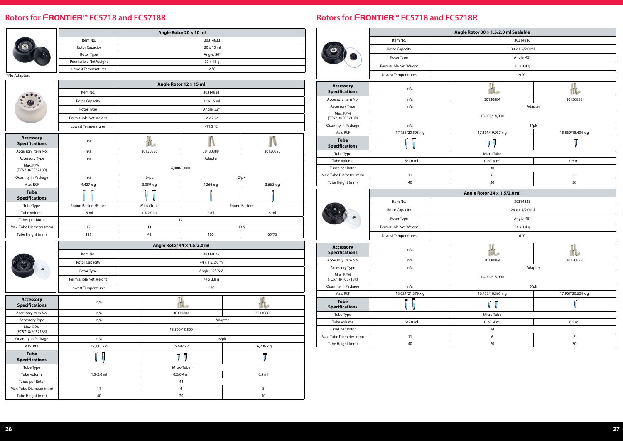|        | Angle Rotor 20 $\times$ 10 ml |                   |  |  |  |  |
|--------|-------------------------------|-------------------|--|--|--|--|
|        | Item No.                      | 30314833          |  |  |  |  |
|        | <b>Rotor Capacity</b>         | $20 \times 10$ ml |  |  |  |  |
|        | Rotor Type                    | Angle, 30°        |  |  |  |  |
|        | Permissible Net Weight        | $20 \times 18$ q  |  |  |  |  |
|        | Lowest Temperatures           | $2^{\circ}C$      |  |  |  |  |
| $\sim$ |                               |                   |  |  |  |  |

\*No Adapters

|                                           | Angle Rotor 44 x 1.5/2.0 ml |                 |            |  |  |  |  |
|-------------------------------------------|-----------------------------|-----------------|------------|--|--|--|--|
|                                           | Item No.                    | 30314835        |            |  |  |  |  |
|                                           | <b>Rotor Capacity</b>       | 44 x 1.5/2.0 ml |            |  |  |  |  |
|                                           | Rotor Type                  | Angle, 32°/55°  |            |  |  |  |  |
|                                           | Permissible Net Weight      | 44 x 3.8 g      |            |  |  |  |  |
|                                           | Lowest Temperatures         | $1^{\circ}C$    |            |  |  |  |  |
| <b>Accessory</b><br><b>Specifications</b> | n/a                         | li lia          |            |  |  |  |  |
| Accessory Item No.                        | n/a                         | 30130884        | 30130885   |  |  |  |  |
| Accessory Type                            | n/a                         | Adapter         |            |  |  |  |  |
| Max. RPM<br>(FC5718/FC5718R)              |                             | 13,500/13,500   |            |  |  |  |  |
| Quantity in Package                       | n/a                         | $6$ /pk         |            |  |  |  |  |
| Max. RCF                                  | 17,113 x g                  | 15,687 x g      | 16,706 x g |  |  |  |  |
| <b>Tube</b><br><b>Specifications</b>      | ᆷ                           | 五<br>Ī          | 豆          |  |  |  |  |
| Tube Type                                 |                             | Micro Tube      |            |  |  |  |  |
| Tube volume                               | $1.5/2.0$ ml                | $0.2/0.4$ ml    | $0.5$ ml   |  |  |  |  |
| Tubes per Rotor                           |                             | 44              |            |  |  |  |  |
| Max. Tube Diameter (mm)                   | 11                          | 6               | 8          |  |  |  |  |
| Tube Height (mm)                          | 40                          | 20              | 30         |  |  |  |  |

|                                           | Angle Rotor 12 × 15 ml |              |                     |                  |  |  |  |
|-------------------------------------------|------------------------|--------------|---------------------|------------------|--|--|--|
|                                           | Item No.               |              | 30314834            |                  |  |  |  |
|                                           | Rotor Capacity         |              | 12 x 15 ml          |                  |  |  |  |
|                                           | Rotor Type             |              | Angle, 32°          |                  |  |  |  |
|                                           | Permissible Net Weight |              | 12 x 25 g           |                  |  |  |  |
|                                           | Lowest Temperatures    |              | $-11.5$ °C          |                  |  |  |  |
| <b>Accessory</b><br><b>Specifications</b> | n/a                    |              |                     |                  |  |  |  |
| Accessory Item No.                        | n/a                    | 30130886     | 30130889            | 30130890         |  |  |  |
| Accessory Type                            | n/a                    |              | Adapter             |                  |  |  |  |
| Max. RPM<br>(FC5718/FC5718R)              |                        |              | 6,000/6,000         |                  |  |  |  |
| Quantity in Package                       | n/a                    | $6$ /pk      | $2$ /pk             |                  |  |  |  |
| Max. RCF                                  | 4,427 x g              | 3,059 x g    | $4,266 \times q$    | $3,662 \times q$ |  |  |  |
| <b>Tube</b><br><b>Specifications</b>      |                        | Π<br>π       |                     |                  |  |  |  |
| Tube Type                                 | Round Bottom/Falcon    | Micro Tube   | <b>Round Bottom</b> |                  |  |  |  |
| <b>Tube Volume</b>                        | 15 <sub>m</sub>        | $1.5/2.0$ ml | 7 <sub>m</sub>      | 5 <sub>m</sub>   |  |  |  |
| Tubes per Rotor                           |                        |              | 12                  |                  |  |  |  |
| Max. Tube Diameter (mm)                   | 17                     | 11           | 13.5                |                  |  |  |  |
| Tube Height (mm)                          | 121                    | 42           | 100                 | 65/75            |  |  |  |

### **Rotors for** FRONTIER™ **FC5718 and FC5718R**

|                                             | Angle Rotor 30 $\times$ 1.5/2.0 ml Sealable |  |                             |                         |  |  |  |
|---------------------------------------------|---------------------------------------------|--|-----------------------------|-------------------------|--|--|--|
|                                             | Item No.                                    |  | 30314836                    |                         |  |  |  |
|                                             | <b>Rotor Capacity</b>                       |  | 30 x 1.5/2.0 ml             |                         |  |  |  |
|                                             | Rotor Type                                  |  | Angle, 45°                  |                         |  |  |  |
|                                             | Permissible Net Weight                      |  | 30 x 3.4 g                  |                         |  |  |  |
|                                             | Lowest Temperatures                         |  | 9°C                         |                         |  |  |  |
| <b>Accessory</b><br><b>Specifications</b>   | n/a                                         |  |                             |                         |  |  |  |
| Accessory Item No.                          | n/a                                         |  | 30130884                    | 30130885                |  |  |  |
| Accessory Type                              | n/a                                         |  | Adapter                     |                         |  |  |  |
| Max. RPM<br>(FC5718/FC5718R)                |                                             |  | 13,000/14,000               |                         |  |  |  |
| Quantity in Package                         | n/a                                         |  | $6$ /p $k$                  |                         |  |  |  |
| Max. RCF                                    | 17,758/20,595 x g                           |  | 17,191/19,937 x g           | 15,869/18,404 x g       |  |  |  |
| <b>Tube</b><br><b>Specifications</b>        | Ī                                           |  | Ţ<br>Ţ                      | Ţ                       |  |  |  |
| Tube Type                                   |                                             |  | Micro Tube                  |                         |  |  |  |
| Tube volume                                 | $1.5/2.0$ ml                                |  | $0.2/0.4$ ml                | $0.5$ ml                |  |  |  |
| Tubes per Rotor                             |                                             |  | 30                          |                         |  |  |  |
| Max. Tube Diameter (mm)                     | 11                                          |  | 6                           | 8                       |  |  |  |
| Tube Height (mm)                            | 40                                          |  | 20                          | 30                      |  |  |  |
|                                             |                                             |  |                             |                         |  |  |  |
|                                             |                                             |  | Angle Rotor 24 x 1.5/2.0 ml |                         |  |  |  |
|                                             | Item No.                                    |  | 30314838                    |                         |  |  |  |
|                                             | <b>Rotor Capacity</b>                       |  | 24 x 1.5/2.0 ml             |                         |  |  |  |
|                                             | Rotor Type                                  |  | Angle, 45°                  |                         |  |  |  |
|                                             | Permissible Net Weight                      |  | 24 x 3.4 g                  |                         |  |  |  |
|                                             | Lowest Temperatures                         |  | 6°C                         |                         |  |  |  |
|                                             |                                             |  |                             |                         |  |  |  |
| <b>Accessory</b><br><b>Specifications</b>   | n/a                                         |  |                             |                         |  |  |  |
| Accessory Item No.                          | n/a                                         |  | 30130884                    | 30130885                |  |  |  |
| Accessory Type                              | n/a                                         |  | Adapter                     |                         |  |  |  |
| Max. RPM<br>(FC5718/FC5718R)                |                                             |  | 14,000/15,000               |                         |  |  |  |
| Quantity in Package                         | n/a                                         |  |                             | $6$ /pk                 |  |  |  |
| Max. RCF                                    | 18,624/21,379 x g                           |  | 16,433/18,863 x g           | 17,967/20,624 x g       |  |  |  |
| <b>Tube</b><br><b>Specifications</b>        | $\overline{\mathbb{U}}$                     |  | Ţ<br>Ţ                      | $\overline{\mathsf{U}}$ |  |  |  |
| Tube Type                                   |                                             |  | Micro Tube                  |                         |  |  |  |
| Tube volume                                 | 1.5/2.0 ml                                  |  | $0.2/0.4$ ml                | $0.5$ ml                |  |  |  |
| Tubes per Rotor                             |                                             |  | 24                          |                         |  |  |  |
| Max. Tube Diameter (mm)<br>Tube Height (mm) | 11<br>$40\,$                                |  | 6<br>20                     | 8<br>$30\,$             |  |  |  |

|                                           | Angle Rotor 30 $\times$ 1.5/2.0 ml Sealable |  |                                         |                         |  |  |
|-------------------------------------------|---------------------------------------------|--|-----------------------------------------|-------------------------|--|--|
|                                           | Item No.                                    |  | 30314836                                |                         |  |  |
|                                           | <b>Rotor Capacity</b>                       |  | 30 x 1.5/2.0 ml                         |                         |  |  |
|                                           | Rotor Type                                  |  | Angle, 45°                              |                         |  |  |
|                                           | Permissible Net Weight                      |  | 30 x 3.4 g                              |                         |  |  |
|                                           | Lowest Temperatures                         |  | 9°C                                     |                         |  |  |
| <b>Accessory</b>                          |                                             |  |                                         |                         |  |  |
| <b>Specifications</b>                     | n/a                                         |  |                                         |                         |  |  |
| Accessory Item No.                        | n/a                                         |  | 30130884                                | 30130885                |  |  |
| Accessory Type                            | n/a                                         |  | Adapter                                 |                         |  |  |
| Max. RPM<br>(FC5718/FC5718R)              |                                             |  | 13,000/14,000                           |                         |  |  |
| Quantity in Package                       | n/a                                         |  | $6$ /pk                                 |                         |  |  |
| Max. RCF                                  | 17,758/20,595 x g                           |  | 17,191/19,937 x g                       | 15,869/18,404 x g       |  |  |
| <b>Tube</b><br><b>Specifications</b>      | $\overline{\mathbb{U}}$                     |  | ٦<br>Ţ                                  | Ţ                       |  |  |
| Tube Type                                 |                                             |  | Micro Tube                              |                         |  |  |
| Tube volume                               | $1.5/2.0$ ml                                |  | $0.2/0.4$ ml                            | $0.5$ ml                |  |  |
| Tubes per Rotor                           |                                             |  | 30                                      |                         |  |  |
| Max. Tube Diameter (mm)                   | 11                                          |  | 6                                       | 8                       |  |  |
| Tube Height (mm)                          | 40                                          |  | 20                                      | 30                      |  |  |
|                                           |                                             |  |                                         |                         |  |  |
|                                           |                                             |  |                                         |                         |  |  |
|                                           | Item No.                                    |  | Angle Rotor 24 x 1.5/2.0 ml<br>30314838 |                         |  |  |
|                                           | <b>Rotor Capacity</b>                       |  | 24 x 1.5/2.0 ml                         |                         |  |  |
|                                           | Rotor Type                                  |  | Angle, 45°                              |                         |  |  |
|                                           | Permissible Net Weight                      |  | 24 x 3.4 g                              |                         |  |  |
|                                           | Lowest Temperatures                         |  | 6 °C                                    |                         |  |  |
|                                           |                                             |  |                                         |                         |  |  |
| <b>Accessory</b><br><b>Specifications</b> | n/a                                         |  |                                         |                         |  |  |
| Accessory Item No.                        | n/a                                         |  | 30130884                                | 30130885                |  |  |
| Accessory Type                            | n/a                                         |  | Adapter                                 |                         |  |  |
| Max. RPM<br>(FC5718/FC5718R)              |                                             |  | 14,000/15,000                           |                         |  |  |
| Quantity in Package                       | n/a                                         |  | $6$ /pk                                 |                         |  |  |
| Max. RCF                                  | 18,624/21,379 x g                           |  | 16,433/18,863 x g                       | 17,967/20,624 x g       |  |  |
| <b>Tube</b><br><b>Specifications</b>      |                                             |  | Ţ<br>$\overline{\mathsf{U}}$            | $\overline{\mathsf{U}}$ |  |  |
| Tube Type                                 |                                             |  | Micro Tube                              |                         |  |  |
| Tube volume                               | 1.5/2.0 ml                                  |  | 0.2/0.4 ml                              | $0.5$ ml                |  |  |
| Tubes per Rotor                           |                                             |  | $24\,$                                  |                         |  |  |
| Max. Tube Diameter (mm)                   | 11                                          |  | 6                                       | 8                       |  |  |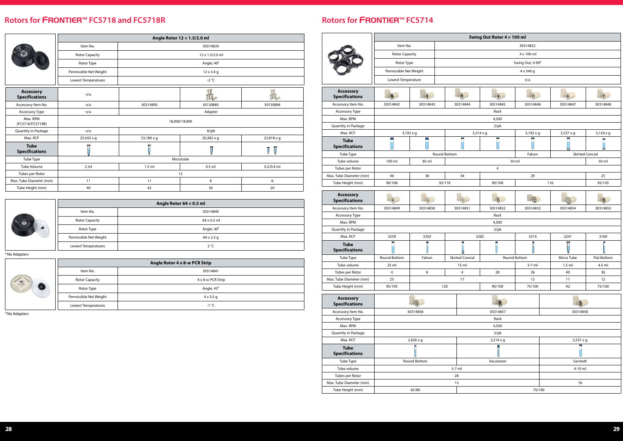|                                           | Angle Rotor 12 × 1.5/2.0 ml |                 |                   |                              |  |  |  |
|-------------------------------------------|-----------------------------|-----------------|-------------------|------------------------------|--|--|--|
|                                           | Item No.                    | 30314839        |                   |                              |  |  |  |
|                                           | Rotor Capacity              | 12 x 1.5/2.0 ml |                   |                              |  |  |  |
|                                           | Rotor Type                  |                 | Angle, 40°        |                              |  |  |  |
|                                           | Permissible Net Weight      |                 | $12 \times 3.4$ g |                              |  |  |  |
|                                           | Lowest Temperatures         | -2 $\degree$ C  |                   |                              |  |  |  |
| <b>Accessory</b><br><b>Specifications</b> | n/a                         |                 | 川島の               |                              |  |  |  |
| Accessory Item No.                        | n/a                         | 30314900        | 30130885          | 30130884                     |  |  |  |
| Accessory Type                            | n/a                         | Adapter         |                   |                              |  |  |  |
| Max. RPM<br>(FC5718/FC5718R)              |                             |                 | 18,000/18,000     |                              |  |  |  |
| Quantity in Package                       | n/a                         |                 | $6$ /pk           |                              |  |  |  |
| Max. RCF                                  | 23,542 x g                  | 23,180 x g      | 20,282 x g        | 22,818 x g                   |  |  |  |
| <b>Tube</b><br><b>Specifications</b>      |                             |                 | 豆                 | $\overline{\mathsf{U}}$<br>Ţ |  |  |  |
| Tube Type                                 |                             |                 | Microtube         |                              |  |  |  |
| Tube Volume                               | 2 ml                        | $1.5$ ml        | $0.5$ ml          | $0.2/0.4$ ml                 |  |  |  |
| Tubes per Rotor                           |                             |                 | 12                |                              |  |  |  |
| Max. Tube Diameter (mm)                   | 11                          | 11              | 8                 | 6                            |  |  |  |
| Tube Height (mm)                          | 40                          | 42              | 30                | 20                           |  |  |  |



|                        | Angle Rotor 64 $\times$ 0.5 ml |
|------------------------|--------------------------------|
| Item No.               | 30314840                       |
| <b>Rotor Capacity</b>  | 64 x 0.5 ml                    |
| Rotor Type             | Angle, 40°                     |
| Permissible Net Weight | $64 \times 2.3$ g              |
| Lowest Temperatures    | 2 °C                           |

|  | Angle Rotor 4 x 8-w PCR Strip |                        |  |  |  |  |
|--|-------------------------------|------------------------|--|--|--|--|
|  | Item No.                      | 30314841               |  |  |  |  |
|  | <b>Rotor Capacity</b>         | 4 x 8-w PCR Strip      |  |  |  |  |
|  | Rotor Type                    | Angle, 45 <sup>°</sup> |  |  |  |  |
|  | Permissible Net Weight        | $4 \times 3.5$ g       |  |  |  |  |
|  | Lowest Temperatures           | $-1$ °C                |  |  |  |  |

\*No Adapters

\*No Adapters

### **Rotors for** FRONTIER™ **FC5714**

|                                           | Swing Out Rotor 4 x 100 ml |                  |                  |                        |                  |              |     |                        |             |
|-------------------------------------------|----------------------------|------------------|------------------|------------------------|------------------|--------------|-----|------------------------|-------------|
|                                           | Item No.                   |                  |                  | 30314822               |                  |              |     |                        |             |
|                                           | <b>Rotor Capacity</b>      |                  |                  | 4 x 100 ml             |                  |              |     |                        |             |
|                                           | Rotor Type                 |                  |                  |                        |                  |              |     |                        |             |
|                                           |                            |                  | Swing Out, 0-90° |                        |                  |              |     |                        |             |
|                                           | Permissible Net Weight     |                  |                  |                        |                  | 4 x 340 g    |     |                        |             |
|                                           | Lowest Temperature         |                  |                  |                        |                  | n/a          |     |                        |             |
| <b>Accessory</b><br><b>Specifications</b> |                            |                  |                  |                        |                  |              |     |                        |             |
| Accessory Item No.                        | 30314842                   | 30314843         |                  | 30314844               | 30314845         | 30314846     |     | 30314847               | 30314848    |
| Accessory Type                            |                            |                  |                  |                        | Rack             |              |     |                        |             |
| Max. RPM                                  |                            |                  |                  |                        | 4,500            |              |     |                        |             |
| Quantity in Package                       |                            |                  |                  |                        | $2$ /pk          |              |     |                        |             |
| Max. RCF                                  |                            | $3,192 \times g$ |                  |                        | 3,214 x g        | 3,192 x g    |     | 3,237 x g              | 3,124 x g   |
| <b>Tube</b><br><b>Specifications</b>      |                            |                  |                  |                        |                  |              |     |                        |             |
| Tube Type                                 |                            |                  | Round Bottom     |                        |                  | Falcon       |     | <b>Skirted Concial</b> |             |
| Tube volume                               | 100 ml                     | 85 ml            |                  |                        |                  | 50 ml        |     |                        | 30 ml       |
| Tubes per Rotor                           |                            |                  |                  |                        | 4                |              |     |                        |             |
| Max. Tube Diameter (mm)                   | 46                         | 38               |                  | 34                     |                  | 29           |     |                        | 25          |
| Tube Height (mm)                          | 90/108                     |                  | 92/118           |                        | 90/108           |              | 116 |                        | 95/105      |
| <b>Accessory</b><br><b>Specifications</b> |                            | $\mathbf{a}_k$   |                  |                        |                  |              |     |                        |             |
| Accessory Item No.                        | 30314849                   | 30314850         |                  | 30314851               | 30314852         | 30314853     |     | 30314854               | 30314855    |
| Accessory Type                            |                            |                  |                  |                        | Rack             |              |     |                        |             |
| Max. RPM                                  |                            |                  |                  |                        | 4,500            |              |     |                        |             |
| Quantity in Package                       |                            |                  |                  |                        | $2$ /pk          |              |     |                        |             |
| Max. RCF                                  | 3259                       | 3350             |                  | 3282<br>3214<br>2241   |                  |              |     | 3169                   |             |
| <b>Tube</b><br><b>Specifications</b>      |                            |                  |                  |                        |                  |              |     |                        |             |
| Tube Type                                 | Round Bottom               | Falcon           |                  | <b>Skirted Concial</b> |                  | Round Bottom |     | Micro Tube             | Flat Bottom |
| Tube volume                               | 25 ml                      |                  |                  | 15 ml                  |                  | 5-7 ml       |     | $1.5$ ml               | 4.5 ml      |
| Tubes per Rotor                           | 4                          | 8                |                  | $\overline{4}$         | 28               | 36           |     | 40                     | 36          |
| Max. Tube Diameter (mm)                   | 25                         |                  |                  | 17                     |                  | 13           |     | 11                     | 12          |
| Tube Height (mm)                          | 95/105                     |                  | 120              |                        | 90/108           | 75/100       |     | 42                     | 75/100      |
| <b>Accessory</b><br><b>Specifications</b> |                            | $\mathbb{R}$     |                  |                        |                  |              |     |                        |             |
| Accessory Item No.                        |                            | 30314856         |                  |                        | 30314857         |              |     | 30314858               |             |
| Accessory Type                            |                            |                  |                  |                        | Rack             |              |     |                        |             |
| Max. RPM                                  |                            |                  |                  |                        | 4,500            |              |     |                        |             |
| Quantity in Package                       |                            |                  |                  |                        | $2$ /pk          |              |     |                        |             |
| Max. RCF                                  |                            | 2,626 x g        |                  |                        | $3,214 \times g$ |              |     | 3,237 x g              |             |
| <b>Tube</b><br><b>Specifications</b>      |                            |                  |                  |                        |                  |              |     |                        |             |
| Tube Type                                 |                            | Round Bottom     |                  |                        | Vacutainer       |              |     | Sarstedt               |             |
| Tube volume                               |                            |                  |                  | 5-7 ml                 |                  |              |     | 4-10 ml                |             |
| Tubes per Rotor                           |                            |                  |                  | 28                     |                  |              |     |                        |             |
| Max. Tube Diameter (mm)                   |                            |                  |                  | 13                     |                  |              |     | 16                     |             |
| Tube Height (mm)                          |                            | 65/80            |                  | 75/100                 |                  |              |     |                        |             |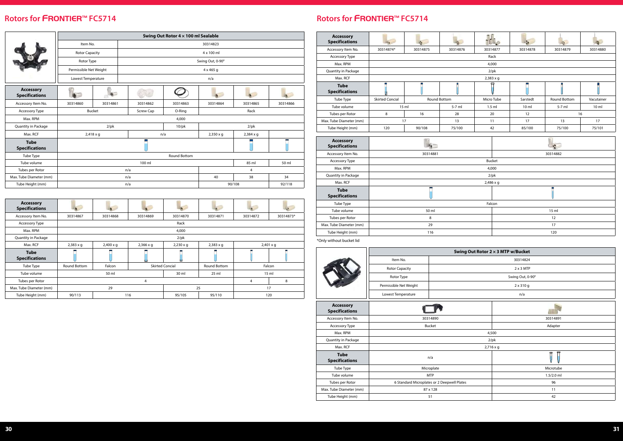|                                           | Swing Out Rotor 4 x 100 ml Sealable |          |           |              |                  |                  |          |  |  |
|-------------------------------------------|-------------------------------------|----------|-----------|--------------|------------------|------------------|----------|--|--|
|                                           | Item No.                            |          | 30314823  |              |                  |                  |          |  |  |
|                                           | <b>Rotor Capacity</b>               |          |           |              | 4 x 100 ml       |                  |          |  |  |
|                                           | Rotor Type                          |          |           |              | Swing Out, 0-90° |                  |          |  |  |
|                                           | Permissible Net Weight              |          |           |              | $4 \times 465$ g |                  |          |  |  |
|                                           | Lowest Temperature                  |          |           |              | n/a              |                  |          |  |  |
| <b>Accessory</b><br><b>Specifications</b> |                                     |          |           |              |                  |                  |          |  |  |
| Accessory Item No.                        | 30314860                            | 30314861 | 30314862  | 30314863     | 30314864         | 30314865         | 30314866 |  |  |
| Accessory Type                            | <b>Bucket</b>                       |          | Screw Cap | O-Ring       |                  | Rack             |          |  |  |
| Max. RPM                                  |                                     |          |           | 4,000        |                  |                  |          |  |  |
| Quantity in Package                       |                                     | $2$ /pk  |           | $10$ /pk     | $2$ /pk          |                  |          |  |  |
| Max, RCF                                  | $2,418 \times g$                    |          |           | n/a          | $2,350 \times g$ | $2,384 \times g$ |          |  |  |
| <b>Tube</b><br><b>Specifications</b>      |                                     |          |           |              |                  |                  |          |  |  |
| Tube Type                                 |                                     |          |           | Round Bottom |                  |                  |          |  |  |
| Tube volume                               |                                     |          | 100 ml    |              |                  | 85 ml            | 50 ml    |  |  |
| Tubes per Rotor                           |                                     |          | n/a       |              |                  | 4                |          |  |  |
| Max. Tube Diameter (mm)                   |                                     |          | n/a       |              | 40               | 38               | 34       |  |  |
| Tube Height (mm)                          |                                     |          | n/a       |              |                  | 90/108           | 92/118   |  |  |

| <b>Accessory</b><br><b>Specifications</b> |                     |                  |                  |                        |                  |                  |                 |  |  |
|-------------------------------------------|---------------------|------------------|------------------|------------------------|------------------|------------------|-----------------|--|--|
| Accessory Item No.                        | 30314867            | 30314868         | 30314869         | 30314870               | 30314871         | 30314872         | 30314873*       |  |  |
| <b>Accessory Type</b>                     | Rack                |                  |                  |                        |                  |                  |                 |  |  |
| Max. RPM                                  |                     | 4,000            |                  |                        |                  |                  |                 |  |  |
| <b>Quantity in Package</b>                |                     | $2$ /pk          |                  |                        |                  |                  |                 |  |  |
| Max. RCF                                  | $2,383 \times q$    | $2,400 \times q$ | $2,366 \times g$ | $2,230 \times q$       | $2,383 \times q$ | $2,401 \times q$ |                 |  |  |
| <b>Tube</b><br><b>Specifications</b>      |                     |                  |                  |                        |                  |                  |                 |  |  |
| Tube Type                                 | <b>Round Bottom</b> | Falcon           |                  | <b>Skirted Concial</b> | Round Bottom     |                  | Falcon          |  |  |
| Tube volume                               |                     | 50 ml            |                  | 30 ml                  | $25$ ml          |                  | 15 <sub>m</sub> |  |  |
| Tubes per Rotor                           |                     |                  | 4                |                        |                  | 4                | 8               |  |  |
| Max. Tube Diameter (mm)                   |                     | 29               |                  |                        | 25               | 17               |                 |  |  |
| Tube Height (mm)                          | 90/113              |                  | 116              | 95/105                 | 95/110           | 120              |                 |  |  |

### **Rotors for** FRONTIER™ **FC5714**

|  | Swing Out Rotor 2 x 3 MTP w/Bucket |                  |  |  |  |
|--|------------------------------------|------------------|--|--|--|
|  | Item No.                           | 30314824         |  |  |  |
|  | <b>Rotor Capacity</b>              | $2 \times 3$ MTP |  |  |  |
|  | Rotor Type                         | Swing Out, 0-90° |  |  |  |
|  | Permissible Net Weight             | $2 \times 310$ g |  |  |  |
|  | Lowest Temperature                 | n/a              |  |  |  |

\*Only without bucket lid

| <b>Accessory</b><br><b>Specifications</b> |                        |                     |          | Ū.            |                 |                     |                 |  |
|-------------------------------------------|------------------------|---------------------|----------|---------------|-----------------|---------------------|-----------------|--|
| Accessory Item No.                        | 30314874*              | 30314875            | 30314876 | 30314877      | 30314878        | 30314879            | 30314880        |  |
| Accessory Type                            |                        | Rack                |          |               |                 |                     |                 |  |
| Max. RPM                                  |                        |                     |          | 4,000         |                 |                     |                 |  |
| Quantity in Package                       |                        |                     |          | $2$ /pk       |                 |                     |                 |  |
| Max. RCF                                  |                        |                     |          | 2,383 x g     |                 |                     |                 |  |
| <b>Tube</b><br><b>Specifications</b>      |                        |                     |          | π             |                 |                     |                 |  |
| Tube Type                                 | <b>Skirted Concial</b> | <b>Round Bottom</b> |          | Micro Tube    | Sarstedt        | <b>Round Bottom</b> | Vacutainer      |  |
| Tube volume                               | 15 <sub>m</sub>        |                     | $5-7$ ml | $1.5$ ml      | 10 <sub>m</sub> | $5-7$ ml            | 10 <sub>m</sub> |  |
| Tubes per Rotor                           | 8                      | 16                  | 28       | 20            | 12              | 16                  |                 |  |
| Max. Tube Diameter (mm)                   | 17                     |                     | 13       | 11            | 17              | 13                  | 17              |  |
| Tube Height (mm)                          | 120                    | 90/108              | 75/100   | 42            | 85/100          | 75/100              | 75/101          |  |
|                                           |                        |                     |          |               |                 |                     |                 |  |
| <b>Accessory</b><br><b>Specifications</b> |                        |                     |          |               |                 |                     |                 |  |
| Accessory Item No.                        |                        | 30314881            |          |               |                 | 30314882            |                 |  |
| Accessory Type                            |                        |                     |          | <b>Bucket</b> |                 |                     |                 |  |
| Max. RPM                                  |                        |                     |          | 4,000         |                 |                     |                 |  |
| Quantity in Package                       |                        |                     |          | $2$ /pk       |                 |                     |                 |  |
| Max, RCF                                  |                        |                     |          | 2,486 x g     |                 |                     |                 |  |
| <b>Tube</b><br><b>Specifications</b>      |                        |                     |          |               |                 |                     |                 |  |
| Tube Type                                 | Falcon                 |                     |          |               |                 |                     |                 |  |
| Tube volume                               |                        | 50 ml               |          |               | 15 <sub>m</sub> |                     |                 |  |
| Tubes per Rotor                           | 8                      |                     |          |               | 12              |                     |                 |  |
| Max. Tube Diameter (mm)                   |                        | 29                  |          |               |                 | 17                  |                 |  |
| Tube Height (mm)                          |                        | 116                 |          |               |                 | 120                 |                 |  |

| <b>Accessory</b><br><b>Specifications</b> |                        |                     |          |                  | ULO   |                 |                     |                 |
|-------------------------------------------|------------------------|---------------------|----------|------------------|-------|-----------------|---------------------|-----------------|
| Accessory Item No.                        | 30314874*              | 30314875            | 30314876 | 30314877         |       | 30314878        | 30314879            | 30314880        |
| Accessory Type                            |                        | Rack                |          |                  |       |                 |                     |                 |
| Max. RPM                                  |                        |                     |          | 4,000            |       |                 |                     |                 |
| Quantity in Package                       |                        |                     |          | $2$ /pk          |       |                 |                     |                 |
| Max. RCF                                  |                        |                     |          | $2,383 \times g$ |       |                 |                     |                 |
| <b>Tube</b><br><b>Specifications</b>      |                        |                     |          |                  |       |                 |                     |                 |
| Tube Type                                 | <b>Skirted Concial</b> | <b>Round Bottom</b> |          | Micro Tube       |       | Sarstedt        | <b>Round Bottom</b> | Vacutainer      |
| Tube volume                               | 15 ml                  |                     | $5-7$ ml | $1.5$ ml         |       | 10 <sub>m</sub> | 5-7 ml              | 10 <sub>m</sub> |
| Tubes per Rotor                           | 8                      | 16                  | 28       | 20               |       | 12              | 16                  |                 |
| Max. Tube Diameter (mm)                   | 17                     |                     | 13       | 11               |       | 17              | 13                  | 17              |
| Tube Height (mm)                          | 120                    | 90/108              | 75/100   | 42               |       | 85/100          | 75/100              | 75/101          |
|                                           |                        |                     |          |                  |       |                 |                     |                 |
| <b>Accessory</b><br><b>Specifications</b> |                        |                     |          |                  |       |                 |                     |                 |
| Accessory Item No.                        |                        | 30314881            |          |                  |       |                 | 30314882            |                 |
| Accessory Type                            |                        |                     |          | <b>Bucket</b>    |       |                 |                     |                 |
| Max. RPM                                  |                        |                     |          | 4,000            |       |                 |                     |                 |
| Quantity in Package                       |                        |                     |          | $2$ /pk          |       |                 |                     |                 |
| Max. RCF                                  |                        |                     |          | $2,486 \times g$ |       |                 |                     |                 |
| <b>Tube</b><br><b>Specifications</b>      |                        |                     |          |                  |       |                 |                     |                 |
| Tube Type                                 | Falcon                 |                     |          |                  |       |                 |                     |                 |
| Tube volume                               | 50 ml                  |                     |          |                  | 15 ml |                 |                     |                 |
| Tubes per Rotor                           | 8                      |                     |          |                  | 12    |                 |                     |                 |
| Max. Tube Diameter (mm)                   |                        | 29                  |          |                  |       |                 | 17                  |                 |
| Tube Height (mm)                          |                        | 116                 |          |                  | 120   |                 |                     |                 |

| <b>Accessory</b><br><b>Specifications</b> |                                             | AHHÍ         |  |  |
|-------------------------------------------|---------------------------------------------|--------------|--|--|
| Accessory Item No.                        | 30314890                                    | 30314891     |  |  |
| Accessory Type                            | Bucket                                      | Adapter      |  |  |
| Max. RPM                                  |                                             | 4,500        |  |  |
| <b>Quantity in Package</b>                | $2$ /pk                                     |              |  |  |
| Max. RCF                                  | $2,716 \times g$                            |              |  |  |
| <b>Tube</b><br><b>Specifications</b>      | n/a                                         | ਜ਼<br>⊨      |  |  |
| Tube Type                                 | Microplate                                  | Microtube    |  |  |
| Tube volume                               | <b>MTP</b>                                  | $1.5/2.0$ ml |  |  |
| Tubes per Rotor                           | 6 Standard Microplates or 2 Deepwell Plates | 96           |  |  |
| Max. Tube Diameter (mm)                   | 87 x 128                                    | 11           |  |  |
| Tube Height (mm)                          | 51                                          | 42           |  |  |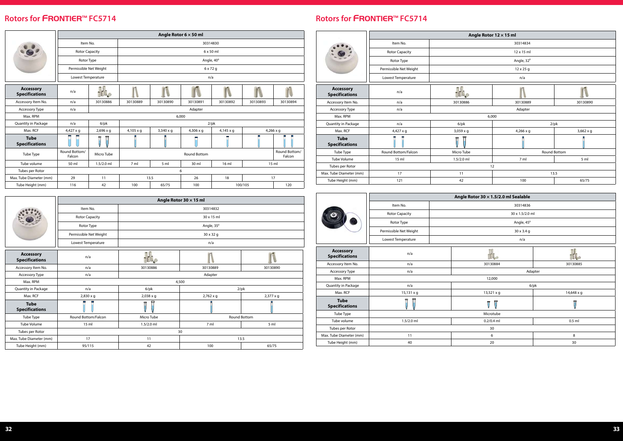|                                           | Angle Rotor $6 \times 50$ ml |                  |                                                             |                  |                     |                  |          |                         |
|-------------------------------------------|------------------------------|------------------|-------------------------------------------------------------|------------------|---------------------|------------------|----------|-------------------------|
|                                           | Item No.                     |                  |                                                             |                  | 30314830            |                  |          |                         |
|                                           | <b>Rotor Capacity</b>        |                  |                                                             |                  |                     | 6 x 50 ml        |          |                         |
|                                           | Rotor Type                   |                  |                                                             |                  | Angle, 40°          |                  |          |                         |
|                                           | Permissible Net Weight       |                  |                                                             |                  | 6 x 72 g            |                  |          |                         |
|                                           | Lowest Temperature           |                  |                                                             |                  | n/a                 |                  |          |                         |
|                                           |                              |                  |                                                             |                  |                     |                  |          |                         |
| <b>Accessory</b><br><b>Specifications</b> | n/a                          | TU <sub>0</sub>  |                                                             |                  |                     |                  |          |                         |
| Accessory Item No.                        | n/a                          | 30130886         | 30130889                                                    | 30130890         | 30130891            | 30130892         | 30130893 | 30130894                |
| Accessory Type                            | n/a                          |                  |                                                             |                  | Adapter             |                  |          |                         |
| Max. RPM                                  |                              |                  |                                                             |                  | 6,000               |                  |          |                         |
| Quantity in Package                       | n/a                          | $6$ /p $k$       |                                                             |                  |                     | $2$ /pk          |          |                         |
| Max. RCF                                  | $4,427 \times q$             | $2,696 \times q$ | $4,105 \times q$                                            | $3,340 \times q$ | $4,306 \times q$    | $4,145 \times q$ |          | $4,266 \times q$        |
| <b>Tube</b><br><b>Specifications</b>      |                              | Ī                |                                                             |                  |                     |                  |          |                         |
| Tube Type                                 | Round Bottom/<br>Falcon      | Micro Tube       |                                                             |                  | <b>Round Bottom</b> |                  |          | Round Bottom/<br>Falcon |
| Tube volume                               | 50 ml                        | $1.5/2.0$ ml     | 5 <sub>m</sub><br>30 ml<br>16 <sub>m</sub><br>15 ml<br>7 ml |                  |                     |                  |          |                         |
| Tubes per Rotor                           |                              |                  |                                                             |                  | 6                   |                  |          |                         |
| Max. Tube Diameter (mm)                   | 29                           | 11               |                                                             | 13.5             | 26                  | 18               |          | 17                      |
| Tube Height (mm)                          | 116                          | 42               | 100                                                         | 65/75            | 100                 |                  | 100/105  | 120                     |

|                                           | Angle Rotor 30 x 15 ml |                  |                  |                  |  |  |
|-------------------------------------------|------------------------|------------------|------------------|------------------|--|--|
|                                           | Item No.               | 30314832         |                  |                  |  |  |
|                                           | <b>Rotor Capacity</b>  |                  | 30 x 15 ml       |                  |  |  |
|                                           | Rotor Type             |                  | Angle, 35°       |                  |  |  |
|                                           | Permissible Net Weight |                  | 30 x 32 g        |                  |  |  |
|                                           | Lowest Temperature     | n/a              |                  |                  |  |  |
| <b>Accessory</b><br><b>Specifications</b> | n/a                    | TU O             |                  |                  |  |  |
| Accessory Item No.                        | n/a                    | 30130886         | 30130889         | 30130890         |  |  |
| Accessory Type                            | n/a                    |                  | Adapter          |                  |  |  |
| Max. RPM                                  |                        |                  | 4,500            |                  |  |  |
| Quantity in Package                       | n/a                    | $6$ /pk          | $2$ /pk          |                  |  |  |
| Max. RCF                                  | $2,830 \times q$       | $2,038 \times q$ | $2,762 \times g$ | $2,377 \times g$ |  |  |
| <b>Tube</b><br><b>Specifications</b>      |                        | 급<br>π           |                  |                  |  |  |
| Tube Type                                 | Round Bottom/Falcon    | Micro Tube       | Round Bottom     |                  |  |  |
| <b>Tube Volume</b>                        | 15 <sub>m</sub>        | $1.5/2.0$ ml     | 7 <sub>m</sub>   | 5 <sub>m</sub>   |  |  |
| Tubes per Rotor                           |                        |                  | 30               |                  |  |  |
| Max. Tube Diameter (mm)                   | 17                     | 11               | 13.5             |                  |  |  |
| Tube Height (mm)                          | 95/115                 | 42               | 100              | 65/75            |  |  |

## **Rotors for** FRONTIER™ **FC5714**

| Angle Rotor 12 x 15 ml |                      |  |  |  |  |  |
|------------------------|----------------------|--|--|--|--|--|
| 30314834               |                      |  |  |  |  |  |
| 12 x 15 ml             |                      |  |  |  |  |  |
| Angle, 32°             |                      |  |  |  |  |  |
| 12 x 25 g              |                      |  |  |  |  |  |
| n/a                    |                      |  |  |  |  |  |
|                        |                      |  |  |  |  |  |
| 30130889               | 30130890             |  |  |  |  |  |
| Adapter                |                      |  |  |  |  |  |
| 6,000                  |                      |  |  |  |  |  |
|                        | $2$ /pk              |  |  |  |  |  |
| 4,266 x g              | 3,662 x g            |  |  |  |  |  |
|                        |                      |  |  |  |  |  |
|                        |                      |  |  |  |  |  |
| 7 ml                   | 5 ml                 |  |  |  |  |  |
| 12                     |                      |  |  |  |  |  |
|                        |                      |  |  |  |  |  |
| 100                    | 65/75                |  |  |  |  |  |
|                        | Round Bottom<br>13.5 |  |  |  |  |  |

|                                           | Angle Rotor 30 x 1.5/2.0 ml Sealable |                   |            |  |  |  |  |
|-------------------------------------------|--------------------------------------|-------------------|------------|--|--|--|--|
|                                           | Item No.                             | 30314836          |            |  |  |  |  |
|                                           | <b>Rotor Capacity</b>                | 30 x 1.5/2.0 ml   |            |  |  |  |  |
|                                           | Rotor Type                           | Angle, 45°        |            |  |  |  |  |
|                                           | Permissible Net Weight               | 30 x 3.4 g        |            |  |  |  |  |
|                                           | Lowest Temperature                   | n/a               |            |  |  |  |  |
| <b>Accessory</b><br><b>Specifications</b> | n/a                                  | طالا              |            |  |  |  |  |
| Accessory Item No.                        | n/a                                  | 30130884          | 30130885   |  |  |  |  |
| Accessory Type                            | n/a                                  |                   | Adapter    |  |  |  |  |
| Max. RPM                                  |                                      | 12,000            |            |  |  |  |  |
| Quantity in Package                       | n/a                                  | $6$ /pk           |            |  |  |  |  |
| Max. RCF                                  | 15,131 x g                           | $13,521 \times g$ | 14,648 x g |  |  |  |  |
| <b>Tube</b><br><b>Specifications</b>      | 뉴<br>豆                               | π<br>π            | 冒          |  |  |  |  |
| Tube Type                                 |                                      | Microtube         |            |  |  |  |  |
| Tube volume                               | $1.5/2.0$ ml                         | $0.2/0.4$ ml      | $0.5$ ml   |  |  |  |  |
| Tubes per Rotor                           |                                      | 30                |            |  |  |  |  |
| Max. Tube Diameter (mm)                   | 11                                   | 6                 | 8          |  |  |  |  |
| Tube Height (mm)                          | 40                                   | 20                | 30         |  |  |  |  |

|                                           | Angle Rotor 12 x 15 ml |                  |                  |                  |  |  |
|-------------------------------------------|------------------------|------------------|------------------|------------------|--|--|
|                                           | Item No.               |                  | 30314834         |                  |  |  |
|                                           | <b>Rotor Capacity</b>  |                  | 12 x 15 ml       |                  |  |  |
|                                           | Rotor Type             |                  | Angle, 32°       |                  |  |  |
|                                           | Permissible Net Weight |                  | $12 \times 25$ g |                  |  |  |
|                                           | Lowest Temperature     |                  | n/a              |                  |  |  |
| <b>Accessory</b><br><b>Specifications</b> | n/a                    | Tues             |                  |                  |  |  |
| Accessory Item No.                        | n/a                    | 30130886         | 30130889         | 30130890         |  |  |
| Accessory Type                            | n/a                    |                  | Adapter          |                  |  |  |
| Max. RPM                                  |                        |                  | 6,000            |                  |  |  |
| Quantity in Package                       | n/a                    | $6$ /pk          |                  | $2$ /pk          |  |  |
| Max. RCF                                  | $4,427 \times q$       | $3,059 \times g$ | $4,266 \times g$ | $3,662 \times g$ |  |  |
| <b>Tube</b><br><b>Specifications</b>      |                        | 뮤                |                  |                  |  |  |
| Tube Type                                 | Round Bottom/Falcon    | Micro Tube       |                  | Round Bottom     |  |  |
| <b>Tube Volume</b>                        | 15 <sub>m</sub>        | $1.5/2.0$ ml     | 7 ml             | 5 <sub>m</sub>   |  |  |
| Tubes per Rotor                           |                        | 12               |                  |                  |  |  |
| Max. Tube Diameter (mm)                   | 17                     | 11               |                  | 13.5             |  |  |
| Tube Height (mm)                          | 121                    | 42               | 100              | 65/75            |  |  |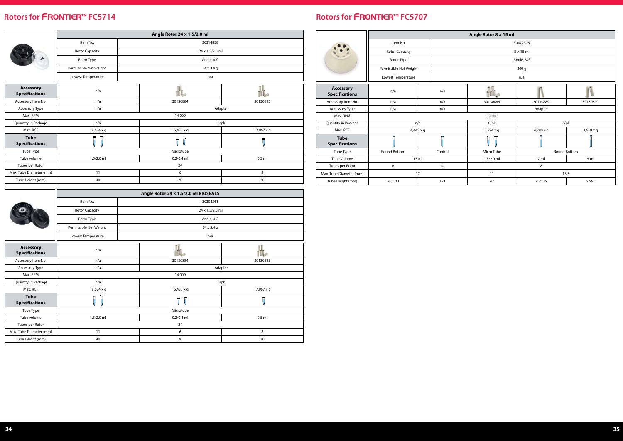|                                           | Angle Rotor 24 x 1.5/2.0 ml BIOSEALS |                              |            |  |  |  |
|-------------------------------------------|--------------------------------------|------------------------------|------------|--|--|--|
|                                           | Item No.                             | 30304361                     |            |  |  |  |
|                                           | <b>Rotor Capacity</b>                | 24 x 1.5/2.0 ml              |            |  |  |  |
|                                           | Rotor Type                           | Angle, 45°                   |            |  |  |  |
|                                           | Permissible Net Weight               | 24 x 3.4 g                   |            |  |  |  |
|                                           | Lowest Temperature                   | n/a                          |            |  |  |  |
| <b>Accessory</b><br><b>Specifications</b> | n/a                                  |                              |            |  |  |  |
| Accessory Item No.                        | n/a                                  | 30130884                     | 30130885   |  |  |  |
| Accessory Type                            | n/a                                  |                              | Adapter    |  |  |  |
| Max. RPM                                  |                                      | 14,000                       |            |  |  |  |
| Quantity in Package                       | n/a                                  |                              | $6$ /pk    |  |  |  |
| Max. RCF                                  | 18,624 x g                           | 16,433 x g                   | 17,967 x g |  |  |  |
| <b>Tube</b><br><b>Specifications</b>      | 뮤                                    | 冒<br>$\overline{\mathbb{J}}$ | 급          |  |  |  |
| Tube Type                                 |                                      | Microtube                    |            |  |  |  |
| Tube volume                               | $1.5/2.0$ ml                         | $0.2/0.4$ ml                 | $0.5$ ml   |  |  |  |
| Tubes per Rotor                           | 24                                   |                              |            |  |  |  |
| Max. Tube Diameter (mm)                   | 11                                   | 6                            | 8          |  |  |  |
| Tube Height (mm)                          | 40                                   | 20                           | 30         |  |  |  |

|                                           | Angle Rotor 24 $\times$ 1.5/2.0 ml  |                 |            |  |  |  |
|-------------------------------------------|-------------------------------------|-----------------|------------|--|--|--|
|                                           | Item No.                            | 30314838        |            |  |  |  |
|                                           | <b>Rotor Capacity</b>               | 24 x 1.5/2.0 ml |            |  |  |  |
|                                           | Rotor Type                          | Angle, 45°      |            |  |  |  |
|                                           | Permissible Net Weight              | 24 x 3.4 g      |            |  |  |  |
|                                           | Lowest Temperature                  | n/a             |            |  |  |  |
| <b>Accessory</b><br><b>Specifications</b> | n/a                                 | IL.             | illo       |  |  |  |
| Accessory Item No.                        | n/a                                 | 30130884        | 30130885   |  |  |  |
| Accessory Type                            | n/a                                 |                 | Adapter    |  |  |  |
| Max. RPM                                  |                                     | 14,000          |            |  |  |  |
| Quantity in Package                       | n/a                                 |                 | $6$ /pk    |  |  |  |
| Max. RCF                                  | 18,624 x g                          | 16,433 x g      | 17,967 x g |  |  |  |
| <b>Tube</b><br><b>Specifications</b>      | 뮤<br>Ī<br>$\overline{\mathfrak{g}}$ |                 | Π<br>V     |  |  |  |
| Tube Type                                 |                                     | Microtube       |            |  |  |  |
| Tube volume                               | $1.5/2.0$ ml                        | $0.2/0.4$ ml    | $0.5$ ml   |  |  |  |
| Tubes per Rotor                           |                                     | 24              |            |  |  |  |
| Max. Tube Diameter (mm)                   | 11                                  | 6               | 8          |  |  |  |
| Tube Height (mm)                          | 40                                  | 20              | 30         |  |  |  |

### **Rotors for** FRONTIER™ **FC5707**

|                                           | Angle Rotor $8 \times 15$ ml |         |                  |                  |                  |  |
|-------------------------------------------|------------------------------|---------|------------------|------------------|------------------|--|
|                                           | Item No.                     |         | 30472305         |                  |                  |  |
|                                           | <b>Rotor Capacity</b>        |         |                  | $8 \times 15$ ml |                  |  |
|                                           | Rotor Type                   |         |                  | Angle, 32°       |                  |  |
|                                           | Permissible Net Weight       |         |                  | 200 <sub>g</sub> |                  |  |
|                                           | Lowest Temperature           |         |                  | n/a              |                  |  |
| <b>Accessory</b><br><b>Specifications</b> | n/a                          | n/a     | TU.              |                  |                  |  |
| Accessory Item No.                        | n/a                          | n/a     | 30130886         | 30130889         | 30130890         |  |
| Accessory Type                            | n/a                          | n/a     |                  | Adapter          |                  |  |
| Max. RPM                                  |                              |         | 6,800            |                  |                  |  |
| Quantity in Package                       | n/a                          |         | $6$ /p $k$       |                  | $2$ /pk          |  |
| Max. RCF                                  | $4,445 \times q$             |         | $2,894 \times q$ | 4,290 x g        | $3,618 \times q$ |  |
| <b>Tube</b><br><b>Specifications</b>      |                              |         |                  |                  |                  |  |
| Tube Type                                 | <b>Round Bottom</b>          | Conical | Micro Tube       |                  | Round Bottom     |  |
| <b>Tube Volume</b>                        | 15 <sub>m</sub>              |         | $1.5/2.0$ ml     | 7 ml             | 5 <sub>m</sub>   |  |
| Tubes per Rotor                           | 8                            | 4       |                  | 8                |                  |  |
| Max. Tube Diameter (mm)                   | 17                           |         | 11               | 13.5             |                  |  |
| Tube Height (mm)                          | 95/100                       | 121     | 42               | 95/115           | 62/90            |  |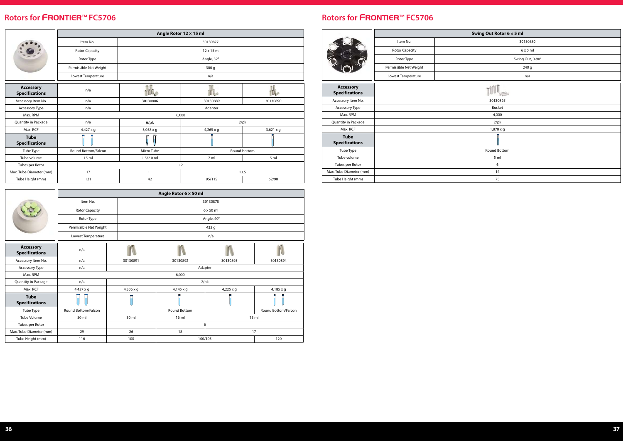|                                           |                        |                  | Angle Rotor 12 × 15 ml |           |  |  |
|-------------------------------------------|------------------------|------------------|------------------------|-----------|--|--|
|                                           | Item No.               |                  | 30130877               |           |  |  |
|                                           | Rotor Capacity         |                  | $12 \times 15$ ml      |           |  |  |
|                                           | Rotor Type             | Angle, 32°       |                        |           |  |  |
|                                           | Permissible Net Weight | 300 <sub>g</sub> |                        |           |  |  |
|                                           | Lowest Temperature     | n/a              |                        |           |  |  |
| <b>Accessory</b><br><b>Specifications</b> | n/a                    | TUO              | illo                   |           |  |  |
| Accessory Item No.                        | n/a                    | 30130886         | 30130889               | 30130890  |  |  |
| Accessory Type                            | n/a                    | Adapter          |                        |           |  |  |
| Max. RPM                                  |                        |                  | 6,000                  |           |  |  |
| Quantity in Package                       | n/a                    | $6$ /pk          | $2$ /pk                |           |  |  |
| Max. RCF                                  | 4,427 x g              | $3,058 \times q$ | $4,265 \times g$       | 3,621 x g |  |  |
| <b>Tube</b><br><b>Specifications</b>      |                        | 뮤                |                        |           |  |  |
| Tube Type                                 | Round Bottom/Falcon    | Micro Tube       | Round bottom           |           |  |  |
| Tube volume                               | 15 ml                  | $1.5/2.0$ ml     | 7 ml                   | 5 ml      |  |  |
| Tubes per Rotor                           |                        |                  | 12                     |           |  |  |
| Max. Tube Diameter (mm)                   | 17                     | 11               | 13.5                   |           |  |  |
| Tube Height (mm)                          | 121                    | 42               | 95/115                 | 62/90     |  |  |

|                                           |                        |                  | Angle Rotor $6 \times 50$ ml |                  |                     |  |  |
|-------------------------------------------|------------------------|------------------|------------------------------|------------------|---------------------|--|--|
|                                           | Item No.               |                  |                              | 30130878         |                     |  |  |
|                                           | <b>Rotor Capacity</b>  |                  | 6 x 50 ml                    |                  |                     |  |  |
|                                           | Rotor Type             |                  | Angle, 40°                   |                  |                     |  |  |
|                                           | Permissible Net Weight | 432 g            |                              |                  |                     |  |  |
|                                           | Lowest Temperature     |                  | n/a                          |                  |                     |  |  |
| <b>Accessory</b><br><b>Specifications</b> | n/a                    |                  |                              |                  |                     |  |  |
| Accessory Item No.                        | n/a                    | 30130891         | 30130892                     | 30130893         | 30130894            |  |  |
| Accessory Type                            | n/a                    |                  |                              | Adapter          |                     |  |  |
| Max. RPM                                  |                        |                  | 6,000                        |                  |                     |  |  |
| Quantity in Package                       | n/a                    |                  |                              | $2$ /pk          |                     |  |  |
| Max. RCF                                  | $4,427 \times g$       | $4,306 \times g$ | $4,145 \times g$             | $4,225 \times g$ | $4,185 \times q$    |  |  |
| <b>Tube</b><br><b>Specifications</b>      |                        |                  |                              |                  |                     |  |  |
| Tube Type                                 | Round Bottom/Falcon    |                  | Round Bottom                 |                  | Round Bottom/Falcon |  |  |
| <b>Tube Volume</b>                        | 50 ml                  | 30 ml            | 16 <sub>m</sub>              |                  | 15 <sub>m</sub>     |  |  |
| Tubes per Rotor                           |                        |                  |                              | 6                |                     |  |  |
| Max. Tube Diameter (mm)                   | 29                     | 26               | 18                           |                  | 17                  |  |  |
| Tube Height (mm)                          | 116                    | 100              |                              | 100/105          | 120                 |  |  |

#### **Rotors for** FRONTIER™ **FC5706**

|                       | Swing Out Rotor 6 $\times$ 5 ml |
|-----------------------|---------------------------------|
| Item No.              | 30130880                        |
| <b>Rotor Capacity</b> | $6 \times 5$ ml                 |
| Rotor Type            | Swing Out, 0-90°                |
| nissible Net Weight   | 240 g                           |
| west Temperature      | n/a                             |
|                       |                                 |
|                       | 30130895                        |
|                       | Bucket                          |
|                       | 4,000                           |
|                       | $2$ /pk                         |
|                       | 1,878 x g                       |
|                       |                                 |
|                       | Round Bottom                    |
|                       | 5 ml                            |
|                       | 6                               |
|                       | 14                              |
|                       | 75                              |
|                       |                                 |

|                                           |                        | Swing Out Rotor $6 \times 5$ ml |
|-------------------------------------------|------------------------|---------------------------------|
|                                           | Item No.               | 301308                          |
|                                           | <b>Rotor Capacity</b>  | 6x5n                            |
|                                           | Rotor Type             | Swing Out,                      |
|                                           | Permissible Net Weight | 240g                            |
|                                           | Lowest Temperature     | n/a                             |
| <b>Accessory</b><br><b>Specifications</b> |                        |                                 |
| Accessory Item No.                        |                        | 30130895                        |
| <b>Accessory Type</b>                     |                        | <b>Bucket</b>                   |
| Max. RPM                                  |                        | 4,000                           |
| Quantity in Package                       |                        | $2$ /pk                         |

Max. RCF **Tube Specifications** Tube Type Tube volume Tubes per Rotor 6 Max. Tube Diameter (mm) 14 Tube Height (mm)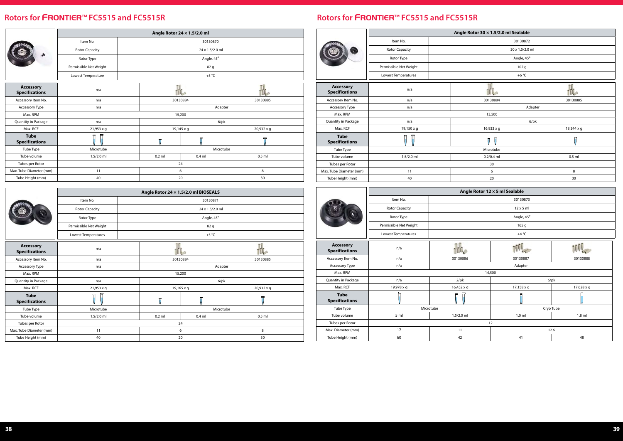#### **Rotors for** FRONTIER™ **FC5515 and FC5515R**

|                                           |                        | Angle Rotor 24 x 1.5/2.0 ml BIOSEALS |                |           |            |  |
|-------------------------------------------|------------------------|--------------------------------------|----------------|-----------|------------|--|
|                                           | Item No.               |                                      |                | 30130871  |            |  |
|                                           | <b>Rotor Capacity</b>  | 24 x 1.5/2.0 ml                      |                |           |            |  |
|                                           | Rotor Type             | Angle, 45°                           |                |           |            |  |
|                                           | Permissible Net Weight | 82 g                                 |                |           |            |  |
|                                           | Lowest Temperatures    |                                      |                | $+5 °C$   |            |  |
| <b>Accessory</b><br><b>Specifications</b> | n/a                    |                                      |                |           |            |  |
| Accessory Item No.                        | n/a                    |                                      | 30130884       |           | 30130885   |  |
| Accessory Type                            | n/a                    |                                      | Adapter        |           |            |  |
| Max. RPM                                  |                        |                                      | 15,200         |           |            |  |
| Quantity in Package                       | n/a                    |                                      |                | $6$ /pk   |            |  |
| Max. RCF                                  | 21,953 x g             |                                      | 19,165 x g     |           | 20,932 x g |  |
| <b>Tube</b><br><b>Specifications</b>      | Ī                      |                                      | $\overline{U}$ | 冒         |            |  |
| Tube Type                                 | Microtube              |                                      |                | Microtube |            |  |
| Tube volume                               | $1.5/2.0$ ml           |                                      | $0.2$ ml       | $0.4$ ml  | $0.5$ ml   |  |
| Tubes per Rotor                           |                        |                                      | 24             |           |            |  |
| Max. Tube Diameter (mm)                   | 11                     |                                      | 6              |           | 8          |  |
| Tube Height (mm)                          | 40                     |                                      | 20             |           | 30         |  |

|                                           |                        | Angle Rotor 24 x 1.5/2.0 ml |                 |            |  |
|-------------------------------------------|------------------------|-----------------------------|-----------------|------------|--|
|                                           | Item No.               |                             | 30130870        |            |  |
|                                           | <b>Rotor Capacity</b>  |                             | 24 x 1.5/2.0 ml |            |  |
|                                           | Rotor Type             | Angle, 45°                  |                 |            |  |
|                                           | Permissible Net Weight |                             | 82 g            |            |  |
|                                           | Lowest Temperature     |                             | +5 $^{\circ}$ C |            |  |
| <b>Accessory</b><br><b>Specifications</b> | n/a                    |                             |                 |            |  |
| Accessory Item No.                        | n/a                    | 30130884                    |                 | 30130885   |  |
| Accessory Type                            | n/a                    |                             | Adapter         |            |  |
| Max. RPM                                  |                        | 15,200                      |                 |            |  |
| Quantity in Package                       | n/a                    |                             | $6$ /pk         |            |  |
| Max. RCF                                  | 21,953 x g             | $19,145 \times g$           |                 | 20,932 x g |  |
| <b>Tube</b><br><b>Specifications</b>      | ਜ<br>Ħ                 | $\overline{\mathsf{n}}$     |                 | Ħ          |  |
| Tube Type                                 | Microtube              |                             | Microtube       |            |  |
| Tube volume                               | $1.5/2.0$ ml           | $0.2$ ml                    | $0.4$ ml        | $0.5$ ml   |  |
| Tubes per Rotor                           |                        | 24                          |                 |            |  |
| Max. Tube Diameter (mm)                   | 11                     | 6                           |                 | 8          |  |
| Tube Height (mm)                          | 40                     | 20                          |                 | 30         |  |

### **Rotors for** FRONTIER™ **FC5515 and FC5515R**

|                                           |                            |                         | Angle Rotor 30 x 1.5/2.0 ml Sealable |                         |  |
|-------------------------------------------|----------------------------|-------------------------|--------------------------------------|-------------------------|--|
|                                           | Item No.                   |                         | 30130872                             |                         |  |
|                                           | <b>Rotor Capacity</b>      |                         | 30 x 1.5/2.0 ml                      |                         |  |
|                                           | Rotor Type                 |                         | Angle, 45°                           |                         |  |
|                                           | Permissible Net Weight     |                         | 102 <sub>g</sub>                     |                         |  |
|                                           | Lowest Temperatures        |                         | +6 $^{\circ}$ C                      |                         |  |
|                                           |                            |                         |                                      |                         |  |
| <b>Accessory</b><br><b>Specifications</b> | n/a                        |                         |                                      | Tſ<br>1L                |  |
| Accessory Item No.                        | n/a                        |                         | 30130884                             | 30130885                |  |
| Accessory Type                            | n/a                        |                         | Adapter                              |                         |  |
| Max. RPM                                  |                            |                         | 13,500                               |                         |  |
| Quantity in Package                       | n/a                        |                         | $6$ /pk                              |                         |  |
| Max. RCF                                  | 19,150 x g                 |                         | 16,933 x g                           | 18,344 x g              |  |
| <b>Tube</b><br><b>Specifications</b>      |                            | $\overline{\mathbb{I}}$ | $\overline{\mathsf{U}}$              | $\overline{\mathsf{U}}$ |  |
| Tube Type                                 |                            |                         | Microtube                            |                         |  |
| Tube volume                               | $1.5/2.0$ ml               |                         | $0.2/0.4$ ml                         | $0.5$ ml                |  |
| Tubes per Rotor                           |                            |                         | 30                                   |                         |  |
| Max. Tube Diameter (mm)                   | 11                         |                         | 6                                    |                         |  |
| Tube Height (mm)                          | 40                         |                         | 20<br>30                             |                         |  |
|                                           |                            |                         | Angle Rotor 12 x 5 ml Sealable       |                         |  |
|                                           | Item No.<br>30130873       |                         |                                      |                         |  |
|                                           | <b>Rotor Capacity</b>      |                         | $12 \times 5$ ml                     |                         |  |
|                                           | Rotor Type                 | Angle, 45°              |                                      |                         |  |
|                                           | Permissible Net Weight     | 165 g                   |                                      |                         |  |
|                                           | <b>Lowest Temperatures</b> |                         | +4 $^{\circ}$ C                      |                         |  |
| <b>Accessory</b><br><b>Specifications</b> | n/a                        | ŀŀ.                     |                                      |                         |  |
| Accessory Item No.                        | n/a                        | 30130886                | 30130887                             | 30130888                |  |
| Accessory Type                            | n/a                        |                         | Adapter                              |                         |  |
| Max. RPM                                  |                            |                         | 14,500                               |                         |  |
| Quantity in Package                       | n/a                        | $2$ /pk                 | $6$ /pk                              |                         |  |
| Max. RCF                                  | 19,978 x g                 | 16,452 x g              | 17,158 x g                           | 17,628 x g              |  |
| <b>Tube</b><br><b>Specifications</b>      |                            | π                       | П                                    |                         |  |
| Tube Type                                 | Microtube                  |                         |                                      | Cryo Tube               |  |
| Tube volume                               | 5 ml                       | $1.5/2.0$ ml            | 1.0 <sub>m</sub>                     | $1.8$ ml                |  |
|                                           |                            |                         |                                      |                         |  |
| Tubes per Rotor                           |                            |                         | 12                                   |                         |  |
| Max. Diameter (mm)                        | 17                         | 11                      |                                      | 12.6                    |  |

|                                           |                        |                         | Angle Rotor 30 x 1.5/2.0 ml Sealable |                |  |
|-------------------------------------------|------------------------|-------------------------|--------------------------------------|----------------|--|
|                                           | Item No.               |                         | 30130872                             |                |  |
|                                           | <b>Rotor Capacity</b>  |                         | 30 x 1.5/2.0 ml                      |                |  |
|                                           | Rotor Type             |                         | Angle, 45°                           |                |  |
|                                           | Permissible Net Weight |                         | 102 <sub>g</sub>                     |                |  |
|                                           | Lowest Temperatures    |                         | +6 $^{\circ}$ C                      |                |  |
| <b>Accessory</b>                          |                        |                         |                                      |                |  |
| <b>Specifications</b>                     | n/a                    |                         |                                      | ł              |  |
| Accessory Item No.                        | n/a                    |                         | 30130884                             | 30130885       |  |
| Accessory Type                            | n/a                    |                         | Adapter                              |                |  |
| Max. RPM                                  |                        |                         | 13,500                               |                |  |
| Quantity in Package                       | n/a                    |                         | $6$ /pk                              |                |  |
| Max. RCF                                  | 19,150 x g             |                         | 16,933 x g                           | 18,344 x g     |  |
| <b>Tube</b><br><b>Specifications</b>      | π                      | $\overline{\mathbb{J}}$ | $\overline{\mathsf{U}}$              | $\overline{U}$ |  |
| Tube Type                                 |                        |                         | Microtube                            |                |  |
| Tube volume                               | $1.5/2.0$ ml           |                         | $0.2/0.4$ ml                         | $0.5$ ml       |  |
| Tubes per Rotor                           |                        |                         | 30                                   |                |  |
| Max. Tube Diameter (mm)                   | 11                     |                         | 6                                    | 8              |  |
| Tube Height (mm)                          | 40                     |                         | 20<br>30                             |                |  |
|                                           |                        |                         |                                      |                |  |
|                                           |                        |                         | Angle Rotor 12 x 5 ml Sealable       |                |  |
|                                           | Item No.               | 30130873                |                                      |                |  |
|                                           | <b>Rotor Capacity</b>  | $12 \times 5$ ml        |                                      |                |  |
|                                           | Rotor Type             | Angle, 45°              |                                      |                |  |
|                                           | Permissible Net Weight |                         |                                      | 165 g          |  |
|                                           |                        |                         |                                      |                |  |
|                                           | Lowest Temperatures    |                         | $+4 °C$                              |                |  |
| <b>Accessory</b><br><b>Specifications</b> | n/a                    |                         |                                      |                |  |
|                                           | n/a                    | 30130886                | 30130887                             | 30130888       |  |
| Accessory Item No.<br>Accessory Type      | n/a                    |                         | Adapter                              |                |  |
| Max. RPM                                  |                        | 14,500                  |                                      |                |  |
| Quantity in Package                       | n/a                    | $2$ /pk                 |                                      | $6$ /pk        |  |
| Max. RCF                                  | 19,978 x g             | 16,452 x g              | 17,158 x g                           | 17,628 x g     |  |
| <b>Tube</b><br><b>Specifications</b>      |                        | Π                       | f                                    |                |  |
| Tube Type                                 | Microtube              |                         | V                                    | Cryo Tube      |  |
| Tube volume                               | 5 ml                   | $1.5/2.0$ ml            | 1.0 <sub>m</sub>                     | $1.8$ ml       |  |
| Tubes per Rotor                           |                        | 12                      |                                      |                |  |
| Max. Diameter (mm)                        | 17                     | 11                      |                                      | 12.6           |  |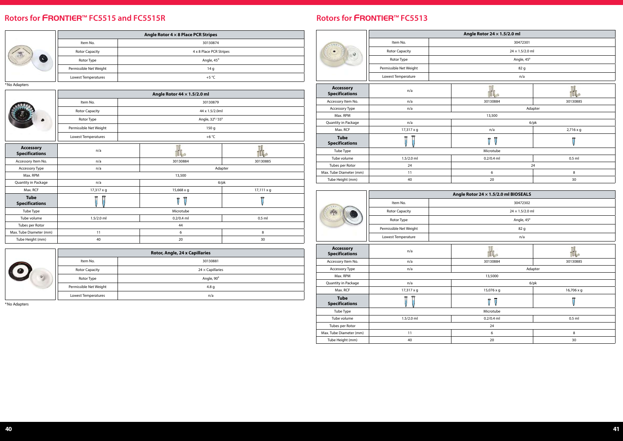#### **Rotors for** FRONTIER™ **FC5515 and FC5515R**

**Rotor, Angle, 24 x Capillaries Item No.** 20130881 **Rotor Capacity** 24 × Capillaries Rotor Type **Angle, 90<sup>0</sup> Angle, 90<sup>0</sup>** Permissible Net Weight **1.8 au 1.8 g** Lowest Temperatures and the contract of the contract of the contract of the contract of the contract of the contract of the contract of the contract of the contract of the contract of the contract of the contract of the co

|                                           | Angle Rotor 44 x 1.5/2.0 ml |                  |                   |  |  |
|-------------------------------------------|-----------------------------|------------------|-------------------|--|--|
|                                           | Item No.                    | 30130879         |                   |  |  |
|                                           | <b>Rotor Capacity</b>       |                  | 44 x 1.5/2.0ml    |  |  |
|                                           | Rotor Type                  | Angle, 32°/55°   |                   |  |  |
|                                           | Permissible Net Weight      | 150 <sub>g</sub> |                   |  |  |
|                                           | Lowest Temperatures         | +6 $^{\circ}$ C  |                   |  |  |
| <b>Accessory</b><br><b>Specifications</b> | n/a                         |                  |                   |  |  |
| Accessory Item No.                        | n/a                         | 30130884         | 30130885          |  |  |
| Accessory Type                            | n/a                         | Adapter          |                   |  |  |
| Max. RPM                                  |                             | 13,500           |                   |  |  |
| Quantity in Package                       | n/a                         | $6$ /pk          |                   |  |  |
| Max. RCF                                  | 17,317 x g                  | 15,668 x g       | $17,111 \times g$ |  |  |
| <b>Tube</b><br><b>Specifications</b>      | ਜ<br>듀                      | π<br>π           | 冒                 |  |  |
| Tube Type                                 |                             | Microtube        |                   |  |  |
| Tube volume                               | $1.5/2.0$ ml                | $0.2/0.4$ ml     | $0.5$ ml          |  |  |
| Tubes per Rotor                           |                             | 44               |                   |  |  |
| Max. Tube Diameter (mm)                   | 11                          | 6                | 8                 |  |  |
| Tube Height (mm)                          | 40                          | 20               | 30                |  |  |



|     |                        | Angle Rotor $4 \times 8$ Place PCR Stripes |
|-----|------------------------|--------------------------------------------|
|     | Item No.               | 30130874                                   |
|     | <b>Rotor Capacity</b>  | 4 x 8 Place PCR Stripes                    |
| 538 | Rotor Type             | Angle, 45°                                 |
|     | Permissible Net Weight | 14 g                                       |
|     | Lowest Temperatures    | +5 $^{\circ}$ C                            |

\*No Adapters

\*No Adapters

|                                             |                         | Angle Rotor 24 x 1.5/2.0 ml          |                         |  |  |  |
|---------------------------------------------|-------------------------|--------------------------------------|-------------------------|--|--|--|
|                                             | Item No.                | 30472301                             |                         |  |  |  |
|                                             | <b>Rotor Capacity</b>   | $24 \times 1.5/2.0$ ml               |                         |  |  |  |
|                                             | Rotor Type              | Angle, 45°                           |                         |  |  |  |
|                                             | Permissible Net Weight  | 82 g                                 |                         |  |  |  |
|                                             | Lowest Temperature      | n/a                                  |                         |  |  |  |
|                                             |                         |                                      |                         |  |  |  |
| <b>Accessory</b><br><b>Specifications</b>   | n/a                     |                                      | ٦í                      |  |  |  |
| Accessory Item No.                          | n/a                     | 30130884                             | 30130885                |  |  |  |
| Accessory Type                              | n/a                     | Adapter                              |                         |  |  |  |
| Max. RPM                                    |                         | 13,500                               |                         |  |  |  |
| Quantity in Package                         | n/a                     | $6$ /pk                              |                         |  |  |  |
| Max. RCF                                    | 17,317 x g              | n/a                                  | 2,716 x g               |  |  |  |
| <b>Tube</b><br><b>Specifications</b>        | $\overline{\mathbb{U}}$ | Ţ<br>$\overline{0}$                  | $\overline{\mathsf{U}}$ |  |  |  |
| Tube Type                                   |                         | Microtube                            |                         |  |  |  |
| Tube volume                                 | $1.5/2.0$ ml            | $0.2/0.4$ ml                         | $0.5$ ml                |  |  |  |
| Tubes per Rotor                             | 24                      |                                      | 24                      |  |  |  |
| Max. Tube Diameter (mm)                     | 11                      | 6                                    | 8                       |  |  |  |
| Tube Height (mm)                            | 40                      | 20                                   | 30                      |  |  |  |
|                                             |                         |                                      |                         |  |  |  |
|                                             |                         |                                      |                         |  |  |  |
|                                             |                         | Angle Rotor 24 x 1.5/2.0 ml BIOSEALS |                         |  |  |  |
|                                             | Item No.                | 30472302                             |                         |  |  |  |
|                                             | <b>Rotor Capacity</b>   | $24 \times 1.5/2.0$ ml               |                         |  |  |  |
|                                             | Rotor Type              | Angle, 45°                           |                         |  |  |  |
|                                             | Permissible Net Weight  | 82 g                                 |                         |  |  |  |
|                                             | Lowest Temperature      | n/a                                  |                         |  |  |  |
| Accessory                                   | n/a                     |                                      |                         |  |  |  |
| <b>Specifications</b>                       |                         |                                      |                         |  |  |  |
| Accessory Item No.                          | n/a                     | 30130884                             | 30130885                |  |  |  |
| Accessory Type                              | n/a                     | Adapter                              |                         |  |  |  |
| Max. RPM                                    |                         | 13,5000                              |                         |  |  |  |
| Quantity in Package                         | n/a                     | $6$ /pk                              |                         |  |  |  |
| Max. RCF                                    | 17,317 x g              | 15,076 x g                           | 16,706 x g              |  |  |  |
| <b>Tube</b><br><b>Specifications</b>        | $\overline{\mathsf{U}}$ | Ţ<br>Ī                               | $\overline{\mathsf{V}}$ |  |  |  |
| Tube Type                                   |                         | Microtube                            |                         |  |  |  |
| Tube volume                                 | 1.5/2.0 ml              | $0.2/0.4$ ml                         | $0.5$ ml                |  |  |  |
| Tubes per Rotor                             |                         | 24                                   |                         |  |  |  |
| Max. Tube Diameter (mm)<br>Tube Height (mm) | 11<br>40                | 6<br>20                              | 8<br>$30\,$             |  |  |  |

|                                           | Angle Rotor 24 x 1.5/2.0 ml |                                                    |                         |  |  |
|-------------------------------------------|-----------------------------|----------------------------------------------------|-------------------------|--|--|
|                                           | Item No.                    | 30472301                                           |                         |  |  |
|                                           | <b>Rotor Capacity</b>       |                                                    | $24 \times 1.5/2.0$ ml  |  |  |
|                                           | Rotor Type                  | Angle, 45°                                         |                         |  |  |
|                                           | Permissible Net Weight      | 82 g                                               |                         |  |  |
|                                           | Lowest Temperature          | n/a                                                |                         |  |  |
|                                           |                             |                                                    |                         |  |  |
| <b>Accessory</b><br><b>Specifications</b> | n/a                         |                                                    |                         |  |  |
| Accessory Item No.                        | n/a                         | 30130884                                           | 30130885                |  |  |
| Accessory Type                            | n/a                         |                                                    | Adapter                 |  |  |
| Max. RPM                                  |                             | 13,500                                             |                         |  |  |
| Quantity in Package                       | n/a                         |                                                    | $6$ /pk                 |  |  |
| Max. RCF                                  | 17,317 x g                  | n/a                                                | 2,716 x g               |  |  |
| <b>Tube</b><br><b>Specifications</b>      |                             | Π<br>Ī                                             | $\overline{\mathbb{U}}$ |  |  |
| Tube Type                                 |                             | Microtube                                          |                         |  |  |
| Tube volume                               | $1.5/2.0$ ml                | $0.2/0.4$ ml                                       | $0.5$ ml                |  |  |
| Tubes per Rotor                           | 24                          |                                                    | 24                      |  |  |
| Max. Tube Diameter (mm)                   | 11                          | 6                                                  | 8                       |  |  |
| Tube Height (mm)                          | 40                          | 20                                                 | 30                      |  |  |
|                                           |                             |                                                    |                         |  |  |
|                                           |                             |                                                    |                         |  |  |
|                                           |                             | Angle Rotor 24 x 1.5/2.0 ml BIOSEALS               |                         |  |  |
|                                           | Item No.                    | 30472302                                           |                         |  |  |
|                                           | <b>Rotor Capacity</b>       | $24 \times 1.5/2.0$ ml                             |                         |  |  |
|                                           | Rotor Type                  | Angle, 45°                                         |                         |  |  |
|                                           | Permissible Net Weight      | 82 g                                               |                         |  |  |
|                                           | Lowest Temperature          | n/a                                                |                         |  |  |
|                                           |                             |                                                    |                         |  |  |
| <b>Accessory</b>                          | n/a                         |                                                    |                         |  |  |
| <b>Specifications</b>                     |                             |                                                    |                         |  |  |
| Accessory Item No.                        | n/a                         | 30130884                                           | 30130885                |  |  |
| Accessory Type                            | n/a                         |                                                    | Adapter                 |  |  |
| Max. RPM                                  |                             | 13,5000                                            |                         |  |  |
| Quantity in Package<br>Max. RCF           | n/a                         |                                                    | $6$ /pk                 |  |  |
|                                           | 17,317 x g<br>뮤             | 15,076 x g                                         | 16,706 x g              |  |  |
| <b>Tube</b><br><b>Specifications</b>      |                             | $\overline{\mathbb{U}}$<br>$\overline{\mathsf{U}}$ | $\overline{\mathsf{U}}$ |  |  |
| Tube Type                                 |                             | Microtube                                          |                         |  |  |
| Tube volume                               | 1.5/2.0 ml                  | $0.2/0.4$ ml                                       | $0.5$ ml                |  |  |
| Tubes per Rotor                           |                             | 24                                                 |                         |  |  |
| Max. Tube Diameter (mm)                   | 11                          | 6                                                  | 8                       |  |  |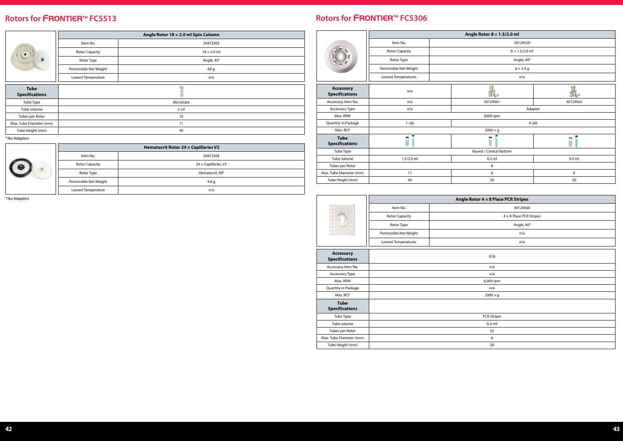|                                      | Angle Rotor 18 x 2.0 ml Spin Column |                    |  |
|--------------------------------------|-------------------------------------|--------------------|--|
|                                      | Item No.                            | 30472303           |  |
|                                      | <b>Rotor Capacity</b>               | $18 \times 2.0$ ml |  |
|                                      | Rotor Type                          | Angle, 45°         |  |
|                                      | Permissible Net Weight              | 68 g               |  |
|                                      | Lowest Temperature                  | n/a                |  |
| <b>Tube</b><br><b>Specifications</b> |                                     |                    |  |
| Tube Type                            | Microtube                           |                    |  |
| Tube volume                          | 2 ml                                |                    |  |
| Tubes per Rotor                      | 18                                  |                    |  |
| Max. Tube Diameter (mm)              | 11                                  |                    |  |
| Tube Height (mm)                     | 40                                  |                    |  |

|                | Hematocrit Rotor 24 $\times$ Capillaries V2 |                             |  |
|----------------|---------------------------------------------|-----------------------------|--|
| 0<br>$\vec{b}$ | Item No.                                    | 30472304                    |  |
|                | <b>Rotor Capacity</b>                       | $24 \times$ Capillaries, V2 |  |
|                | Rotor Type                                  | Hematocrit, 90°             |  |
|                | Permissible Net Weight                      | 4.8q                        |  |
|                | Lowest Temperature                          | n/a                         |  |

\*No Adapters

\*No Adapters

### **Rotors for** FRONTIER™ **FC5306**

|                                           | Angle Rotor $8 \times 1.5/2.0$ ml |                       |          |          |
|-------------------------------------------|-----------------------------------|-----------------------|----------|----------|
|                                           | Item No.                          | 30129559              |          |          |
|                                           | <b>Rotor Capacity</b>             | $8 \times 1.5/2.0$ ml |          |          |
|                                           | Rotor Type                        | Angle, 40°            |          |          |
|                                           | Permissible Net Weight            | $8 \times 3.4$ g      |          |          |
|                                           | Lowest Temperatures               | n/a                   |          |          |
| <b>Accessory</b><br><b>Specifications</b> | n/a                               |                       |          |          |
| Accessory Item No.                        | n/a                               |                       | 30129561 | 30129562 |
| Accessory Type                            | n/a                               |                       | Adapter  |          |
| Max. RPM                                  | 6000 rpm                          |                       |          |          |
| Quantity in Package                       | $1$ /pk                           |                       | $8$ /pk  |          |
| Max. RCF                                  | $2000 \times g$                   |                       |          |          |
| <b>Tube</b><br><b>Specifications</b>      |                                   |                       |          |          |
| Tube Type                                 | Round / Conical Bottom            |                       |          |          |
| Tube volume                               | $1.5/2.0$ ml                      |                       | $0.2$ ml | $0.5$ ml |
| Tubes per Rotor                           | 8                                 |                       |          |          |
| Max. Tube Diameter (mm)                   | 11                                |                       | 6        | 8        |
| Tube Height (mm)                          | 40                                |                       | 20       | 30       |
|                                           |                                   |                       |          |          |

| Angle Rotor $8 \times 1.5/2.0$ ml |          |  |
|-----------------------------------|----------|--|
| 30129559                          |          |  |
| $8 \times 1.5/2.0$ ml             |          |  |
| Angle, 40°                        |          |  |
| $8 \times 3.4$ g                  |          |  |
| n/a                               |          |  |
|                                   |          |  |
| 30129561                          | 30129562 |  |
| Adapter                           |          |  |
| 6000 rpm                          |          |  |
|                                   | $8$ /pk  |  |
| $2000 \times g$                   |          |  |
|                                   |          |  |
| Round / Conical Bottom            |          |  |
| $0.2$ ml                          | $0.5$ ml |  |
| 8                                 |          |  |
| 6                                 | 8        |  |
| 20                                | 30       |  |
|                                   |          |  |

|                                           | Angle Rotor $4 \times 8$ Place PCR Stripes |                                |
|-------------------------------------------|--------------------------------------------|--------------------------------|
| aceae                                     | Item No.                                   | 30129560                       |
|                                           | <b>Rotor Capacity</b>                      | $4 \times 8$ Place PCR Stripes |
|                                           | Rotor Type                                 | Angle, 40°                     |
|                                           | Permissible Net Weight                     | n/a                            |
|                                           | Lowest Temperatures                        | n/a                            |
| <b>Accessory</b><br><b>Specifications</b> |                                            | n/a                            |
| Accessory Item No.                        |                                            | n/a                            |
| <b>Accessory Type</b>                     | n/a                                        |                                |
| Max. RPM                                  | 6,000 rpm                                  |                                |
| Quantity in Package                       |                                            | n/a                            |
| Max. RCF                                  |                                            | $2000 \times q$                |
| <b>Tube</b><br><b>Specifications</b>      |                                            |                                |
| Tube Type                                 |                                            | <b>PCR Stripes</b>             |
| Tube volume                               |                                            | $0.2$ ml                       |
| Tubes per Rotor                           | 32                                         |                                |
| Max. Tube Diameter (mm)                   |                                            | 6                              |
| Tube Height (mm)                          |                                            | 20                             |

| Angle Rotor 4 x 8 Place PCR Stripes |  |  |
|-------------------------------------|--|--|
| 30129560                            |  |  |
| $4 \times 8$ Place PCR Stripes      |  |  |
| Angle, 40°                          |  |  |
| n/a                                 |  |  |
| n/a                                 |  |  |
| n/a                                 |  |  |
| n/a                                 |  |  |
| n/a                                 |  |  |
| 6,000 rpm                           |  |  |
| n/a                                 |  |  |
| $2000 \times g$                     |  |  |
|                                     |  |  |
| <b>PCR Stripes</b>                  |  |  |
| $0.2$ ml                            |  |  |
| 32                                  |  |  |
| 6                                   |  |  |